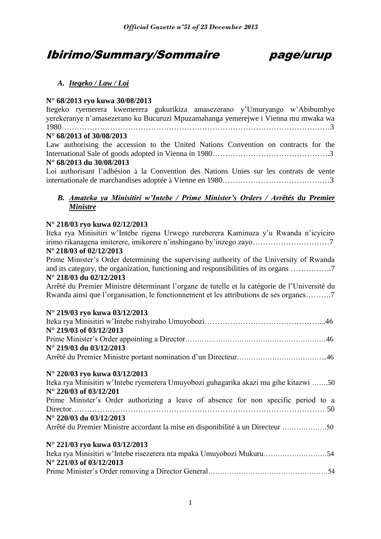# Ibirimo/Summary/Sommaire page/urup



### *A. Itegeko / Law / Loi*

### **N° 68/2013 ryo kuwa 30/08/2013**

Itegeko ryemerera kwemerera gukurikiza amasezerano y'Umuryango w'Abibumbye yerekeranye n'amasezerano ku Bucuruzi Mpuzamahanga yemerejwe i Vienna mu mwaka wa 1980……………………………………………………………………………………………3 **N° 68/2013 of 30/08/2013** 

Law authorising the accession to the United Nations Convention on contracts for the International Sale of goods adopted in Vienna in 1980……………………………………….3 **N° 68/2013 du 30/08/2013**

Loi authorisant l'adhésion à la Convention des Nations Unies sur les contrats de vente internationale de marchandises adoptée à Vienne en 1980……………………………………3

### *B. Amateka ya Minisitiri w'Intebe / Prime Minister's Orders / Arrêtés du Premier Ministre*

### **N° 218/03 ryo kuwa 02/12/2013**

Iteka rya Minisitiri w'Intebe rigena Urwego rureberera Kaminuza y'u Rwanda n'icyiciro irimo rikanagena imiterere, imikorere n'inshingano by'inzego zayo…………………………7 **Nº 218/03 of 02/12/2013**

Prime Minister's Order determining the supervising authority of the University of Rwanda and its category, the organization, functioning and responsibilities of its organs …………….7 **N° 218/03 du 02/12/2013**

Arrêté du Premier Ministre déterminant l'organe de tutelle et la catégorie de l'Université du Rwanda ainsi que l'organisation, le fonctionnement et les attributions de ses organes……….7

### **N° 219/03 ryo kuwa 03/12/2013**

| $N^{\circ}$ 219/03 of 03/12/2013 |  |
|----------------------------------|--|
|                                  |  |
| $N^{\circ}$ 219/03 du 03/12/2013 |  |
|                                  |  |

### **N° 220/03 ryo kuwa 03/12/2013**

| Iteka rya Minisitiri w'Intebe ryemerera Umuyobozi guhagarika akazi mu gihe kitazwi 50 |
|---------------------------------------------------------------------------------------|
| N° 220/03 of 03/12/201                                                                |
| Prime Minister's Order authorizing a leave of absence for non specific period to a    |
|                                                                                       |
| $N^{\circ}$ 220/03 du 03/12/2013                                                      |
| Arrêté du Premier Ministre accordant la mise en disponibilité à un Directeur 50       |
|                                                                                       |
| N° 221/03 rvo kuwa 03/12/2013                                                         |

| - , ---, , - - <i>, . ---</i> , , - . - . |  |
|-------------------------------------------|--|
|                                           |  |
| $N^{\circ}$ 221/03 of 03/12/2013          |  |
|                                           |  |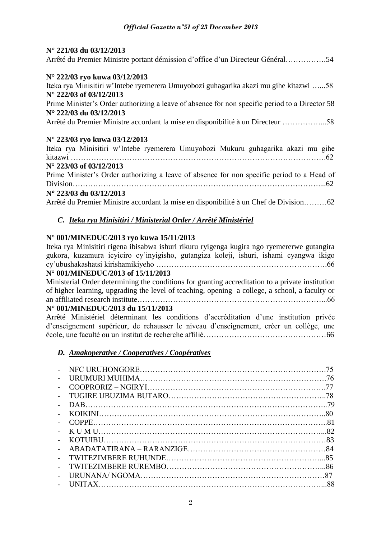### **N° 221/03 du 03/12/2013**

|  | Arrêté du Premier Ministre portant démission d'office d'un Directeur Général54 |
|--|--------------------------------------------------------------------------------|
|--|--------------------------------------------------------------------------------|

### **N° 222/03 ryo kuwa 03/12/2013**

Iteka rya Minisitiri w'Intebe ryemerera Umuyobozi guhagarika akazi mu gihe kitazwi …...58 **N° 222/03 of 03/12/2013**

Prime Minister's Order authorizing a leave of absence for non specific period to a Director 58 **N 222/03 du 03/12/2013**

Arrêté du Premier Ministre accordant la mise en disponibilité à un Directeur ……………...58

### **N° 223/03 ryo kuwa 03/12/2013**

Iteka rya Minisitiri w'Intebe ryemerera Umuyobozi Mukuru guhagarika akazi mu gihe kitazwi ……………………………………………………………………………………….62

### **N° 223/03 of 03/12/2013**

Prime Minister's Order authorizing a leave of absence for non specific period to a Head of Division……………………………………………………………………………………....62

### **N 223/03 du 03/12/2013**

Arrêté du Premier Ministre accordant la mise en disponibilité à un Chef de Division………62

### *C. Iteka rya Minisitiri / Ministerial Order / Arrêté Ministériel*

### **N° 001/MINEDUC/2013 ryo kuwa 15/11/2013**

Iteka rya Minisitiri rigena ibisabwa ishuri rikuru ryigenga kugira ngo ryemererwe gutangira gukora, kuzamura icyiciro cy'inyigisho, gutangiza koleji, ishuri, ishami cyangwa ikigo cy'ubushakashatsi kirishamikiyeho ………………………………………………………….66 **N° 001/MINEDUC/2013 of 15/11/2013**

### Ministerial Order determining the conditions for granting accreditation to a private institution of higher learning, upgrading the level of teaching, opening a college, a school, a faculty or an affiliated research institute………………………………………………………………...66

### **N° 001/MINEDUC/2013 du 15/11/2013**

Arrêté Ministériel déterminant les conditions d'accréditation d'une institution privée d'enseignement supérieur, de rehausser le niveau d'enseignement, créer un collège, une école, une faculté ou un institut de recherche affilié…………………………………………66

### *D. Amakoperative / Cooperatives / Coopératives*

|                          | 75  |
|--------------------------|-----|
|                          |     |
|                          | -77 |
| $\overline{\phantom{0}}$ |     |
| $\sim$                   |     |
|                          |     |
|                          |     |
| $\equiv$                 |     |
|                          |     |
|                          |     |
| $\sim$                   |     |
|                          |     |
|                          |     |
|                          |     |
|                          |     |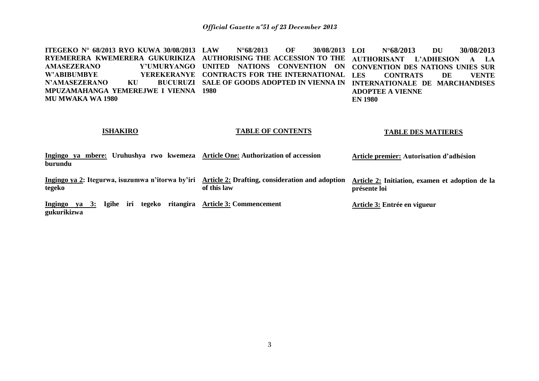**ITEGEKO N° 68/2013 RYO KUWA 30/08/2013 RYEMERERA KWEMERERA GUKURIKIZA AUTHORISING THE ACCESSION TO THE AMASEZERANO Y'UMURYANGO UNITED NATIONS CONVENTION ON W'ABIBUMBYE YEREKERANYE CONTRACTS FOR THE INTERNATIONAL N'AMASEZERANO KU MPUZAMAHANGA YEMEREJWE I VIENNA 1980 MU MWAKA WA 1980 LAW N°68/2013 OF 30/08/2013 SALE OF GOODS ADOPTED IN VIENNA IN INTERNATIONALE DE MARCHANDISES LOI N°68/2013 DU 30/08/2013 AUTHORISANT L'ADHESION A LA CONVENTION DES NATIONS UNIES SUR LES CONTRATS DE VENTE ADOPTEE A VIENNE EN 1980**

#### **ISHAKIRO**

#### **TABLE OF CONTENTS**

#### **TABLE DES MATIERES**

**Ingingo ya mbere: Uruhushya rwo kwemeza Article One: Authorization of accession burundu Article premier: Autorisation d'adhésion**

**Ingingo ya 2: Itegurwa, isuzumwa n'itorwa by'iri Article 2: Drafting, consideration and adoption tegeko of this law Article 2: Initiation, examen et adoption de la présente loi** 

**Ingingo ya 3: Igihe iri tegeko ritangira Article 3: Commencement gukurikizwa** 

**Article 3: Entrée en vigueur**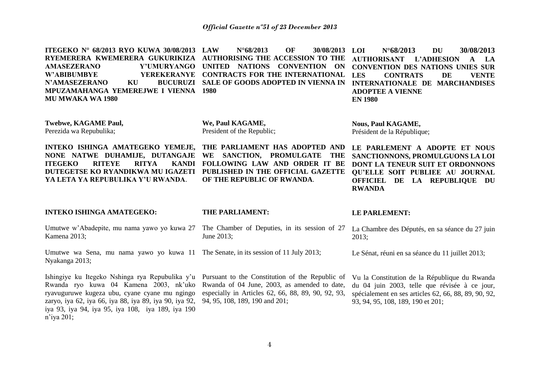**ITEGEKO N° 68/2013 RYO KUWA 30/08/2013 RYEMERERA KWEMERERA GUKURIKIZA AUTHORISING THE ACCESSION TO THE AMASEZERANO Y'UMURYANGO UNITED NATIONS CONVENTION ON W'ABIBUMBYE YEREKERANYE CONTRACTS FOR THE INTERNATIONAL N'AMASEZERANO KU MPUZAMAHANGA YEMEREJWE I VIENNA 1980 MU MWAKA WA 1980 LAW N°68/2013 OF 30/08/2013 SALE OF GOODS ADOPTED IN VIENNA IN LOI N°68/2013 DU 30/08/2013 AUTHORISANT L'ADHESION A LA CONVENTION DES NATIONS UNIES SUR LES CONTRATS DE VENTE INTERNATIONALE DE MARCHANDISES ADOPTEE A VIENNE EN 1980**

**Twebwe, KAGAME Paul,**  Perezida wa Repubulika;

**We, Paul KAGAME,**  President of the Republic;

**INTEKO ISHINGA AMATEGEKO YEMEJE, NONE NATWE DUHAMIJE, DUTANGAJE ITEGEKO RITEYE RITYA DUTEGETSE KO RYANDIKWA MU IGAZETI PUBLISHED IN THE OFFICIAL GAZETTE YA LETA YA REPUBULIKA Y'U RWANDA**.

**THE PARLIAMENT HAS ADOPTED AND WE SANCTION, PROMULGATE THE FOLLOWING LAW AND ORDER IT BE OF THE REPUBLIC OF RWANDA**.

**Nous, Paul KAGAME,** Président de la République;

**LE PARLEMENT A ADOPTE ET NOUS SANCTIONNONS, PROMULGUONS LA LOI DONT LA TENEUR SUIT ET ORDONNONS QU'ELLE SOIT PUBLIEE AU JOURNAL OFFICIEL DE LA REPUBLIQUE DU RWANDA** 

#### **INTEKO ISHINGA AMATEGEKO:**

Kamena 2013;

Umutwe wa Sena, mu nama yawo yo kuwa 11 The Senate, in its session of 11 July 2013; Nyakanga 2013;

Ishingiye ku Itegeko Nshinga rya Repubulika y'u Pursuant to the Constitution of the Republic of Rwanda ryo kuwa 04 Kamena 2003, nk'uko ryavuguruwe kugeza ubu, cyane cyane mu ngingo zaryo, iya 62, iya 66, iya 88, iya 89, iya 90, iya 92, iya 93, iya 94, iya 95, iya 108, iya 189, iya 190 n'iya 201;

#### **THE PARLIAMENT:**

#### **LE PARLEMENT:**

Umutwe w'Abadepite, mu nama yawo yo kuwa 27 The Chamber of Deputies, in its session of 27 La Chambre des Députés, en sa séance du 27 juin June 2013; 2013;

Rwanda of 04 June, 2003, as amended to date, especially in Articles 62, 66, 88, 89, 90, 92, 93, 94, 95, 108, 189, 190 and 201;

Vu la Constitution de la République du Rwanda du 04 juin 2003, telle que révisée à ce jour, spécialement en ses articles 62, 66, 88, 89, 90, 92, 93, 94, 95, 108, 189, 190 et 201;

Le Sénat, réuni en sa séance du 11 juillet 2013;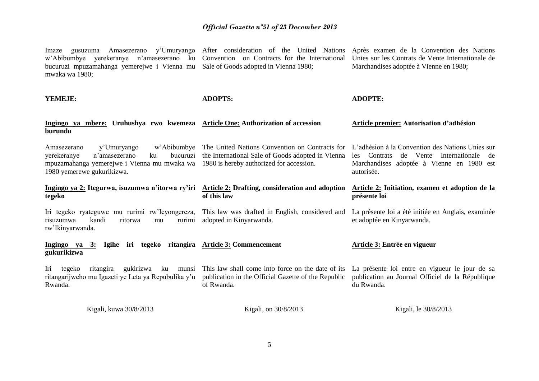Imaze gusuzuma Amasezerano y'Umuryango w'Abibumbye yerekeranye n'amasezerano ku Convention on Contracts for the International Unies sur les Contrats de Vente Internationale de bucuruzi mpuzamahanga yemerejwe i Vienna mu Sale of Goods adopted in Vienna 1980; mwaka wa 1980; After consideration of the United Nations Après examen de la Convention des Nations Marchandises adoptée à Vienne en 1980;

**YEMEJE: Ingingo ya mbere: Uruhushya rwo kwemeza Article One: Authorization of accession burundu**  Amasezerano y'Umuryango w'Abibumbye The United Nations Convention on Contracts for L'adhésion à la Convention des Nations Unies sur yerekeranye n'amasezerano ku mpuzamahanga yemerejwe i Vienna mu mwaka wa 1980 is hereby authorized for accession. 1980 yemerewe gukurikizwa. **Ingingo ya 2: Itegurwa, isuzumwa n'itorwa ry'iri Article 2: Drafting, consideration and adoption tegeko**  Iri tegeko ryateguwe mu rurimi rw'Icyongereza, risuzumwa kandi ritorwa mu rurimi rw'Ikinyarwanda. **Ingingo ya 3: Igihe iri tegeko ritangira Article 3: Commencement gukurikizwa**  Iri tegeko ritangira gukirizwa ku munsi ritangarijweho mu Igazeti ye Leta ya Repubulika y'u Rwanda. Kigali, kuwa 30/8/2013 **ADOPTS:**  bucuruzi the International Sale of Goods adopted in Vienna **of this law**  This law was drafted in English, considered and La présente loi a été initiée en Anglais, examinée adopted in Kinyarwanda. This law shall come into force on the date of its La présente loi entre en vigueur le jour de sa publication in the Official Gazette of the Republic of Rwanda. Kigali, on 30/8/2013 **ADOPTE: Article premier: Autorisation d'adhésion**  les Contrats de Vente Internationale de Marchandises adoptée à Vienne en 1980 est autorisée. **Article 2: Initiation, examen et adoption de la présente loi**  et adoptée en Kinyarwanda. **Article 3: Entrée en vigueur** publication au Journal Officiel de la République du Rwanda. Kigali, le 30/8/2013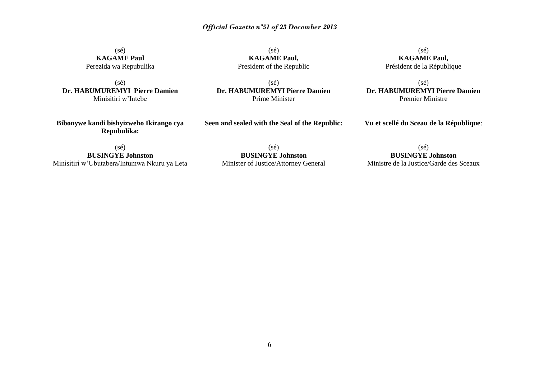(sé) **KAGAME Paul** Perezida wa Repubulika

(sé) **Dr. HABUMUREMYI Pierre Damien** Minisitiri w'Intebe

(sé) **KAGAME Paul,** President of the Republic

(sé) **Dr. HABUMUREMYI Pierre Damien** Prime Minister

(sé) **KAGAME Paul,** Président de la République

(sé) **Dr. HABUMUREMYI Pierre Damien** Premier Ministre

**Bibonywe kandi bishyizweho Ikirango cya Repubulika:**

**Seen and sealed with the Seal of the Republic:**

**Vu et scellé du Sceau de la République**:

(sé) **BUSINGYE Johnston** Minisitiri w'Ubutabera/Intumwa Nkuru ya Leta

(sé) **BUSINGYE Johnston** Minister of Justice/Attorney General

(sé) **BUSINGYE Johnston**

Ministre de la Justice/Garde des Sceaux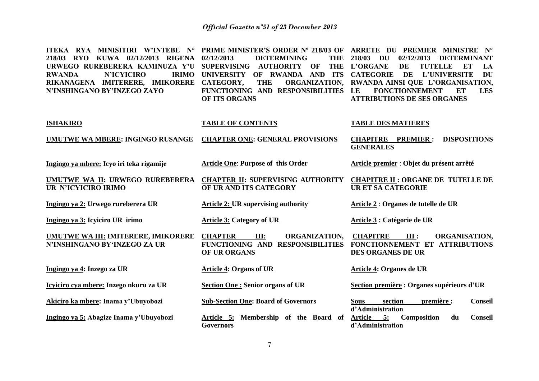| ITEKA RYA MINISITIRI W'INTEBE N°<br>218/03 RYO KUWA 02/12/2013<br>RIGENA<br>URWEGO RUREBERERA KAMINUZA Y'U<br><b>N'ICYICIRO</b><br><b>IRIMO</b><br><b>RWANDA</b><br>RIKANAGENA IMITERERE, IMIKORERE<br>N'INSHINGANO BY'INZEGO ZAYO | PRIME MINISTER'S ORDER Nº 218/03 OF<br>02/12/2013<br><b>DETERMINING</b><br><b>THE</b><br><b>THE</b><br><b>SUPERVISING</b><br><b>AUTHORITY OF</b><br>OF RWANDA AND ITS<br><b>UNIVERSITY</b><br>ORGANIZATION,<br>CATEGORY,<br><b>THE</b><br>FUNCTIONING AND RESPONSIBILITIES<br>OF ITS ORGANS | ARRETE DU PREMIER MINISTRE<br>$N^{\circ}$<br>218/03<br>02/12/2013<br>DU<br><b>DETERMINANT</b><br><b>L'ORGANE</b><br><b>TUTELLE</b><br>DE<br>ET<br>LA<br><b>DU</b><br><b>CATEGORIE</b><br>DE<br><b>L'UNIVERSITE</b><br>RWANDA AINSI QUE L'ORGANISATION,<br><b>FONCTIONNEMENT</b><br>LE<br>ET<br><b>LES</b><br><b>ATTRIBUTIONS DE SES ORGANES</b> |
|------------------------------------------------------------------------------------------------------------------------------------------------------------------------------------------------------------------------------------|---------------------------------------------------------------------------------------------------------------------------------------------------------------------------------------------------------------------------------------------------------------------------------------------|-------------------------------------------------------------------------------------------------------------------------------------------------------------------------------------------------------------------------------------------------------------------------------------------------------------------------------------------------|
| <b>ISHAKIRO</b>                                                                                                                                                                                                                    | <b>TABLE OF CONTENTS</b>                                                                                                                                                                                                                                                                    | <b>TABLE DES MATIERES</b>                                                                                                                                                                                                                                                                                                                       |
| UMUTWE WA MBERE: INGINGO RUSANGE                                                                                                                                                                                                   | <b>CHAPTER ONE: GENERAL PROVISIONS</b>                                                                                                                                                                                                                                                      | <b>CHAPITRE</b><br><b>PREMIER:</b><br><b>DISPOSITIONS</b><br><b>GENERALES</b>                                                                                                                                                                                                                                                                   |
| Ingingo ya mbere: Icyo iri teka rigamije                                                                                                                                                                                           | <b>Article One: Purpose of this Order</b>                                                                                                                                                                                                                                                   | Article premier : Objet du présent arrêté                                                                                                                                                                                                                                                                                                       |
| UMUTWE WA II: URWEGO RUREBERERA<br>UR N'ICYICIRO IRIMO                                                                                                                                                                             | <b>CHAPTER II: SUPERVISING AUTHORITY</b><br>OF UR AND ITS CATEGORY                                                                                                                                                                                                                          | <b>CHAPITRE II : ORGANE DE TUTELLE DE</b><br><b>URET SA CATEGORIE</b>                                                                                                                                                                                                                                                                           |
| Ingingo ya 2: Urwego rureberera UR                                                                                                                                                                                                 | <b>Article 2: UR supervising authority</b>                                                                                                                                                                                                                                                  | Article 2 : Organes de tutelle de UR                                                                                                                                                                                                                                                                                                            |
| Ingingo ya 3: Icyiciro UR irimo                                                                                                                                                                                                    | <b>Article 3: Category of UR</b>                                                                                                                                                                                                                                                            | Article 3 : Catégorie de UR                                                                                                                                                                                                                                                                                                                     |
| UMUTWE WA III: IMITERERE, IMIKORERE<br>N'INSHINGANO BY'INZEGO ZA UR                                                                                                                                                                | <b>CHAPTER</b><br>III:<br>ORGANIZATION,<br>FUNCTIONING AND RESPONSIBILITIES<br>OF UR ORGANS                                                                                                                                                                                                 | <b>CHAPITRE</b><br>III:<br>ORGANISATION,<br>FONCTIONNEMENT ET ATTRIBUTIONS<br>DES ORGANES DE UR                                                                                                                                                                                                                                                 |
| Ingingo ya 4: Inzego za UR                                                                                                                                                                                                         | <b>Article 4: Organs of UR</b>                                                                                                                                                                                                                                                              | Article 4: Organes de UR                                                                                                                                                                                                                                                                                                                        |
| Icyiciro cya mbere: Inzego nkuru za UR                                                                                                                                                                                             | <b>Section One: Senior organs of UR</b>                                                                                                                                                                                                                                                     | Section première : Organes supérieurs d'UR                                                                                                                                                                                                                                                                                                      |
| Akiciro ka mbere: Inama y'Ubuyobozi                                                                                                                                                                                                | <b>Sub-Section One: Board of Governors</b>                                                                                                                                                                                                                                                  | première :<br>section<br><b>Conseil</b><br><b>Sous</b><br>d'Administration                                                                                                                                                                                                                                                                      |
| Ingingo ya 5: Abagize Inama y'Ubuyobozi                                                                                                                                                                                            | Article 5: Membership of the Board of<br><b>Governors</b>                                                                                                                                                                                                                                   | Article 5:<br>Composition<br><b>Conseil</b><br>du<br>d'Administration                                                                                                                                                                                                                                                                           |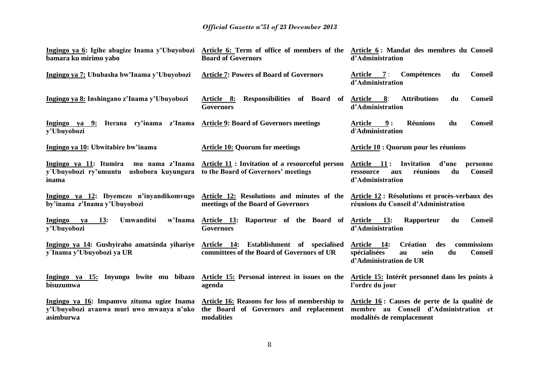| Ingingo ya 6: Igihe abagize Inama y'Ubuyobozi<br>bamara ku mirimo yabo                             | Article 6: Term of office of members of the<br><b>Board of Governors</b>                              | Article 6: Mandat des membres du Conseil<br>d'Administration                                                                         |
|----------------------------------------------------------------------------------------------------|-------------------------------------------------------------------------------------------------------|--------------------------------------------------------------------------------------------------------------------------------------|
| Ingingo ya 7: Ububasha bw'Inama y'Ubuyobozi                                                        | <b>Article 7: Powers of Board of Governors</b>                                                        | Article 7:<br>Compétences<br><b>Conseil</b><br>du<br>d'Administration                                                                |
| Ingingo ya 8: Inshingano z'Inama y'Ubuyobozi                                                       | Responsibilities of Board of<br>Article 8:<br><b>Governors</b>                                        | Article 8:<br><b>Attributions</b><br>du<br><b>Conseil</b><br>d'Administration                                                        |
| Ingingo ya 9: Iterana ry'inama z'Inama Article 9: Board of Governors meetings<br>y'Ubuyobozi       |                                                                                                       | 9:<br><b>Réunions</b><br>du<br><b>Conseil</b><br>Article<br>d'Administration                                                         |
| Ingingo ya 10: Ubwitabire bw'inama                                                                 | <b>Article 10: Quorum for meetings</b>                                                                | Article 10 : Quorum pour les réunions                                                                                                |
| Ingingo ya 11: Itumira<br>mu nama z'Inama<br>y'Ubuyobozi ry'umuntu<br>ushobora kuyungura<br>inama  | Article 11: Invitation of a resourceful person<br>to the Board of Governors' meetings                 | Article 11: Invitation<br>d'une<br>personne<br>du<br><b>Conseil</b><br>réunions<br>ressource<br>aux<br>d'Administration              |
| Ingingo ya 12: Ibyemezo n'inyandikomvugo<br>by'inama z'Inama y'Ubuyobozi                           | Article 12: Resolutions and minutes of the<br>meetings of the Board of Governors                      | Article 12 : Résolutions et procès-verbaux des<br>réunions du Conseil d'Administration                                               |
| Ingingo<br>13:<br><b>Umwanditsi</b><br>w'Inama<br>va<br>y'Ubuyobozi                                | Article 13: Raporteur of the Board of<br><b>Governors</b>                                             | <b>13:</b><br><b>Conseil</b><br>Article<br>Rapporteur<br>du<br>d'Administration                                                      |
| Ingingo ya 14: Gushyiraho amatsinda yihariye<br>y'Inama y'Ubuyobozi ya UR                          | Article 14: Establishment of specialised<br>committees of the Board of Governors of UR                | Article 14:<br><b>Création</b><br>des<br>commissions<br>spécialisées<br>du<br><b>Conseil</b><br>sein<br>au<br>d'Administration de UR |
| Ingingo ya 15: Inyungu bwite mu bibazo Article 15: Personal interest in issues on the<br>bisuzumwa | agenda                                                                                                | Article 15: Intérêt personnel dans les points à<br>l'ordre du jour                                                                   |
| Ingingo ya 16: Impamvu zituma ugize Inama<br>y'Ubuyobozi avanwa muri uwo mwanya n'uko<br>asimburwa | Article 16: Reasons for loss of membership to<br>the Board of Governors and replacement<br>modalities | Article 16 : Causes de perte de la qualité de<br>membre au Conseil d'Administration et<br>modalités de remplacement                  |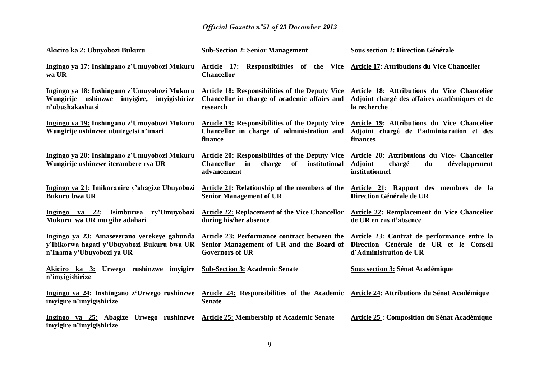| Akiciro ka 2: Ubuyobozi Bukuru                                                                                          | <b>Sub-Section 2: Senior Management</b>                                                                                                                 | <b>Sous section 2: Direction Générale</b>                                                                         |
|-------------------------------------------------------------------------------------------------------------------------|---------------------------------------------------------------------------------------------------------------------------------------------------------|-------------------------------------------------------------------------------------------------------------------|
| Ingingo ya 17: Inshingano z'Umuyobozi Mukuru<br>wa UR                                                                   | Article 17: Responsibilities of the Vice Article 17: Attributions du Vice Chancelier<br><b>Chancellor</b>                                               |                                                                                                                   |
| Ingingo ya 18: Inshingano z'Umuyobozi Mukuru<br>Wungirije ushinzwe imyigire, imyigishirize<br>n'ubushakashatsi          | Article 18: Responsibilities of the Deputy Vice Article 18: Attributions du Vice Chancelier<br>Chancellor in charge of academic affairs and<br>research | Adjoint chargé des affaires académiques et de<br>la recherche                                                     |
| Ingingo ya 19: Inshingano z'Umuyobozi Mukuru<br>Wungirije ushinzwe ubutegetsi n'imari                                   | <b>Article 19: Responsibilities of the Deputy Vice</b><br>Chancellor in charge of administration and<br>finance                                         | Article 19: Attributions du Vice Chancelier<br>Adjoint chargé de l'administration et des<br>finances              |
| Ingingo ya 20: Inshingano z'Umuyobozi Mukuru<br>Wungirije ushinzwe iterambere rya UR                                    | Article 20: Responsibilities of the Deputy Vice<br><b>Chancellor</b><br>of<br>institutional<br>charge<br>in<br>advancement                              | Article 20: Attributions du Vice- Chancelier<br><b>Adjoint</b><br>développement<br>chargé<br>du<br>institutionnel |
| Ingingo ya 21: Imikoranire y'abagize Ubuyobozi<br><b>Bukuru bwa UR</b>                                                  | Article 21: Relationship of the members of the<br><b>Senior Management of UR</b>                                                                        | Article 21: Rapport des membres de la<br>Direction Générale de UR                                                 |
| $Ingingo$ ya 22:<br>Isimburwa ry'Umuyobozi<br>Mukuru wa UR mu gihe adahari                                              | <b>Article 22: Replacement of the Vice Chancellor</b><br>during his/her absence                                                                         | <b>Article 22: Remplacement du Vice Chancelier</b><br>de UR en cas d'absence                                      |
| Ingingo ya 23: Amasezerano yerekeye gahunda<br>y'ibikorwa hagati y'Ubuyobozi Bukuru bwa UR<br>n'Inama y'Ubuyobozi ya UR | Article 23: Performance contract between the<br>Senior Management of UR and the Board of<br><b>Governors of UR</b>                                      | Article 23: Contrat de performance entre la<br>Direction Générale de UR et le Conseil<br>d'Administration de UR   |
| Akiciro ka 3: Urwego rushinzwe imyigire<br>n'imyigishirize                                                              | <b>Sub-Section 3: Academic Senate</b>                                                                                                                   | <b>Sous section 3: Sénat Académique</b>                                                                           |
| Ingingo ya 24: Inshingano z'Urwego rushinzwe<br>imyigire n'imyigishirize                                                | Article 24: Responsibilities of the Academic Article 24: Attributions du Sénat Académique<br><b>Senate</b>                                              |                                                                                                                   |
| Ingingo ya 25: Abagize Urwego rushinzwe<br>imyigire n'imyigishirize                                                     | <b>Article 25: Membership of Academic Senate</b>                                                                                                        | <b>Article 25: Composition du Sénat Académique</b>                                                                |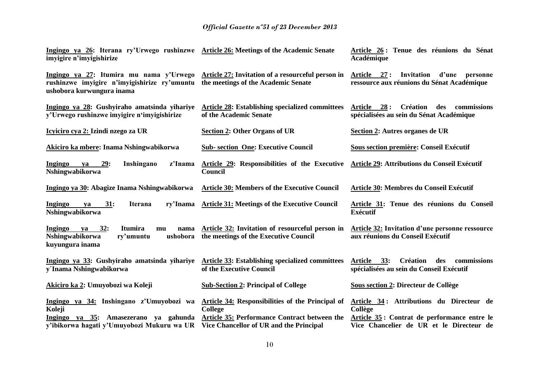| Ingingo ya 26: Iterana ry'Urwego rushinzwe Article 26: Meetings of the Academic Senate<br>imvigire n'imvigishirize                                                                                         |                                                                                          | Article 26 : Tenue des réunions du Sénat<br>Académique                                              |
|------------------------------------------------------------------------------------------------------------------------------------------------------------------------------------------------------------|------------------------------------------------------------------------------------------|-----------------------------------------------------------------------------------------------------|
| Ingingo ya 27: Itumira mu nama y'Urwego Article 27: Invitation of a resourceful person in<br>rushinzwe imyigire n'imyigishirize ry'umuntu the meetings of the Academic Senate<br>ushobora kurwungura inama |                                                                                          | Invitation d'une<br>Article 27:<br>personne<br>ressource aux réunions du Sénat Académique           |
| Ingingo ya 28: Gushyiraho amatsinda yihariye<br>y'Urwego rushinzwe imyigire n'imyigishirize                                                                                                                | Article 28: Establishing specialized committees<br>of the Academic Senate                | Article 28: Création des commissions<br>spécialisées au sein du Sénat Académique                    |
| Icyiciro cya 2: Izindi nzego za UR                                                                                                                                                                         | <b>Section 2: Other Organs of UR</b>                                                     | Section 2: Autres organes de UR                                                                     |
| Akiciro ka mbere: Inama Nshingwabikorwa                                                                                                                                                                    | <b>Sub-section One: Executive Council</b>                                                | Sous section première: Conseil Exécutif                                                             |
| 29:<br>Ingingo<br>Inshingano<br>z'Inama<br>ya<br>Nshingwabikorwa                                                                                                                                           | Article 29: Responsibilities of the Executive<br>Council                                 | Article 29: Attributions du Conseil Exécutif                                                        |
| Ingingo ya 30: Abagize Inama Nshingwabikorwa                                                                                                                                                               | <b>Article 30: Members of the Executive Council</b>                                      | Article 30: Membres du Conseil Exécutif                                                             |
| <b>Ingingo</b><br>31:<br>ry'Inama<br><b>Iterana</b><br>ya<br>Nshingwabikorwa                                                                                                                               | <b>Article 31: Meetings of the Executive Council</b>                                     | Article 31: Tenue des réunions du Conseil<br><b>Exécutif</b>                                        |
| <b>Ingingo</b><br>32:<br>Itumira<br>ya<br>nama<br>mu<br>Nshingwabikorwa<br>ry'umuntu<br>ushobora<br>kuyungura inama                                                                                        | Article 32: Invitation of resourceful person in<br>the meetings of the Executive Council | <b>Article 32: Invitation d'une personne ressource</b><br>aux réunions du Conseil Exécutif          |
| Ingingo ya 33: Gushyiraho amatsinda yihariye<br>y'Inama Nshingwabikorwa                                                                                                                                    | <b>Article 33: Establishing specialized committees</b><br>of the Executive Council       | 33:<br><b>Création</b><br>Article<br>des<br>commissions<br>spécialisées au sein du Conseil Exécutif |
| Akiciro ka 2: Umuyobozi wa Koleji                                                                                                                                                                          | <b>Sub-Section 2: Principal of College</b>                                               | Sous section 2: Directeur de Collège                                                                |
| Ingingo ya 34: Inshingano z'Umuyobozi wa<br>Koleji                                                                                                                                                         | Article 34: Responsibilities of the Principal of<br><b>College</b>                       | Article 34: Attributions du Directeur de<br>Collège                                                 |
| Ingingo ya $35$ :<br>Amasezerano ya gahunda<br>y'ibikorwa hagati y'Umuyobozi Mukuru wa UR                                                                                                                  | Article 35: Performance Contract between the<br>Vice Chancellor of UR and the Principal  | Article 35: Contrat de performance entre le<br>Vice Chancelier de UR et le Directeur de             |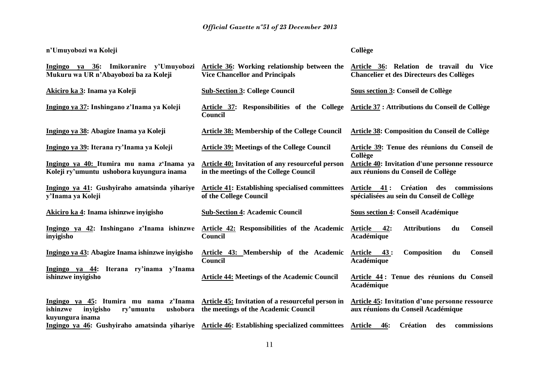### **n'Umuyobozi wa Koleji**

### **Collège**

| Ingingo ya 36: Imikoranire y'Umuyobozi<br>Mukuru wa UR n'Abayobozi ba za Koleji                             | Article 36: Working relationship between the<br><b>Vice Chancellor and Principals</b>      | Article 36: Relation de travail du Vice<br><b>Chancelier et des Directeurs des Collèges</b>            |
|-------------------------------------------------------------------------------------------------------------|--------------------------------------------------------------------------------------------|--------------------------------------------------------------------------------------------------------|
| Akiciro ka 3: Inama ya Koleji                                                                               | <b>Sub-Section 3: College Council</b>                                                      | Sous section 3: Conseil de Collège                                                                     |
| Ingingo ya 37: Inshingano z'Inama ya Koleji                                                                 | Article 37: Responsibilities of the College<br>Council                                     | Article 37 : Attributions du Conseil de Collège                                                        |
| Ingingo ya 38: Abagize Inama ya Koleji                                                                      | <b>Article 38: Membership of the College Council</b>                                       | <b>Article 38: Composition du Conseil de Collège</b>                                                   |
| Ingingo ya 39: Iterana ry'Inama ya Koleji                                                                   | <b>Article 39: Meetings of the College Council</b>                                         | Article 39: Tenue des réunions du Conseil de<br>Collège                                                |
| Ingingo ya 40: Itumira mu nama z'Inama ya<br>Koleji ry'umuntu ushobora kuyungura inama                      | Article 40: Invitation of any resourceful person<br>in the meetings of the College Council | <b>Article 40: Invitation d'une personne ressource</b><br>aux réunions du Conseil de Collège           |
| Ingingo ya 41: Gushyiraho amatsinda yihariye<br>y'Inama ya Koleji                                           | <b>Article 41: Establishing specialised committees</b><br>of the College Council           | <b>Création</b><br>Article<br>41 :<br>des<br>commissions<br>spécialisées au sein du Conseil de Collège |
| Akiciro ka 4: Inama ishinzwe inyigisho                                                                      | <b>Sub-Section 4: Academic Council</b>                                                     | <b>Sous section 4: Conseil Académique</b>                                                              |
| Ingingo ya 42: Inshingano z'Inama ishinzwe<br>inyigisho                                                     | Article 42: Responsibilities of the Academic<br>Council                                    | <b>Attributions</b><br>42:<br><b>Conseil</b><br><b>Article</b><br>du<br>Académique                     |
| Ingingo ya 43: Abagize Inama ishinzwe inyigisho                                                             | Article 43: Membership of the Academic<br>Council                                          | <b>Conseil</b><br>Article<br>43:<br>Composition<br>du<br>Académique                                    |
| Ingingo ya 44:<br>Iterana ry'inama y'Inama<br>ishinzwe inyigisho                                            | <b>Article 44: Meetings of the Academic Council</b>                                        | Article 44 : Tenue des réunions du Conseil<br>Académique                                               |
| Ingingo ya 45: Itumira mu nama z'Inama<br>ishinzwe<br>inyigisho<br>ry'umuntu<br>ushobora<br>kuyungura inama | Article 45: Invitation of a resourceful person in<br>the meetings of the Academic Council  | Article 45: Invitation d'une personne ressource<br>aux réunions du Conseil Académique                  |
| Ingingo ya 46: Gushyiraho amatsinda yihariye Article 46: Establishing specialized committees                |                                                                                            | <b>Article</b><br><b>Création</b><br><b>46:</b><br>des<br>commissions                                  |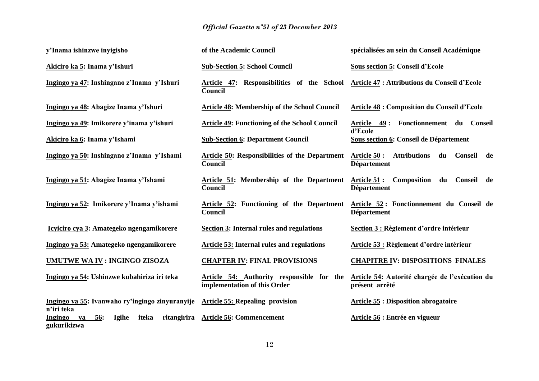| y'Inama ishinzwe inyigisho                                                   | of the Academic Council                                                   | spécialisées au sein du Conseil Académique                                       |
|------------------------------------------------------------------------------|---------------------------------------------------------------------------|----------------------------------------------------------------------------------|
| Akiciro ka 5: Inama y'Ishuri                                                 | <b>Sub-Section 5: School Council</b>                                      | <b>Sous section 5: Conseil d'Ecole</b>                                           |
| Ingingo ya 47: Inshingano z'Inama y'Ishuri                                   | Article 47: Responsibilities of the School<br>Council                     | Article 47 : Attributions du Conseil d'Ecole                                     |
| Ingingo ya 48: Abagize Inama y'Ishuri                                        | <b>Article 48: Membership of the School Council</b>                       | <b>Article 48 : Composition du Conseil d'Ecole</b>                               |
| Ingingo ya 49: Imikorere y'inama y'ishuri                                    | <b>Article 49: Functioning of the School Council</b>                      | Article 49: Fonctionnement du Conseil<br>d'Ecole                                 |
| Akiciro ka 6: Inama y'Ishami                                                 | <b>Sub-Section 6: Department Council</b>                                  | Sous section 6: Conseil de Département                                           |
| Ingingo ya 50: Inshingano z'Inama y'Ishami                                   | <b>Article 50: Responsibilities of the Department</b><br>Council          | <b>Attributions</b><br>Article 50 :<br>du<br>Conseil<br>de<br><b>Département</b> |
| Ingingo ya 51: Abagize Inama y'Ishami                                        | Article 51: Membership of the Department<br>Council                       | Article 51:<br>Composition<br>Conseil de<br>du<br><b>Département</b>             |
| Ingingo ya 52: Imikorere y'Inama y'ishami                                    | Article 52: Functioning of the Department<br>Council                      | Article 52: Fonctionnement du Conseil de<br><b>Département</b>                   |
| Icyiciro cya 3: Amategeko ngengamikorere                                     | <b>Section 3: Internal rules and regulations</b>                          | Section 3 : Règlement d'ordre intérieur                                          |
| Ingingo ya 53: Amategeko ngengamikorere                                      | <b>Article 53: Internal rules and regulations</b>                         | <b>Article 53 : Règlement d'ordre intérieur</b>                                  |
| <b>UMUTWE WA IV: INGINGO ZISOZA</b>                                          | <b>CHAPTER IV: FINAL PROVISIONS</b>                                       | <b>CHAPITRE IV: DISPOSITIONS FINALES</b>                                         |
| Ingingo ya 54: Ushinzwe kubahiriza iri teka                                  | Article 54: Authority responsible for the<br>implementation of this Order | Article 54: Autorité chargée de l'exécution du<br>présent arrêté                 |
| Ingingo ya 55: Ivanwaho ry'ingingo zinyuranyije<br>n'iri teka                | <b>Article 55: Repealing provision</b>                                    | <b>Article 55 : Disposition abrogatoire</b>                                      |
| Igihe<br>iteka<br>ritangirira<br>Ingingo<br><u>56</u> :<br>ya<br>gukurikizwa | <b>Article 56: Commencement</b>                                           | Article 56 : Entrée en vigueur                                                   |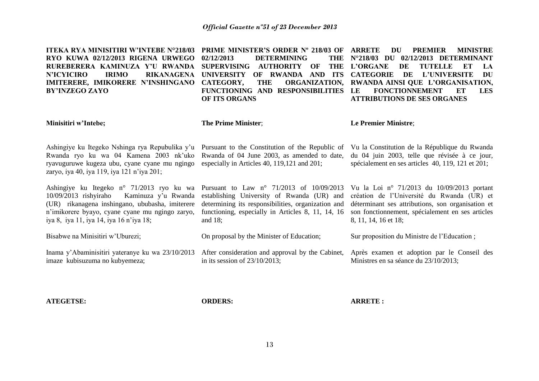| <b>ITEKA RYA MINISITIRI W'INTEBE N°218/03</b><br>RYO KUWA 02/12/2013 RIGENA URWEGO<br>RUREBERERA KAMINUZA Y'U RWANDA<br><b>IRIMO</b><br><b>N'ICYICIRO</b><br><b>RIKANAGENA</b><br>IMITERERE, IMIKORERE N'INSHINGANO<br><b>BY'INZEGO ZAYO</b> | <b>PRIME MINISTER'S ORDER N° 218/03 OF</b><br>02/12/2013<br><b>DETERMINING</b><br><b>THE</b><br><b>THE</b><br><b>SUPERVISING</b><br><b>AUTHORITY</b><br>OF<br><b>UNIVERSITY</b><br>AND ITS<br>OF RWANDA<br>CATEGORY,<br><b>THE</b><br><b>ORGANIZATION,</b><br>FUNCTIONING AND RESPONSIBILITIES<br>OF ITS ORGANS | <b>ARRETE</b><br>DU<br><b>PREMIER</b><br><b>MINISTRE</b><br>02/12/2013 DETERMINANT<br>$N^{\circ}218/03$ DU<br>L'ORGANE<br>DE<br><b>TUTELLE</b><br>LA<br>ET<br><b>CATEGORIE</b><br>DE<br><b>L'UNIVERSITE</b><br><b>DU</b><br>RWANDA AINSI QUE L'ORGANISATION,<br><b>FONCTIONNEMENT</b><br>ET<br>LE<br><b>LES</b><br><b>ATTRIBUTIONS DE SES ORGANES</b> |
|----------------------------------------------------------------------------------------------------------------------------------------------------------------------------------------------------------------------------------------------|-----------------------------------------------------------------------------------------------------------------------------------------------------------------------------------------------------------------------------------------------------------------------------------------------------------------|-------------------------------------------------------------------------------------------------------------------------------------------------------------------------------------------------------------------------------------------------------------------------------------------------------------------------------------------------------|
| Minisitiri w'Intebe;                                                                                                                                                                                                                         | The Prime Minister;                                                                                                                                                                                                                                                                                             | Le Premier Ministre;                                                                                                                                                                                                                                                                                                                                  |
| Ashingiye ku Itegeko Nshinga rya Repubulika y'u<br>Rwanda ryo ku wa 04 Kamena 2003 nk'uko<br>ryavuguruwe kugeza ubu, cyane cyane mu ngingo<br>zaryo, iya 40, iya 119, iya 121 n'iya 201;                                                     | Pursuant to the Constitution of the Republic of<br>Rwanda of 04 June 2003, as amended to date,<br>especially in Articles 40, 119,121 and 201;                                                                                                                                                                   | Vu la Constitution de la République du Rwanda<br>du 04 juin 2003, telle que révisée à ce jour,<br>spécialement en ses articles 40, 119, 121 et 201;                                                                                                                                                                                                   |
| Ashingiye ku Itegeko n° 71/2013 ryo ku wa<br>$10/09/2013$ rishyiraho<br>Kaminuza y'u Rwanda<br>(UR) rikanagena inshingano, ububasha, imiterere<br>n'imikorere byayo, cyane cyane mu ngingo zaryo,<br>iya 8, iya 11, iya 14, iya 16 n'iya 18; | Pursuant to Law n° 71/2013 of 10/09/2013<br>establishing University of Rwanda (UR) and<br>determining its responsibilities, organization and<br>functioning, especially in Articles 8, 11, 14, 16<br>and $18$ ;                                                                                                 | Vu la Loi nº 71/2013 du 10/09/2013 portant<br>création de l'Université du Rwanda (UR) et<br>déterminant ses attributions, son organisation et<br>son fonctionnement, spécialement en ses articles<br>8, 11, 14, 16 et 18;                                                                                                                             |
| Bisabwe na Minisitiri w'Uburezi;                                                                                                                                                                                                             | On proposal by the Minister of Education;                                                                                                                                                                                                                                                                       | Sur proposition du Ministre de l'Education;                                                                                                                                                                                                                                                                                                           |
| Inama y'Abaminisitiri yateranye ku wa 23/10/2013<br>imaze kubisuzuma no kubyemeza;                                                                                                                                                           | After consideration and approval by the Cabinet,<br>in its session of $23/10/2013$ ;                                                                                                                                                                                                                            | Après examen et adoption par le Conseil des<br>Ministres en sa séance du 23/10/2013;                                                                                                                                                                                                                                                                  |

**ATEGETSE:**

**ORDERS:**

**ARRETE :**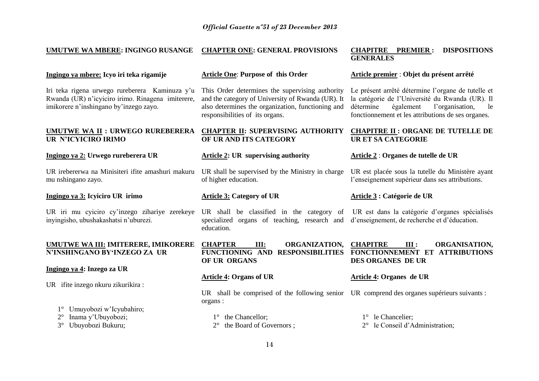#### **UMUTWE WA MBERE: INGINGO RUSANGE CHAPTER ONE: GENERAL PROVISIONS CHAPITRE PREMIER : DISPOSITIONS GENERALES**

#### **Ingingo ya mbere: Icyo iri teka rigamije**

Iri teka rigena urwego rureberera Kaminuza y'u Rwanda (UR) n'icyiciro irimo. Rinagena imiterere, imikorere n'inshingano by'inzego zayo.

# **UR N'ICYICIRO IRIMO**

#### **Ingingo ya 2: Urwego rureberera UR**

UR irebererwa na Minisiteri ifite amashuri makuru mu nshingano zayo.

#### **Ingingo ya 3: Icyiciro UR irimo**

UR iri mu cyiciro cy'inzego zihariye zerekeye inyingisho, ubushakashatsi n'uburezi.

#### **UMUTWE WA III: IMITERERE, IMIKORERE N'INSHINGANO BY'INZEGO ZA UR**

#### **Ingingo ya 4: Inzego za UR**

UR ifite inzego nkuru zikurikira :

1° Umuyobozi w'Icyubahiro;

2° Inama y'Ubuyobozi;

3° Ubuyobozi Bukuru;

#### **Article One**: **Purpose of this Order**

This Order determines the supervising authority and the category of University of Rwanda (UR). It also determines the organization, functioning and responsibilities of its organs.

#### **UMUTWE WA II : URWEGO RUREBERERA CHAPTER II: SUPERVISING AUTHORITY OF UR AND ITS CATEGORY**

#### **Article 2: UR supervising authority**

UR shall be supervised by the Ministry in charge of higher education.

#### **Article 3: Category of UR**

**OF UR ORGANS** 

UR shall be classified in the category of specialized organs of teaching, research and education.

**Article premier** : **Objet du présent arrêté**

Le présent arrêté détermine l'organe de tutelle et la catégorie de l'Université du Rwanda (UR). Il l'organisation, le fonctionnement et les attributions de ses organes.

#### **CHAPITRE II : ORGANE DE TUTELLE DE UR ET SA CATEGORIE**

#### **Article 2** : **Organes de tutelle de UR**

UR est placée sous la tutelle du Ministère ayant l'enseignement supérieur dans ses attributions.

#### **Article 3 : Catégorie de UR**

UR est dans la catégorie d'organes spécialisés d'enseignement, de recherche et d'éducation.

**CHAPTER III: ORGANIZATION, FUNCTIONING AND RESPONSIBILITIES CHAPITRE III : ORGANISATION, FONCTIONNEMENT ET ATTRIBUTIONS DES ORGANES DE UR**

#### **Article 4: Organs of UR**

UR shall be comprised of the following senior UR comprend des organes supérieurs suivants : organs :

1° the Chancellor:

2° the Board of Governors ;

#### **Article 4: Organes de UR**

1° le Chancelier:

2° le Conseil d'Administration;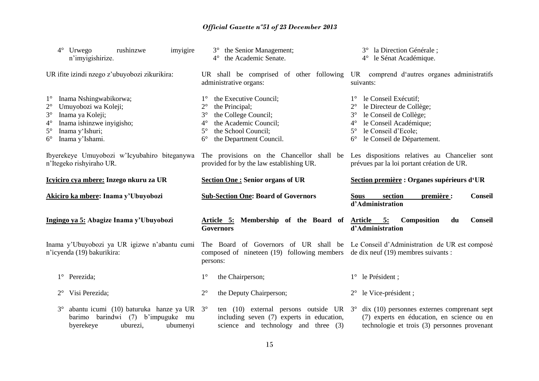| $4^{\circ}$<br>Urwego<br>rushinzwe<br>imyigire<br>n'imyigishirize.                                                                                                                                                            | 3° the Senior Management;<br>the Academic Senate.                                                                                                                                                                                   | 3° la Direction Générale;<br>4° le Sénat Académique.                                                                                                                                                                             |  |  |
|-------------------------------------------------------------------------------------------------------------------------------------------------------------------------------------------------------------------------------|-------------------------------------------------------------------------------------------------------------------------------------------------------------------------------------------------------------------------------------|----------------------------------------------------------------------------------------------------------------------------------------------------------------------------------------------------------------------------------|--|--|
| UR ifite izindi nzego z'ubuyobozi zikurikira:                                                                                                                                                                                 | UR shall be comprised of other following<br>administrative organs:                                                                                                                                                                  | UR comprend d'autres organes administratifs<br>suivants:                                                                                                                                                                         |  |  |
| Inama Nshingwabikorwa;<br>$1^{\circ}$<br>$2^{\circ}$<br>Umuyobozi wa Koleji;<br>Inama ya Koleji;<br>$3^\circ$<br>Inama ishinzwe inyigisho;<br>$4^{\circ}$<br>Inama y'Ishuri;<br>$5^{\circ}$<br>Inama y'Ishami.<br>$6^{\circ}$ | the Executive Council;<br>$1^{\circ}$<br>$2^{\circ}$<br>the Principal;<br>the College Council;<br>$3^\circ$<br>the Academic Council;<br>$4^{\circ}$<br>the School Council;<br>$5^{\circ}$<br>the Department Council.<br>$6^{\circ}$ | le Conseil Exécutif;<br>$1^{\circ}$<br>le Directeur de Collège;<br>$3^\circ$<br>le Conseil de Collège;<br>le Conseil Académique;<br>$4^\circ$<br>le Conseil d'Ecole;<br>$5^{\circ}$<br>le Conseil de Département.<br>$6^{\circ}$ |  |  |
| Ibyerekeye Umuyobozi w'Icyubahiro biteganywa<br>n'Itegeko rishyiraho UR.                                                                                                                                                      | provided for by the law establishing UR.                                                                                                                                                                                            | The provisions on the Chancellor shall be Les dispositions relatives au Chancelier sont<br>prévues par la loi portant création de UR.                                                                                            |  |  |
| Icyiciro cya mbere: Inzego nkuru za UR                                                                                                                                                                                        | <b>Section One: Senior organs of UR</b>                                                                                                                                                                                             | Section première : Organes supérieurs d'UR                                                                                                                                                                                       |  |  |
|                                                                                                                                                                                                                               |                                                                                                                                                                                                                                     |                                                                                                                                                                                                                                  |  |  |
| Akiciro ka mbere: Inama y'Ubuyobozi                                                                                                                                                                                           | <b>Sub-Section One: Board of Governors</b>                                                                                                                                                                                          | section<br><b>Conseil</b><br><b>Sous</b><br>première :<br>d'Administration                                                                                                                                                       |  |  |
| Ingingo ya 5: Abagize Inama y'Ubuyobozi                                                                                                                                                                                       | Article 5: Membership of the Board of<br><b>Governors</b>                                                                                                                                                                           | Article 5:<br>Composition<br><b>Conseil</b><br>du<br>d'Administration                                                                                                                                                            |  |  |
| Inama y'Ubuyobozi ya UR igizwe n'abantu cumi<br>n'icyenda (19) bakurikira:                                                                                                                                                    | The Board of Governors of UR shall be Le Conseil d'Administration de UR est composé<br>composed of nineteen (19) following members<br>persons:                                                                                      | de dix neuf (19) membres suivants :                                                                                                                                                                                              |  |  |
| 1° Perezida;                                                                                                                                                                                                                  | $1^{\circ}$<br>the Chairperson;                                                                                                                                                                                                     | 1° le Président;                                                                                                                                                                                                                 |  |  |
| Visi Perezida;                                                                                                                                                                                                                | $2^{\circ}$<br>the Deputy Chairperson;                                                                                                                                                                                              | $2^{\circ}$ le Vice-président;                                                                                                                                                                                                   |  |  |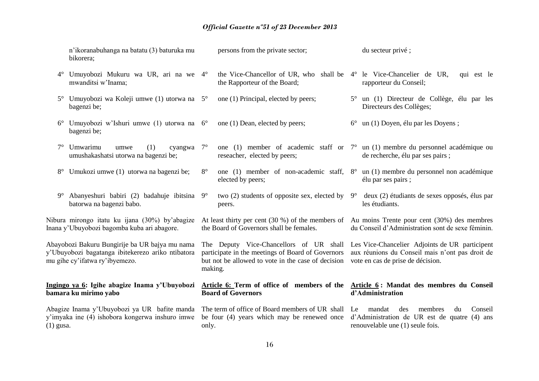|             | n'ikoranabuhanga na batatu (3) baturuka mu<br>bikorera;                                                                               |             | persons from the private sector;                                                                                                                   |             | du secteur privé ;                                                                                                                     |
|-------------|---------------------------------------------------------------------------------------------------------------------------------------|-------------|----------------------------------------------------------------------------------------------------------------------------------------------------|-------------|----------------------------------------------------------------------------------------------------------------------------------------|
| $4^{\circ}$ | Umuyobozi Mukuru wa UR, ari na we 4°<br>mwanditsi w'Inama;                                                                            |             | the Vice-Chancellor of UR, who shall be 4° le Vice-Chancelier de UR,<br>the Rapporteur of the Board;                                               |             | qui est le<br>rapporteur du Conseil;                                                                                                   |
| $5^\circ$   | Umuyobozi wa Koleji umwe (1) utorwa na $5^{\circ}$<br>bagenzi be;                                                                     |             | one (1) Principal, elected by peers;                                                                                                               |             | 5° un (1) Directeur de Collège, élu par les<br>Directeurs des Collèges;                                                                |
| $6^{\circ}$ | Umuyobozi w'Ishuri umwe (1) utorwa na 6°<br>bagenzi be;                                                                               |             | one (1) Dean, elected by peers;                                                                                                                    | $6^{\circ}$ | un (1) Doyen, élu par les Doyens;                                                                                                      |
| $7^{\circ}$ | Umwarimu<br>(1)<br>umwe<br>cyangwa<br>umushakashatsi utorwa na bagenzi be;                                                            | $7^{\circ}$ | reseacher, elected by peers;                                                                                                                       |             | one (1) member of academic staff or $7^{\circ}$ un (1) membre du personnel académique ou<br>de recherche, élu par ses pairs;           |
| $8^{\circ}$ | Umukozi umwe (1) utorwa na bagenzi be;                                                                                                | $8^{\circ}$ | elected by peers;                                                                                                                                  |             | one (1) member of non-academic staff, $8^{\circ}$ un (1) membre du personnel non académique<br>élu par ses pairs;                      |
| $9^{\circ}$ | Abanyeshuri babiri (2) badahuje ibitsina 9°<br>batorwa na bagenzi babo.                                                               |             | two (2) students of opposite sex, elected by<br>peers.                                                                                             | $9^{\circ}$ | deux (2) étudiants de sexes opposés, élus par<br>les étudiants.                                                                        |
|             | Nibura mirongo itatu ku ijana (30%) by'abagize<br>Inana y'Ubuyobozi bagomba kuba ari abagore.                                         |             | At least thirty per cent $(30\%)$ of the members of<br>the Board of Governors shall be females.                                                    |             | Au moins Trente pour cent (30%) des membres<br>du Conseil d'Administration sont de sexe féminin.                                       |
|             | Abayobozi Bakuru Bungirije ba UR bajya mu nama<br>y'Ubuyobozi bagatanga ibitekerezo ariko ntibatora<br>mu gihe cy'ifatwa ry'ibyemezo. | making.     | The Deputy Vice-Chancellors of UR shall<br>participate in the meetings of Board of Governors<br>but not be allowed to vote in the case of decision |             | Les Vice-Chancelier Adjoints de UR participent<br>aux réunions du Conseil mais n'ont pas droit de<br>vote en cas de prise de décision. |
|             | Ingingo ya 6: Igihe abagize Inama y'Ubuyobozi<br>bamara ku mirimo yabo                                                                |             | <b>Board of Governors</b>                                                                                                                          |             | Article 6: Term of office of members of the Article 6: Mandat des membres du Conseil<br>d'Administration                               |
| $(1)$ gusa. | Abagize Inama y'Ubuyobozi ya UR bafite manda<br>y'imyaka ine (4) ishobora kongerwa inshuro imwe                                       | only.       | The term of office of Board members of UR shall<br>be four (4) years which may be renewed once                                                     | Le          | Conseil<br>mandat<br>des<br>membres<br>du<br>d'Administration de UR est de quatre (4) ans<br>renouvelable une (1) seule fois.          |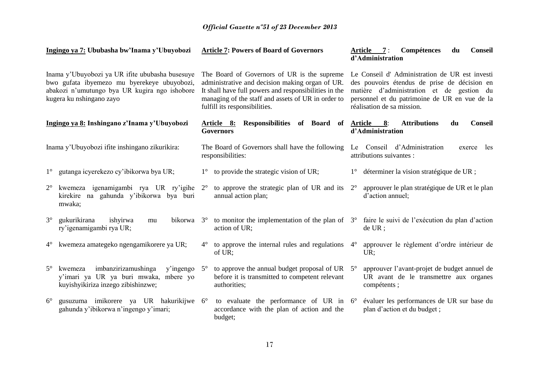|                                                                                                                                                                             | Ingingo ya 7: Ububasha bw'Inama y'Ubuyobozi                                                                                |             | <b>Article 7: Powers of Board of Governors</b>                                                                                                                                                                                                 |             | Compétences<br><b>Conseil</b><br>Article 7:<br>du<br>d'Administration                                                                                                                                                     |
|-----------------------------------------------------------------------------------------------------------------------------------------------------------------------------|----------------------------------------------------------------------------------------------------------------------------|-------------|------------------------------------------------------------------------------------------------------------------------------------------------------------------------------------------------------------------------------------------------|-------------|---------------------------------------------------------------------------------------------------------------------------------------------------------------------------------------------------------------------------|
| Inama y'Ubuyobozi ya UR ifite ububasha busesuye<br>bwo gufata ibyemezo mu byerekeye ubuyobozi,<br>abakozi n'umutungo bya UR kugira ngo ishobore<br>kugera ku nshingano zayo |                                                                                                                            |             | The Board of Governors of UR is the supreme<br>administrative and decision making organ of UR.<br>It shall have full powers and responsibilities in the<br>managing of the staff and assets of UR in order to<br>fulfill its responsibilities. |             | Le Conseil d'Administration de UR est investi<br>des pouvoirs étendus de prise de décision en<br>matière d'administration et de gestion du<br>personnel et du patrimoine de UR en vue de la<br>réalisation de sa mission. |
|                                                                                                                                                                             | Ingingo ya 8: Inshingano z'Inama y'Ubuyobozi                                                                               |             | Article 8: Responsibilities of Board of<br><b>Governors</b>                                                                                                                                                                                    |             | <b>Attributions</b><br>Article 8:<br><b>Conseil</b><br>du<br>d'Administration                                                                                                                                             |
|                                                                                                                                                                             | Inama y'Ubuyobozi ifite inshingano zikurikira:                                                                             |             | The Board of Governors shall have the following<br>responsibilities:                                                                                                                                                                           |             | Le Conseil d'Administration<br>exerce<br>les<br>attributions suivantes :                                                                                                                                                  |
| $1^{\circ}$                                                                                                                                                                 | gutanga icyerekezo cy'ibikorwa bya UR;                                                                                     | $1^{\circ}$ | to provide the strategic vision of UR;                                                                                                                                                                                                         |             | 1° déterminer la vision stratégique de UR ;                                                                                                                                                                               |
| $2^{\circ}$                                                                                                                                                                 | kwemeza igenamigambi rya UR ry'igihe<br>kirekire na gahunda y'ibikorwa bya buri<br>mwaka;                                  | $2^{\circ}$ | to approve the strategic plan of UR and its $2^{\circ}$<br>annual action plan;                                                                                                                                                                 |             | approuver le plan stratégique de UR et le plan<br>d'action annuel;                                                                                                                                                        |
| $3^\circ$                                                                                                                                                                   | ishyirwa<br>gukurikirana<br>bikorwa 3°<br>mu<br>ry'igenamigambi rya UR;                                                    |             | to monitor the implementation of the plan of $3^{\circ}$<br>action of UR;                                                                                                                                                                      |             | faire le suivi de l'exécution du plan d'action<br>$de UR$ ;                                                                                                                                                               |
| $4^\circ$                                                                                                                                                                   | kwemeza amategeko ngengamikorere ya UR;                                                                                    | $4^\circ$   | to approve the internal rules and regulations<br>of UR;                                                                                                                                                                                        | $4^{\circ}$ | approuver le règlement d'ordre intérieur de<br>UR:                                                                                                                                                                        |
| $5^\circ$                                                                                                                                                                   | imbanzirizamushinga<br>kwemeza<br>y'ingengo<br>y'imari ya UR ya buri mwaka, mbere yo<br>kuyishyikiriza inzego zibishinzwe; | $5^\circ$   | to approve the annual budget proposal of UR<br>before it is transmitted to competent relevant<br>authorities;                                                                                                                                  | $5^{\circ}$ | approuver l'avant-projet de budget annuel de<br>UR avant de le transmettre aux organes<br>compétents;                                                                                                                     |
| $6^{\circ}$                                                                                                                                                                 | gusuzuma imikorere ya UR hakurikijwe 6°<br>gahunda y'ibikorwa n'ingengo y'imari;                                           |             | to evaluate the performance of UR in $6^{\circ}$<br>accordance with the plan of action and the<br>budget;                                                                                                                                      |             | évaluer les performances de UR sur base du<br>plan d'action et du budget ;                                                                                                                                                |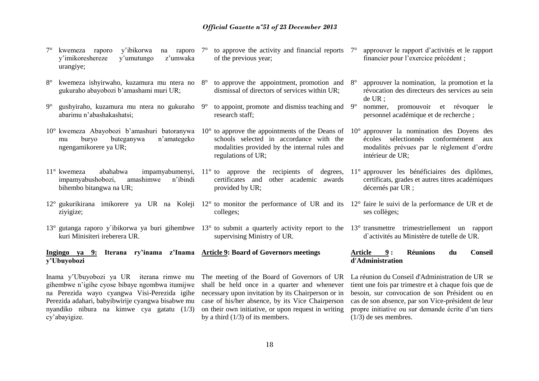- 7° kwemeza raporo y'ibikorwa na raporo y'imikoreshereze y'umutungo z'umwaka urangiye; to approve the activity and financial reports  $7^\circ$ of the previous year; approuver le rapport d'activités et le rapport financier pour l'exercice précédent ;
- 8° kwemeza ishyirwaho, kuzamura mu ntera no gukuraho abayobozi b'amashami muri UR; to approve the appointment, promotion and  $8^\circ$ dismissal of directors of services within UR;

research staff;

regulations of UR;

provided by UR;

supervising Ministry of UR.

colleges;

- 9° gushyiraho, kuzamura mu ntera no gukuraho abarimu n'abashakashatsi;
- 10° kwemeza Abayobozi b'amashuri batoranywa 10° to approve the appointments of the Deans of mu buryo buteganywa n'amategeko ngengamikorere ya UR;
- impamyabushobozi, amashimwe n'ibindi bihembo bitangwa na UR;
- ziyigize;
- 13° gutanga raporo y`ibikorwa ya buri gihembwe 13° to submit a quarterly activity report to the 13° transmettre trimestriellement un rapport kuri Minisiteri ireberera UR.

**Ingingo ya 9: Iterana ry'inama z'Inama Article 9: Board of Governors meetings y'Ubuyobozi** 

Inama y'Ubuyobozi ya UR iterana rimwe mu gihembwe n'igihe cyose bibaye ngombwa itumijwe na Perezida wayo cyangwa Visi-Perezida igihe Perezida adahari, babyibwirije cyangwa bisabwe mu nyandiko nibura na kimwe cya gatatu (1/3) cy'abayigize.

The meeting of the Board of Governors of UR shall be held once in a quarter and whenever necessary upon invitation by its Chairperson or in case of his/her absence, by its Vice Chairperson on their own initiative, or upon request in writing by a third (1/3) of its members.

- 8° approuver la nomination, la promotion et la révocation des directeurs des services au sein de UR ;
- 9° to appoint, promote and dismiss teaching and nommer, promouvoir et révoquer le personnel académique et de recherche ;
- schools selected in accordance with the modalities provided by the internal rules and 10° approuver la nomination des Doyens des écoles sélectionnés conformément aux modalités prévues par le règlement d'ordre intérieur de UR;
- 11° kwemeza abahabwa impamyabumenyi, 11° to approve the recipients of degrees, 11° approuver les bénéficiaires des diplômes, certificates and other academic awards certificats, grades et autres titres académiques décernés par UR ;
- 12° gukurikirana imikorere ya UR na Koleji 12° to monitor the performance of UR and its 12° faire le suivi de la performance de UR et de ses collèges;
	- d`activités au Ministère de tutelle de UR.

#### **Article 9 : Réunions du Conseil d'Administration**

La réunion du Conseil d'Administration de UR se tient une fois par trimestre et à chaque fois que de besoin, sur convocation de son Président ou en cas de son absence, par son Vice-président de leur propre initiative ou sur demande écrite d'un tiers (1/3) de ses membres.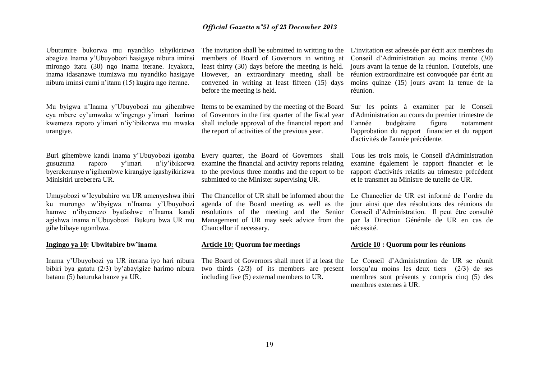Ubutumire bukorwa mu nyandiko ishyikirizwa abagize Inama y'Ubuyobozi hasigaye nibura iminsi mirongo itatu (30) ngo inama iterane. Icyakora, inama idasanzwe itumizwa mu nyandiko hasigaye nibura iminsi cumi n'itanu (15) kugira ngo iterane.

Mu byigwa n'Inama y'Ubuyobozi mu gihembwe cya mbere cy'umwaka w'ingengo y'imari harimo kwemeza raporo y'imari n'iy'ibikorwa mu mwaka urangiye.

Buri gihembwe kandi Inama y'Ubuyobozi igomba gusuzuma raporo y'imari n'iy'ibikorwa byerekeranye n'igihembwe kirangiye igashyikirizwa Minisitiri ureberera UR.

Umuyobozi w'Icyubahiro wa UR amenyeshwa ibiri ku murongo w'ibyigwa n'Inama y'Ubuyobozi hamwe n'ibyemezo byafashwe n'Inama kandi agishwa inama n'Ubuyobozi Bukuru bwa UR mu gihe bibaye ngombwa.

#### **Ingingo ya 10: Ubwitabire bw'inama**

Inama y'Ubuyobozi ya UR iterana iyo hari nibura bibiri bya gatatu (2/3) by'abayigize harimo nibura batanu (5) baturuka hanze ya UR.

members of Board of Governors in writing at least thirty (30) days before the meeting is held. However, an extraordinary meeting shall be convened in writing at least fifteen (15) days before the meeting is held.

Items to be examined by the meeting of the Board of Governors in the first quarter of the fiscal year shall include approval of the financial report and the report of activities of the previous year.

Every quarter, the Board of Governors shall examine the financial and activity reports relating to the previous three months and the report to be submitted to the Minister supervising UR.

The Chancellor of UR shall be informed about the agenda of the Board meeting as well as the resolutions of the meeting and the Senior Management of UR may seek advice from the Chancellor if necessary.

#### **Article 10: Quorum for meetings**

The Board of Governors shall meet if at least the two thirds (2/3) of its members are present including five (5) external members to UR.

The invitation shall be submitted in writting to the L'invitation est adressée par écrit aux membres du Conseil d'Administration au moins trente (30) jours avant la tenue de la réunion. Toutefois, une réunion extraordinaire est convoquée par écrit au moins quinze (15) jours avant la tenue de la réunion.

> Sur les points à examiner par le Conseil d'Administration au cours du premier trimestre de l'année budgétaire figure notamment l'approbation du rapport financier et du rapport d'activités de l'année précédente.

> Tous les trois mois, le Conseil d'Administration examine également le rapport financier et le rapport d'activités relatifs au trimestre précédent et le transmet au Ministre de tutelle de UR.

> Le Chancelier de UR est informé de l'ordre du jour ainsi que des résolutions des réunions du Conseil d'Administration. Il peut être consulté par la Direction Générale de UR en cas de nécessité.

#### **Article 10 : Quorum pour les réunions**

Le Conseil d'Administration de UR se réunit lorsqu'au moins les deux tiers (2/3) de ses membres sont présents y compris cinq (5) des membres externes à UR.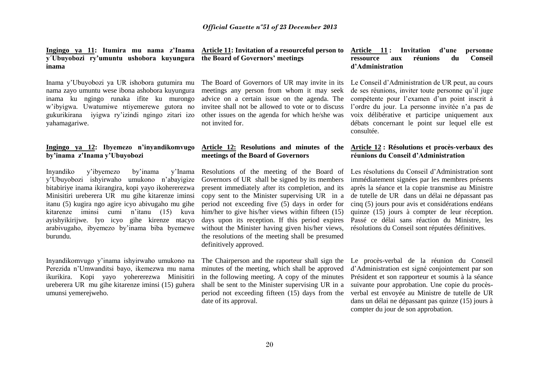**Ingingo ya 11: Itumira mu nama z'Inama y´Ubuyobozi ry'umuntu ushobora kuyungura inama**

Inama y'Ubuyobozi ya UR ishobora gutumira mu nama zayo umuntu wese ibona ashobora kuyungura inama ku ngingo runaka ifite ku murongo w'ibyigwa. Uwatumiwe ntiyemerewe gutora no gukurikirana iyigwa ry'izindi ngingo zitari izo yahamagariwe.

#### **Ingingo ya 12: Ibyemezo n'inyandikomvugo by'inama z'Inama y'Ubuyobozi**

Inyandiko y'ibyemezo by'inama y'Inama y'Ubuyobozi ishyirwaho umukono n'abayigize bitabiriye inama ikirangira, kopi yayo ikohererezwa Minisitiri ureberera UR mu gihe kitarenze iminsi itanu (5) kugira ngo agire icyo abivugaho mu gihe kitarenze iminsi cumi n'itanu (15) kuva ayishyikirijwe. Iyo icyo gihe kirenze ntacyo arabivugaho, ibyemezo by'inama biba byemewe burundu.

Inyandikomvugo y'inama ishyirwaho umukono na Perezida n'Umwanditsi bayo, ikemezwa mu nama ikurikira. Kopi yayo yohererezwa Minisitiri ureberera UR mu gihe kitarenze iminsi (15) guhera umunsi yemerejweho.

**Article 11: Invitation of a resourceful person to the Board of Governors' meetings**

The Board of Governors of UR may invite in its meetings any person from whom it may seek advice on a certain issue on the agenda. The invitee shall not be allowed to vote or to discuss other issues on the agenda for which he/she was not invited for.

#### **Article 12: Resolutions and minutes of the meetings of the Board of Governors**

Resolutions of the meeting of the Board of Governors of UR shall be signed by its members present immediately after its completion, and its copy sent to the Minister supervising UR in a period not exceeding five (5) days in order for him/her to give his/her views within fifteen (15) days upon its reception. If this period expires without the Minister having given his/her views, the resolutions of the meeting shall be presumed definitively approved.

The Chairperson and the raporteur shall sign the minutes of the meeting, which shall be approved in the following meeting. A copy of the minutes shall be sent to the Minister supervising UR in a period not exceeding fifteen (15) days from the date of its approval.

#### **Article 11 : Invitation d'une personne ressource aux réunions du Conseil d'Administration**

Le Conseil d'Administration de UR peut, au cours de ses réunions, inviter toute personne qu'il juge compétente pour l'examen d'un point inscrit à l'ordre du jour. La personne invitée n'a pas de voix délibérative et participe uniquement aux débats concernant le point sur lequel elle est consultée.

#### **Article 12 : Résolutions et procès-verbaux des réunions du Conseil d'Administration**

Les résolutions du Conseil d'Administration sont immédiatement signées par les membres présents après la séance et la copie transmise au Ministre de tutelle de UR dans un délai ne dépassant pas cinq (5) jours pour avis et considérations endéans quinze (15) jours à compter de leur réception. Passé ce délai sans réaction du Ministre, les résolutions du Conseil sont réputées définitives.

Le procès-verbal de la réunion du Conseil d'Administration est signé conjointement par son Président et son rapporteur et soumis à la séance suivante pour approbation. Une copie du procèsverbal est envoyée au Ministre de tutelle de UR dans un délai ne dépassant pas quinze (15) jours à compter du jour de son approbation.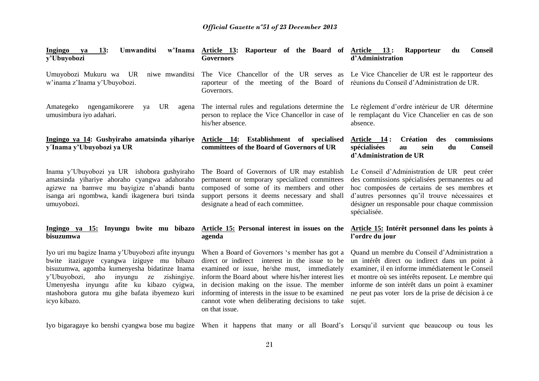| 13:<br>Umwanditsi<br>Ingingo<br>ya<br>y'Ubuyobozi                                                                                                                                                                                                                                                                       | w'Inama Article 13: Raporteur of the Board of Article 13:<br>Governors                                                                                                                                                                                                                                                                                                         | Rapporteur<br><b>Conseil</b><br>du<br>d'Administration                                                                                                                                                                                                                                                                      |
|-------------------------------------------------------------------------------------------------------------------------------------------------------------------------------------------------------------------------------------------------------------------------------------------------------------------------|--------------------------------------------------------------------------------------------------------------------------------------------------------------------------------------------------------------------------------------------------------------------------------------------------------------------------------------------------------------------------------|-----------------------------------------------------------------------------------------------------------------------------------------------------------------------------------------------------------------------------------------------------------------------------------------------------------------------------|
| Umuyobozi Mukuru wa UR<br>niwe mwanditsi<br>w'inama z'Inama y'Ubuyobozi.                                                                                                                                                                                                                                                | The Vice Chancellor of the UR serves as Le Vice Chancelier de UR est le rapporteur des<br>raporteur of the meeting of the Board of réunions du Conseil d'Administration de UR.<br>Governors.                                                                                                                                                                                   |                                                                                                                                                                                                                                                                                                                             |
| ngengamikorere<br>Amategeko<br>UR<br>ya<br>agena<br>umusimbura iyo adahari.                                                                                                                                                                                                                                             | The internal rules and regulations determine the<br>person to replace the Vice Chancellor in case of<br>his/her absence.                                                                                                                                                                                                                                                       | Le règlement d'ordre intérieur de UR détermine<br>le remplaçant du Vice Chancelier en cas de son<br>absence.                                                                                                                                                                                                                |
| Ingingo ya 14: Gushyiraho amatsinda yihariye<br>y'Inama y'Ubuyobozi ya UR                                                                                                                                                                                                                                               | Article 14: Establishment of specialised<br>committees of the Board of Governors of UR                                                                                                                                                                                                                                                                                         | <b>Création</b><br>commissions<br>Article 14:<br>des<br>spécialisées<br>du<br><b>Conseil</b><br>sein<br>au<br>d'Administration de UR                                                                                                                                                                                        |
| Inama y'Ubuyobozi ya UR ishobora gushyiraho<br>amatsinda yihariye ahoraho cyangwa adahoraho<br>agizwe na bamwe mu bayigize n'abandi bantu<br>isanga ari ngombwa, kandi ikagenera buri tsinda<br>umuyobozi.                                                                                                              | The Board of Governors of UR may establish<br>permanent or temporary specialized committees<br>composed of some of its members and other<br>support persons it deems necessary and shall<br>designate a head of each committee.                                                                                                                                                | Le Conseil d'Administration de UR peut créer<br>des commissions spécialisées permanentes ou ad<br>hoc composées de certains de ses membres et<br>d'autres personnes qu'il trouve nécessaires et<br>désigner un responsable pour chaque commission<br>spécialisée.                                                           |
| Ingingo ya 15: Inyungu bwite mu bibazo<br>bisuzumwa                                                                                                                                                                                                                                                                     | Article 15: Personal interest in issues on the<br>agenda                                                                                                                                                                                                                                                                                                                       | Article 15: Intérêt personnel dans les points à<br>l'ordre du jour                                                                                                                                                                                                                                                          |
| Iyo uri mu bagize Inama y'Ubuyobozi afite inyungu<br>bwite itaziguye cyangwa iziguye mu bibazo<br>bisuzumwa, agomba kumenyesha bidatinze Inama<br>zishingiye.<br>y'Ubuyobozi,<br>aho<br>inyungu<br>ze<br>afite ku kibazo cyigwa,<br>Umenyesha inyungu<br>ntashobora gutora mu gihe bafata ibyemezo kuri<br>icyo kibazo. | When a Board of Governors 's member has got a<br>direct or indirect interest in the issue to be<br>examined or issue, he/she must, immediately<br>inform the Board about where his/her interest lies<br>in decision making on the issue. The member<br>informing of interests in the issue to be examined<br>cannot vote when deliberating decisions to take<br>on that issue. | Quand un membre du Conseil d'Administration a<br>un intérêt direct ou indirect dans un point à<br>examiner, il en informe immédiatement le Conseil<br>et montre où ses intérêts reposent. Le membre qui<br>informe de son intérêt dans un point à examiner<br>ne peut pas voter lors de la prise de décision à ce<br>sujet. |

Iyo bigaragaye ko benshi cyangwa bose mu bagize When it happens that many or all Board's Lorsqu'il survient que beaucoup ou tous les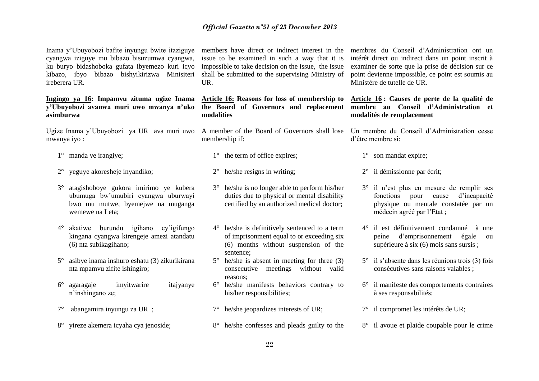Inama y'Ubuyobozi bafite inyungu bwite itaziguye cyangwa iziguye mu bibazo bisuzumwa cyangwa, ku buryo bidashoboka gufata ibyemezo kuri icyo kibazo, ibyo bibazo bishyikirizwa Minisiteri ireberera UR.

#### **Ingingo ya 16: Impamvu zituma ugize Inama y'Ubuyobozi avanwa muri uwo mwanya n'uko asimburwa**

Ugize Inama y'Ubuyobozi ya UR ava muri uwo A member of the Board of Governors shall lose mwanya iyo :

- 1° manda ye irangiye;
- 2° yeguye akoresheje inyandiko;
- 3° atagishoboye gukora imirimo ye kubera ubumuga bw'umubiri cyangwa uburwayi bwo mu mutwe, byemejwe na muganga wemewe na Leta;
- 4° akatiwe burundu igihano cy'igifungo kingana cyangwa kirengeje amezi atandatu (6) nta subikagihano;
- 5° asibye inama inshuro eshatu (3) zikurikirana nta mpamvu zifite ishingiro;
- 6° agaragaje imyitwarire itajyanye n'inshingano ze;
- 7° abangamira inyungu za UR ;
- 8° yireze akemera icyaha cya jenoside;

members have direct or indirect interest in the issue to be examined in such a way that it is impossible to take decision on the issue, the issue shall be submitted to the supervising Ministry of UR.

### **Article 16: Reasons for loss of membership to the Board of Governors and replacement modalities**

membership if:

- 1° the term of office expires;
- 2° he/she resigns in writing;
- 3° he/she is no longer able to perform his/her duties due to physical or mental disability certified by an authorized medical doctor;
- 4° he/she is definitively sentenced to a term of imprisonment equal to or exceeding six (6) months without suspension of the sentence;
- 5° he/she is absent in meeting for three (3) consecutive meetings without valid reasons;
- 6° he/she manifests behaviors contrary to his/her responsibilities;
- 7° he/she jeopardizes interests of UR;
- 8° he/she confesses and pleads guilty to the

membres du Conseil d'Administration ont un intérêt direct ou indirect dans un point inscrit à examiner de sorte que la prise de décision sur ce point devienne impossible, ce point est soumis au Ministère de tutelle de UR.

#### **Article 16 : Causes de perte de la qualité de membre au Conseil d'Administration et modalités de remplacement**

Un membre du Conseil d'Administration cesse d'être membre si:

1° son mandat expire;

- 2° il démissionne par écrit;
- 3° il n'est plus en mesure de remplir ses fonctions pour cause d'incapacité physique ou mentale constatée par un médecin agréé par l'Etat ;
- 4° il est définitivement condamné à une peine d'emprisonnement égale ou supérieure à six (6) mois sans sursis ;
- 5° il s'absente dans les réunions trois (3) fois consécutives sans raisons valables ;
- 6° il manifeste des comportements contraires à ses responsabilités;
- 7° il compromet les intérêts de UR;
- 8° il avoue et plaide coupable pour le crime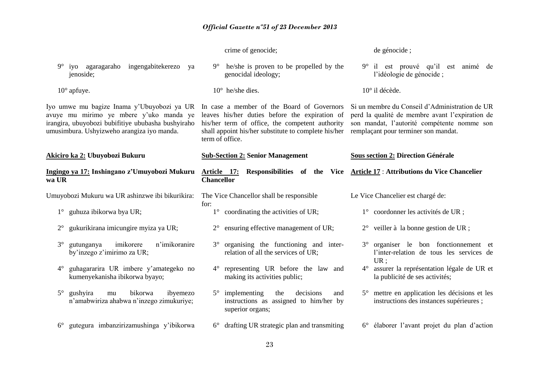|                                                                                                                                                                                           | crime of genocide;                                                                                                                                                                                                         | de génocide;                                                                                                                                                                             |
|-------------------------------------------------------------------------------------------------------------------------------------------------------------------------------------------|----------------------------------------------------------------------------------------------------------------------------------------------------------------------------------------------------------------------------|------------------------------------------------------------------------------------------------------------------------------------------------------------------------------------------|
| iyo agaragaraho ingengabitekerezo<br>$9^{\circ}$<br>ya<br>jenoside;                                                                                                                       | he/she is proven to be propelled by the<br>$9^{\circ}$<br>genocidal ideology;                                                                                                                                              | 9° il est prouvé qu'il est animé de<br>l'idéologie de génocide ;                                                                                                                         |
| $10^{\circ}$ apfuye.                                                                                                                                                                      | $10^{\circ}$ he/she dies.                                                                                                                                                                                                  | 10° il décède.                                                                                                                                                                           |
| Iyo umwe mu bagize Inama y'Ubuyobozi ya UR<br>avuye mu mirimo ye mbere y'uko manda ye<br>irangira, ubuyobozi bubifitiye ububasha bushyiraho<br>umusimbura. Ushyizweho arangiza iyo manda. | In case a member of the Board of Governors<br>leaves his/her duties before the expiration of<br>his/her term of office, the competent authority<br>shall appoint his/her substitute to complete his/her<br>term of office. | Si un membre du Conseil d'Administration de UR<br>perd la qualité de membre avant l'expiration de<br>son mandat, l'autorité compétente nomme son<br>remplaçant pour terminer son mandat. |
| Akiciro ka 2: Ubuyobozi Bukuru                                                                                                                                                            | <b>Sub-Section 2: Senior Management</b>                                                                                                                                                                                    | <b>Sous section 2: Direction Générale</b>                                                                                                                                                |
| Ingingo ya 17: Inshingano z'Umuyobozi Mukuru<br>wa UR                                                                                                                                     | Responsibilities of the Vice<br>Article 17:<br><b>Chancellor</b>                                                                                                                                                           | <b>Article 17: Attributions du Vice Chancelier</b>                                                                                                                                       |
|                                                                                                                                                                                           |                                                                                                                                                                                                                            |                                                                                                                                                                                          |
| Umuyobozi Mukuru wa UR ashinzwe ibi bikurikira:                                                                                                                                           | The Vice Chancellor shall be responsible                                                                                                                                                                                   | Le Vice Chancelier est chargé de:                                                                                                                                                        |
| 1° guhuza ibikorwa bya UR;                                                                                                                                                                | for:<br>$1^{\circ}$ coordinating the activities of UR;                                                                                                                                                                     | 1° coordonner les activités de UR ;                                                                                                                                                      |
| gukurikirana imicungire myiza ya UR;<br>$2^{\circ}$                                                                                                                                       | $2^{\circ}$ ensuring effective management of UR;                                                                                                                                                                           | veiller à la bonne gestion de UR ;<br>$2^{\circ}$                                                                                                                                        |
| imikorere<br>n'imikoranire<br>gutunganya<br>$3^\circ$<br>by'inzego z'imirimo za UR;                                                                                                       | 3° organising the functioning and inter-<br>relation of all the services of UR;                                                                                                                                            | 3° organiser le bon fonctionnement et<br>l'inter-relation de tous les services de                                                                                                        |
| guhagararira UR imbere y'amategeko no<br>$4^{\circ}$<br>kumenyekanisha ibikorwa byayo;                                                                                                    | representing UR before the law and<br>$4^\circ$<br>making its activities public;                                                                                                                                           | UR;<br>4° assurer la représentation légale de UR et<br>la publicité de ses activités;                                                                                                    |
| gushyira<br>bikorwa<br>ibyemezo<br>$5^{\circ}$<br>mu<br>n'amabwiriza ahabwa n'inzego zimukuriye;                                                                                          | implementing<br>decisions<br>the<br>$5^{\circ}$<br>and<br>instructions as assigned to him/her by<br>superior organs;                                                                                                       | 5° mettre en application les décisions et les<br>instructions des instances supérieures;                                                                                                 |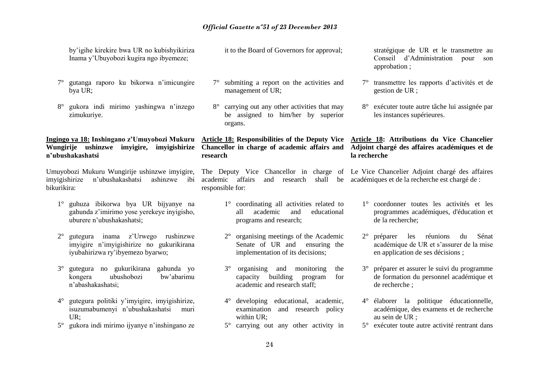| by'igihe kirekire bwa UR no kubishyikiriza<br>Inama y'Ubuyobozi kugira ngo ibyemeze;                                                   | it to the Board of Governors for approval;                                                                                                                    | stratégique de UR et le transmettre au<br>Conseil d'Administration pour<br>son<br>approbation;                                             |
|----------------------------------------------------------------------------------------------------------------------------------------|---------------------------------------------------------------------------------------------------------------------------------------------------------------|--------------------------------------------------------------------------------------------------------------------------------------------|
| gutanga raporo ku bikorwa n'imicungire<br>bya UR;                                                                                      | 7° submiting a report on the activities and<br>management of UR;                                                                                              | transmettre les rapports d'activités et de<br>$7^\circ$<br>gestion de UR ;                                                                 |
| gukora indi mirimo yashingwa n'inzego<br>$8^{\circ}$<br>zimukuriye.                                                                    | 8° carrying out any other activities that may<br>be assigned to him/her by superior<br>organs.                                                                | 8° exécuter toute autre tâche lui assignée par<br>les instances supérieures.                                                               |
| Ingingo ya 18: Inshingano z'Umuyobozi Mukuru<br>Wungirije ushinzwe<br>imyigire, imyigishirize<br>n'ubushakashatsi                      | Article 18: Responsibilities of the Deputy Vice<br>Chancellor in charge of academic affairs and<br>research                                                   | Article 18: Attributions du Vice Chancelier<br>Adjoint chargé des affaires académiques et de<br>la recherche                               |
| Umuyobozi Mukuru Wungirije ushinzwe imyigire,<br>imyigishirize<br>n'ubushakashatsi<br>ashinzwe<br>ibi<br>bikurikira:                   | The Deputy Vice Chancellor in charge of Le Vice Chancelier Adjoint chargé des affaires<br>affairs<br>academic<br>and<br>research<br>shall<br>responsible for: | be académiques et de la recherche est chargé de :                                                                                          |
| guhuza ibikorwa bya UR bijyanye na<br>gahunda z'imirimo yose yerekeye inyigisho,<br>uburere n'ubushakashatsi;                          | 1° coordinating all activities related to<br>academic<br>and<br>educational<br>all-<br>programs and research;                                                 | 1° coordonner toutes les activités et les<br>programmes académiques, d'éducation et<br>de la recherche;                                    |
| inama z'Urwego<br>rushinzwe<br>$2^{\circ}$<br>gutegura<br>imyigire n'imyigishirize no gukurikirana<br>iyubahirizwa ry'ibyemezo byarwo; | organising meetings of the Academic<br>$2^{\circ}$<br>Senate of UR and<br>ensuring the<br>implementation of its decisions;                                    | $2^{\circ}$<br>réunions<br>Sénat<br>préparer<br>les<br>du<br>académique de UR et s'assurer de la mise<br>en application de ses décisions ; |
| gutegura no gukurikirana gahunda yo<br>$3^\circ$<br>ubushobozi<br>bw'abarimu<br>kongera<br>n'abashakashatsi;                           | $3^\circ$<br>organising<br>and<br>monitoring<br>the<br>building<br>capacity<br>program<br>for<br>academic and research staff;                                 | 3° préparer et assurer le suivi du programme<br>de formation du personnel académique et<br>de recherche;                                   |
| gutegura politiki y'imyigire, imyigishirize,<br>$4^\circ$<br>isuzumabumenyi n'ubushakashatsi<br>muri<br>UR:                            | developing educational, academic,<br>$4^{\circ}$<br>examination and research policy<br>within UR;                                                             | 4° élaborer la politique éducationnelle,<br>académique, des examens et de recherche<br>au sein de UR ;                                     |
| gukora indi mirimo ijyanye n'inshingano ze<br>$5^{\circ}$                                                                              | carrying out any other activity in<br>$5^{\circ}$                                                                                                             | 5° exécuter toute autre activité rentrant dans                                                                                             |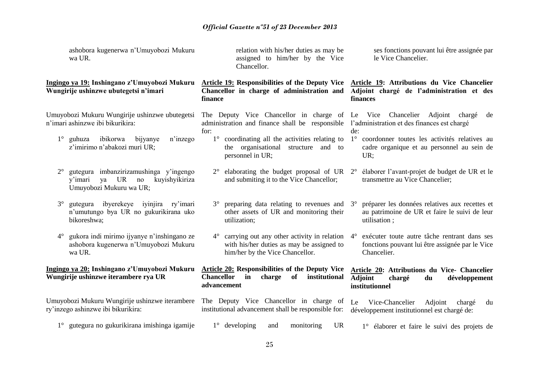|             | ashobora kugenerwa n'Umuyobozi Mukuru<br>wa UR.                                                                         |                                  | Chancellor.                     |        | relation with his/her duties as may be<br>assigned to him/her by the Vice                      |               | ses fonctions pouvant lui être assignée par<br>le Vice Chancelier.                                                                                   |
|-------------|-------------------------------------------------------------------------------------------------------------------------|----------------------------------|---------------------------------|--------|------------------------------------------------------------------------------------------------|---------------|------------------------------------------------------------------------------------------------------------------------------------------------------|
|             | Ingingo ya 19: Inshingano z'Umuyobozi Mukuru<br>Wungirije ushinzwe ubutegetsi n'imari                                   | finance                          |                                 |        | Chancellor in charge of administration and                                                     |               | Article 19: Responsibilities of the Deputy Vice Article 19: Attributions du Vice Chancelier<br>Adjoint chargé de l'administration et des<br>finances |
|             | Umuyobozi Mukuru Wungirije ushinzwe ubutegetsi<br>n'imari ashinzwe ibi bikurikira:                                      | for:                             |                                 |        | administration and finance shall be responsible                                                |               | The Deputy Vice Chancellor in charge of Le Vice Chancelier Adjoint charge<br>de<br>l'administration et des finances est chargé<br>de:                |
| $1^{\circ}$ | ibikorwa<br>bijyanye<br>n'inzego<br>guhuza<br>z'imirimo n'abakozi muri UR;                                              |                                  | the<br>personnel in UR;         |        | 1° coordinating all the activities relating to<br>organisational structure                     | and to        | 1° coordonner toutes les activités relatives au<br>cadre organique et au personnel au sein de<br>UR:                                                 |
| $2^{\circ}$ | gutegura imbanzirizamushinga y'ingengo<br><b>UR</b><br>no<br>kuyishyikiriza<br>y'imari<br>ya<br>Umuyobozi Mukuru wa UR; |                                  |                                 |        | and submiting it to the Vice Chancellor;                                                       |               | elaborating the budget proposal of UR $2^{\circ}$ élaborer l'avant-projet de budget de UR et le<br>transmettre au Vice Chancelier;                   |
| $3^\circ$   | ibyerekeye iyinjira ry'imari<br>gutegura<br>n'umutungo bya UR no gukurikirana uko<br>bikoreshwa;                        | $3^{\circ}$                      | utilization;                    |        | preparing data relating to revenues and<br>other assets of UR and monitoring their             |               | préparer les données relatives aux recettes et<br>$3^\circ$<br>au patrimoine de UR et faire le suivi de leur<br>utilisation;                         |
| $4^{\circ}$ | gukora indi mirimo ijyanye n'inshingano ze<br>ashobora kugenerwa n'Umuyobozi Mukuru<br>wa UR.                           | $4^\circ$                        | him/her by the Vice Chancellor. |        | carrying out any other activity in relation<br>with his/her duties as may be assigned to       |               | exécuter toute autre tâche rentrant dans ses<br>$4^\circ$<br>fonctions pouvant lui être assignée par le Vice<br>Chancelier.                          |
|             | Ingingo ya 20: Inshingano z'Umuyobozi Mukuru<br>Wungirije ushinzwe iterambere rya UR                                    | <b>Chancellor</b><br>advancement | in                              | charge | Article 20: Responsibilities of the Deputy Vice<br>of                                          | institutional | Article 20: Attributions du Vice- Chancelier<br><b>Adjoint</b><br>développement<br>chargé<br>du<br>institutionnel                                    |
|             | Umuyobozi Mukuru Wungirije ushinzwe iterambere<br>ry'inzego ashinzwe ibi bikurikira:                                    |                                  |                                 |        | The Deputy Vice Chancellor in charge of<br>institutional advancement shall be responsible for: |               | Vice-Chancelier<br>Le<br>Adjoint<br>chargé<br>du<br>développement institutionnel est chargé de:                                                      |
|             | 1° gutegura no gukurikirana imishinga igamije                                                                           |                                  | $1^\circ$ developing            | and    | monitoring                                                                                     | <b>UR</b>     | 1° élaborer et faire le suivi des projets de                                                                                                         |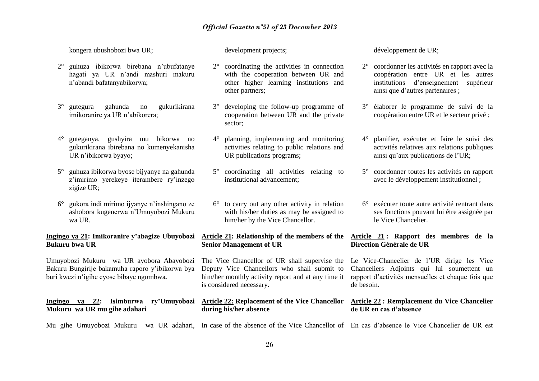kongera ubushobozi bwa UR;

- 2° guhuza ibikorwa birebana n'ubufatanye hagati ya UR n'andi mashuri makuru n'abandi bafatanyabikorwa;
- 3° gutegura gahunda no gukurikirana imikoranire ya UR n'abikorera;
- 4° guteganya, gushyira mu bikorwa no gukurikirana ibirebana no kumenyekanisha UR n'ibikorwa byayo;
- 5° guhuza ibikorwa byose bijyanye na gahunda z'imirimo verekeye iterambere ry'inzego zigize UR;
- 6° gukora indi mirimo ijyanye n'inshingano ze ashobora kugenerwa n'Umuyobozi Mukuru wa UR.

### **Ingingo ya 21: Imikoranire y'abagize Ubuyobozi Bukuru bwa UR**

Umuyobozi Mukuru wa UR ayobora Abayobozi Bakuru Bungirije bakamuha raporo y'ibikorwa bya buri kwezi n'igihe cyose bibaye ngombwa.

#### **Ingingo ya 22: Isimburwa ry'Umuyobozi Mukuru wa UR mu gihe adahari**

development projects;

- 2° coordinating the activities in connection with the cooperation between UR and other higher learning institutions and other partners;
- 3° developing the follow-up programme of cooperation between UR and the private sector;
- 4° planning, implementing and monitoring activities relating to public relations and UR publications programs;
- 5° coordinating all activities relating to institutional advancement;
- 6° to carry out any other activity in relation with his/her duties as may be assigned to him/her by the Vice Chancellor.

### **Article 21: Relationship of the members of the Senior Management of UR**

The Vice Chancellor of UR shall supervise the Deputy Vice Chancellors who shall submit to him/her monthly activity report and at any time it is considered necessary.

#### **Article 22: Replacement of the Vice Chancellor during his/her absence**

développement de UR;

- 2° coordonner les activités en rapport avec la coopération entre UR et les autres institutions d'enseignement supérieur ainsi que d'autres partenaires ;
- 3° élaborer le programme de suivi de la coopération entre UR et le secteur privé ;
- 4° planifier, exécuter et faire le suivi des activités relatives aux relations publiques ainsi qu'aux publications de l'UR;
- 5° coordonner toutes les activités en rapport avec le développement institutionnel ;
- 6° exécuter toute autre activité rentrant dans ses fonctions pouvant lui être assignée par le Vice Chancelier.

### **Article 21 : Rapport des membres de la Direction Générale de UR**

Le Vice-Chancelier de l'UR dirige les Vice Chanceliers Adjoints qui lui soumettent un rapport d'activités mensuelles et chaque fois que de besoin.

#### **Article 22 : Remplacement du Vice Chancelier de UR en cas d'absence**

Mu gihe Umuyobozi Mukuru wa UR adahari, In case of the absence of the Vice Chancellor of En cas d'absence le Vice Chancelier de UR est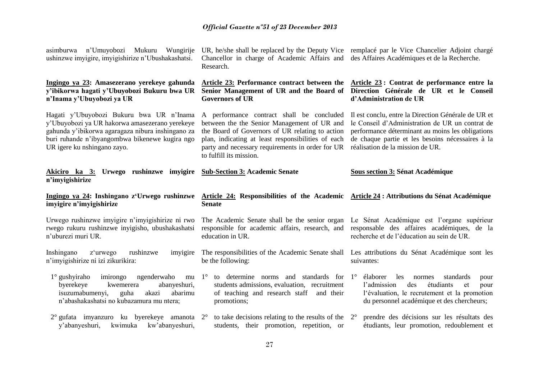| asimburwa n'Umuyobozi Mukuru<br>Wungirije<br>ushinzwe imvigire, imvigishirize n'Ubushakashatsi.                                                                                                                                  | UR, he/she shall be replaced by the Deputy Vice remplace par le Vice Chancelier Adjoint charge<br>Chancellor in charge of Academic Affairs and des Affaires Académiques et de la Recherche.<br>Research.                                                                         |                                                                                                                                                                                                                                                    |
|----------------------------------------------------------------------------------------------------------------------------------------------------------------------------------------------------------------------------------|----------------------------------------------------------------------------------------------------------------------------------------------------------------------------------------------------------------------------------------------------------------------------------|----------------------------------------------------------------------------------------------------------------------------------------------------------------------------------------------------------------------------------------------------|
| Ingingo ya 23: Amasezerano yerekeye gahunda<br>y'ibikorwa hagati y'Ubuyobozi Bukuru bwa UR<br>n'Inama y'Ubuyobozi ya UR                                                                                                          | <b>Governors of UR</b>                                                                                                                                                                                                                                                           | Article 23: Performance contract between the Article 23: Contrat de performance entre la<br>Senior Management of UR and the Board of Direction Générale de UR et le Conseil<br>d'Administration de UR                                              |
| Hagati y'Ubuyobozi Bukuru bwa UR n'Inama<br>y'Ubuyobozi ya UR hakorwa amasezerano yerekeye<br>gahunda y'ibikorwa agaragaza nibura inshingano za<br>buri ruhande n'ibyangombwa bikenewe kugira ngo<br>UR igere ku nshingano zayo. | A performance contract shall be concluded<br>between the the Senior Management of UR and<br>the Board of Governors of UR relating to action<br>plan, indicating at least responsibilities of each<br>party and necessary requirements in order for UR<br>to fulfill its mission. | Il est conclu, entre la Direction Générale de UR et<br>le Conseil d'Administration de UR un contrat de<br>performance déterminant au moins les obligations<br>de chaque partie et les besoins nécessaires à la<br>réalisation de la mission de UR. |
| Akiciro ka 3: Urwego rushinzwe imyigire<br>n'imyigishirize                                                                                                                                                                       | <b>Sub-Section 3: Academic Senate</b>                                                                                                                                                                                                                                            | <b>Sous section 3: Sénat Académique</b>                                                                                                                                                                                                            |
|                                                                                                                                                                                                                                  |                                                                                                                                                                                                                                                                                  |                                                                                                                                                                                                                                                    |
| Ingingo ya 24: Inshingano z'Urwego rushinzwe<br>imyigire n'imyigishirize                                                                                                                                                         | Article 24: Responsibilities of the Academic Article 24: Attributions du Sénat Académique<br><b>Senate</b>                                                                                                                                                                       |                                                                                                                                                                                                                                                    |
| Urwego rushinzwe imyigire n'imyigishirize ni rwo<br>rwego rukuru rushinzwe inyigisho, ubushakashatsi<br>n'uburezi muri UR.                                                                                                       | The Academic Senate shall be the senior organ<br>responsible for academic affairs, research, and<br>education in UR.                                                                                                                                                             | Le Sénat Académique est l'organe supérieur<br>responsable des affaires académiques, de la<br>recherche et de l'éducation au sein de UR.                                                                                                            |
| Inshingano<br>z'urwego<br>rushinzwe<br>imyigire<br>n'imyigishirize ni izi zikurikira:                                                                                                                                            | The responsibilities of the Academic Senate shall<br>be the following:                                                                                                                                                                                                           | Les attributions du Sénat Académique sont les<br>suivantes:                                                                                                                                                                                        |
| $1^\circ$ gushyiraho<br>imirongo<br>ngenderwaho<br>mu $1^\circ$<br>byerekeye<br>abanyeshuri,<br>kwemerera<br>isuzumabumenyi,<br>guha<br>akazi<br>abarimu<br>n'abashakashatsi no kubazamura mu ntera;                             | to determine norms and standards for $1^\circ$<br>students admissions, evaluation, recruitment<br>of teaching and research staff<br>and their<br>promotions;                                                                                                                     | élaborer<br>les<br>normes<br>standards<br>pour<br>l'admission<br>des<br>étudiants<br>et<br>pour<br>l'évaluation, le recrutement et la promotion<br>du personnel académique et des chercheurs;                                                      |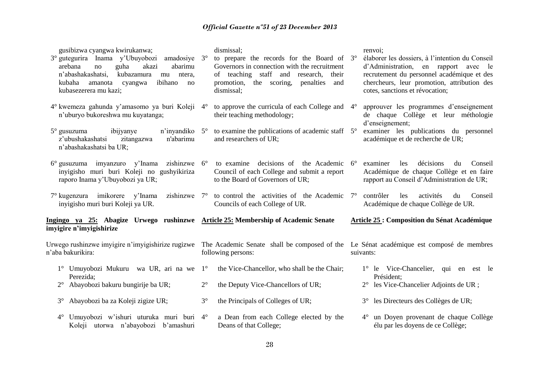| gusibizwa cyangwa kwirukanwa;<br>3° gutegurira Inama y'Ubuyobozi<br>amadosiye $3^\circ$<br>abarimu<br>arebana<br>guha<br>akazi<br>no<br>n'abashakashatsi.<br>kubazamura<br>mu<br>ntera,<br>ibihano<br>kubaha<br>amanota<br>cyangwa<br>no<br>kubasezerera mu kazi; | dismissal;<br>to prepare the records for the Board of $3^\circ$<br>Governors in connection with the recruitment<br>of teaching staff and<br>research,<br>their<br>promotion, the scoring,<br>penalties<br>and<br>dismissal; | renvoi;<br>élaborer les dossiers, à l'intention du Conseil<br>d'Administration, en rapport avec le<br>recrutement du personnel académique et des<br>chercheurs, leur promotion, attribution des<br>cotes, sanctions et révocation; |
|-------------------------------------------------------------------------------------------------------------------------------------------------------------------------------------------------------------------------------------------------------------------|-----------------------------------------------------------------------------------------------------------------------------------------------------------------------------------------------------------------------------|------------------------------------------------------------------------------------------------------------------------------------------------------------------------------------------------------------------------------------|
| 4° kwemeza gahunda y'amasomo ya buri Koleji 4°<br>n'uburyo bukoreshwa mu kuyatanga;                                                                                                                                                                               | to approve the curricula of each College and<br>their teaching methodology;                                                                                                                                                 | approuver les programmes d'enseignement<br>$4^{\circ}$<br>de chaque Collège et leur méthologie<br>d'enseignement;                                                                                                                  |
| $5^\circ$ gusuzuma<br>ibijyanye<br>n'iny andiko $5^\circ$<br>z'ubushakashatsi<br>zitangazwa<br>n'abarimu<br>n'abashakashatsi ba UR;                                                                                                                               | to examine the publications of academic staff $5^\circ$<br>and researchers of UR;                                                                                                                                           | examiner les publications du personnel<br>académique et de recherche de UR;                                                                                                                                                        |
| 6° gusuzuma imyanzuro y'Inama<br>zishinzwe $6^{\circ}$<br>inyigisho muri buri Koleji no gushyikiriza<br>raporo Inama y'Ubuyobozi ya UR;                                                                                                                           | to examine decisions of the Academic 6°<br>Council of each College and submit a report<br>to the Board of Governors of UR;                                                                                                  | décisions<br>examiner<br>les<br>Conseil<br>du<br>Académique de chaque Collège et en faire<br>rapport au Conseil d'Administration de UR;                                                                                            |
| 7° kugenzura imikorere y'Inama<br>zishinzwe $7^\circ$<br>inyigisho muri buri Koleji ya UR.                                                                                                                                                                        | to control the activities of the Academic<br>Councils of each College of UR.                                                                                                                                                | contrôler<br>les<br>activités<br>Conseil<br>$7^{\circ}$<br>du<br>Académique de chaque Collège de UR.                                                                                                                               |
| Ingingo ya 25: Abagize Urwego rushinzwe Article 25: Membership of Academic Senate<br>imyigire n'imyigishirize                                                                                                                                                     |                                                                                                                                                                                                                             | <b>Article 25: Composition du Sénat Académique</b>                                                                                                                                                                                 |
| Urwego rushinzwe imyigire n'imyigishirize rugizwe<br>n'aba bakurikira:                                                                                                                                                                                            | The Academic Senate shall be composed of the Le Sénat académique est composé de membres<br>following persons:                                                                                                               | suivants:                                                                                                                                                                                                                          |
| 1° Umuyobozi Mukuru wa UR, ari na we 1°<br>Perezida;                                                                                                                                                                                                              | the Vice-Chancellor, who shall be the Chair;                                                                                                                                                                                | 1° le Vice-Chancelier, qui en est le<br>Président;                                                                                                                                                                                 |
| Abayobozi bakuru bungirije ba UR;                                                                                                                                                                                                                                 | $2^{\circ}$<br>the Deputy Vice-Chancellors of UR;                                                                                                                                                                           | les Vice-Chancelier Adjoints de UR ;                                                                                                                                                                                               |
| Abayobozi ba za Koleji zigize UR;<br>$3^\circ$                                                                                                                                                                                                                    | $3^{\circ}$<br>the Principals of Colleges of UR;                                                                                                                                                                            | les Directeurs des Collèges de UR;<br>$3^\circ$                                                                                                                                                                                    |
| Umuyobozi w'ishuri uturuka muri buri 4°<br>$4^\circ$<br>Koleji utorwa n'abayobozi b'amashuri                                                                                                                                                                      | a Dean from each College elected by the<br>Deans of that College;                                                                                                                                                           | un Doyen provenant de chaque Collège<br>$4^{\circ}$<br>élu par les doyens de ce Collège;                                                                                                                                           |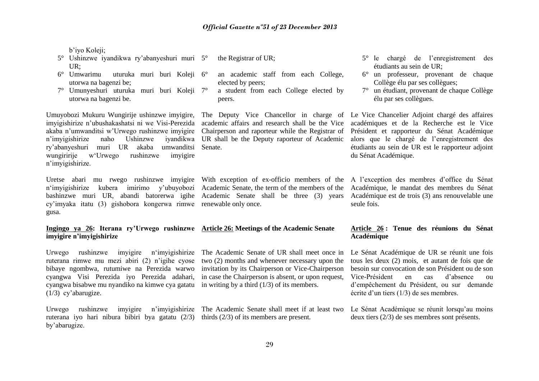b'iyo Koleji;

- 5° Ushinzwe iyandikwa ry'abanyeshuri muri UR;
- 6° Umwarimu uturuka muri buri Koleji utorwa na bagenzi be;
- 7° Umunyeshuri uturuka muri buri Koleji utorwa na bagenzi be.

Umuyobozi Mukuru Wungirije ushinzwe imyigire, The Deputy Vice Chancellor in charge of imyigishirize n'ubushakashatsi ni we Visi-Perezida akaba n'umwanditsi w'Urwego rushinzwe imyigire n'imvigishirize naho Ushinzwe ry'abanyeshuri muri UR akaba umwanditsi wungiririje w'Urwego rushinzwe imyigire n'imyigishirize.

n'imyigishirize kubera imirimo y'ubuyobozi Academic Senate, the term of the members of the Académique, le mandat des membres du Sénat bashinzwe muri UR, abandi batorerwa igihe Academic Senate shall be three (3) years cy'imyaka itatu (3) gishobora kongerwa rimwe renewable only once. gusa.

# **imyigire n'imyigishirize**

Urwego rushinzwe imyigire n'imyigishirize The Academic Senate of UR shall meet once in ruterana rimwe mu mezi abiri (2) n'igihe cyose bibaye ngombwa, rutumiwe na Perezida warwo cyangwa Visi Perezida iyo Perezida adahari, cyangwa bisabwe mu nyandiko na kimwe cya gatatu in writing by a third (1/3) of its members. (1/3) cy'abarugize.

Urwego rushinzwe imyigire n'imyigishirize The Academic Senate shall meet if at least two ruterana iyo hari nibura bibiri bya gatatu (2/3) thirds (2/3) of its members are present. by'abarugize.

- the Registrar of UR;
- an academic staff from each College, elected by peers;
- a student from each College elected by peers.

academic affairs and research shall be the Vice Chairperson and raporteur while the Registrar of UR shall be the Deputy raporteur of Academic Senate.

# **Ingingo ya 26: Iterana ry'Urwego rushinzwe Article 26: Meetings of the Academic Senate**

two (2) months and whenever necessary upon the invitation by its Chairperson or Vice-Chairperson in case the Chairperson is absent, or upon request,

- 5° le chargé de l'enregistrement des étudiants au sein de UR;
- 6° un professeur, provenant de chaque Collège élu par ses collègues;
- 7° un étudiant, provenant de chaque Collège élu par ses collègues.

Le Vice Chancelier Adjoint chargé des affaires académiques et de la Recherche est le Vice Président et rapporteur du Sénat Académique alors que le chargé de l'enregistrement des étudiants au sein de UR est le rapporteur adjoint du Sénat Académique.

Uretse abari mu rwego rushinzwe imyigire With exception of ex-officio members of the A l'exception des membres d'office du Sénat Académique est de trois (3) ans renouvelable une seule fois.

#### **Article 26 : Tenue des réunions du Sénat Académique**

Le Sénat Académique de UR se réunit une fois tous les deux (2) mois, et autant de fois que de besoin sur convocation de son Président ou de son Vice-Président en cas d'absence ou d'empêchement du Président, ou sur demande écrite d'un tiers (1/3) de ses membres.

Le Sénat Académique se réunit lorsqu'au moins deux tiers (2/3) de ses membres sont présents.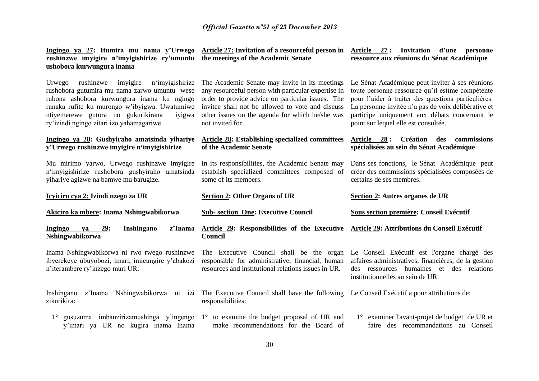| rushinzwe imyigire n'imyigishirize ry'umuntu the meetings of the Academic Senate<br>ushobora kurwungura inama                                                                                                                                                                                  | Ingingo ya 27: Itumira mu nama y'Urwego Article 27: Invitation of a resourceful person in                                                                                                                                                                                             | Article 27: Invitation d'une personne<br>ressource aux réunions du Sénat Académique                                                                                                                                                                                                                        |  |  |
|------------------------------------------------------------------------------------------------------------------------------------------------------------------------------------------------------------------------------------------------------------------------------------------------|---------------------------------------------------------------------------------------------------------------------------------------------------------------------------------------------------------------------------------------------------------------------------------------|------------------------------------------------------------------------------------------------------------------------------------------------------------------------------------------------------------------------------------------------------------------------------------------------------------|--|--|
| rushinzwe<br>n'imyigishirize<br>Urwego<br>imyigire<br>rushobora gutumira mu nama zarwo umuntu wese<br>rubona ashobora kurwungura inama ku ngingo<br>runaka rufite ku murongo w'ibyigwa. Uwatumiwe<br>ntiyemerewe gutora no gukurikirana<br>iyigwa<br>ry'izindi ngingo zitari izo yahamagariwe. | The Academic Senate may invite in its meetings<br>any resourceful person with particular expertise in<br>order to provide advice on particular issues. The<br>invitee shall not be allowed to vote and discuss<br>other issues on the agenda for which he/she was<br>not invited for. | Le Sénat Académique peut inviter à ses réunions<br>toute personne ressource qu'il estime compétente<br>pour l'aider à traiter des questions particulières.<br>La personne invitée n'a pas de voix délibérative et<br>participe uniquement aux débats concernant le<br>point sur lequel elle est consultée. |  |  |
| Ingingo ya 28: Gushyiraho amatsinda yihariye<br>y'Urwego rushinzwe imyigire n'imyigishirize                                                                                                                                                                                                    | <b>Article 28: Establishing specialized committees</b><br>of the Academic Senate                                                                                                                                                                                                      | <b>Création</b><br><b>Article</b><br>28:<br>des<br>commissions<br>spécialisées au sein du Sénat Académique                                                                                                                                                                                                 |  |  |
| Mu mirimo yarwo, Urwego rushinzwe imyigire<br>n'imyigishirize rushobora gushyiraho amatsinda<br>vihariye agizwe na bamwe mu barugize.                                                                                                                                                          | In its responsibilities, the Academic Senate may<br>establish specialized committees composed of<br>some of its members.                                                                                                                                                              | Dans ses fonctions, le Sénat Académique peut<br>créer des commissions spécialisées composées de<br>certains de ses membres.                                                                                                                                                                                |  |  |
|                                                                                                                                                                                                                                                                                                |                                                                                                                                                                                                                                                                                       |                                                                                                                                                                                                                                                                                                            |  |  |
| Icyiciro cya 2: Izindi nzego za UR                                                                                                                                                                                                                                                             | <b>Section 2: Other Organs of UR</b>                                                                                                                                                                                                                                                  | Section 2: Autres organes de UR                                                                                                                                                                                                                                                                            |  |  |
| Akiciro ka mbere: Inama Nshingwabikorwa                                                                                                                                                                                                                                                        | <b>Sub-section One: Executive Council</b>                                                                                                                                                                                                                                             | Sous section première: Conseil Exécutif                                                                                                                                                                                                                                                                    |  |  |
| 29:<br><b>Ingingo</b><br>Inshingano<br>z'Inama<br>va<br>Nshingwabikorwa                                                                                                                                                                                                                        | Article 29: Responsibilities of the Executive<br>Council                                                                                                                                                                                                                              | Article 29: Attributions du Conseil Exécutif                                                                                                                                                                                                                                                               |  |  |
| Inama Nshingwabikorwa ni rwo rwego rushinzwe<br>ibyerekeye ubuyobozi, imari, imicungire y'abakozi<br>n'iterambere ry'inzego muri UR.                                                                                                                                                           | The Executive Council shall be the organ<br>responsible for administrative, financial, human<br>resources and institutional relations issues in UR.                                                                                                                                   | Le Conseil Exécutif est l'organe chargé des<br>affaires administratives, financières, de la gestion<br>des ressources humaines et des relations<br>institutionnelles au sein de UR.                                                                                                                        |  |  |
| Inshingano<br>z'Inama<br>Nshingwabikorwa ni izi<br>zikurikira:                                                                                                                                                                                                                                 | The Executive Council shall have the following Le Conseil Exécutif a pour attributions de:<br>responsibilities:                                                                                                                                                                       |                                                                                                                                                                                                                                                                                                            |  |  |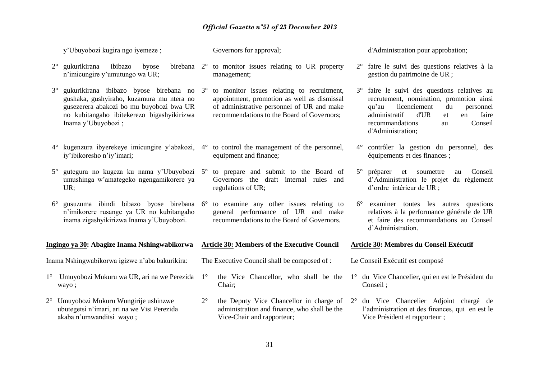|             | y'Ubuyobozi kugira ngo iyemeze;                                                                                                                                                                        |             | Governors for approval;                                                                                                                                                               | d'Administration pour approbation;                                                                                                                                                                                                          |
|-------------|--------------------------------------------------------------------------------------------------------------------------------------------------------------------------------------------------------|-------------|---------------------------------------------------------------------------------------------------------------------------------------------------------------------------------------|---------------------------------------------------------------------------------------------------------------------------------------------------------------------------------------------------------------------------------------------|
| $2^{\circ}$ | gukurikirana<br>ibibazo<br>byose<br>n'imicungire y'umutungo wa UR;                                                                                                                                     |             | birebana $2^{\circ}$ to monitor issues relating to UR property<br>management;                                                                                                         | 2° faire le suivi des questions relatives à la<br>gestion du patrimoine de UR ;                                                                                                                                                             |
| $3^\circ$   | gukurikirana ibibazo byose birebana no 3°<br>gushaka, gushyiraho, kuzamura mu ntera no<br>gusezerera abakozi bo mu buyobozi bwa UR<br>no kubitangaho ibitekerezo bigashyikirizwa<br>Inama y'Ubuyobozi; |             | to monitor issues relating to recruitment,<br>appointment, promotion as well as dismissal<br>of administrative personnel of UR and make<br>recommendations to the Board of Governors; | 3° faire le suivi des questions relatives au<br>recrutement, nomination, promotion ainsi<br>licenciement<br>qu'au<br>du<br>personnel<br>d'UR<br>administratif<br>faire<br>et<br>en<br>Conseil<br>recommandations<br>au<br>d'Administration; |
| $4^{\circ}$ | kugenzura ibyerekeye imicungire y'abakozi, 4°<br>iy'ibikoresho n'iy'imari;                                                                                                                             |             | to control the management of the personnel,<br>equipment and finance;                                                                                                                 | 4° contrôler la gestion du personnel, des<br>équipements et des finances;                                                                                                                                                                   |
| $5^{\circ}$ | gutegura no kugeza ku nama y'Ubuyobozi 5°<br>umushinga w'amategeko ngengamikorere ya<br>UR;                                                                                                            |             | to prepare and submit to the Board of<br>Governors the draft internal rules and<br>regulations of UR;                                                                                 | $5^{\circ}$ préparer<br>et<br>soumettre<br>Conseil<br>au<br>d'Administration le projet du règlement<br>d'ordre intérieur de UR ;                                                                                                            |
| $6^{\circ}$ | gusuzuma ibindi bibazo byose birebana<br>n'imikorere rusange ya UR no kubitangaho<br>inama zigashyikirizwa Inama y'Ubuyobozi.                                                                          | $6^{\circ}$ | to examine any other issues relating to<br>general performance of UR and make<br>recommendations to the Board of Governors.                                                           | 6° examiner toutes les autres questions<br>relatives à la performance générale de UR<br>et faire des recommandations au Conseil<br>d'Administration.                                                                                        |
|             | Ingingo ya 30: Abagize Inama Nshingwabikorwa                                                                                                                                                           |             | <b>Article 30: Members of the Executive Council</b>                                                                                                                                   | Article 30: Membres du Conseil Exécutif                                                                                                                                                                                                     |
|             | Inama Nshingwabikorwa igizwe n'aba bakurikira:                                                                                                                                                         |             | The Executive Council shall be composed of :                                                                                                                                          | Le Conseil Exécutif est composé                                                                                                                                                                                                             |
|             | Umuyobozi Mukuru wa UR, ari na we Perezida<br>wayo;                                                                                                                                                    | $1^{\circ}$ | the Vice Chancellor, who shall be the<br>Chair;                                                                                                                                       | 1° du Vice Chancelier, qui en est le Président du<br>Conseil ;                                                                                                                                                                              |
|             | 2° Umuyobozi Mukuru Wungirije ushinzwe<br>ubutegetsi n'imari, ari na we Visi Perezida<br>akaba n'umwanditsi wayo;                                                                                      | $2^{\circ}$ | administration and finance, who shall be the<br>Vice-Chair and rapporteur;                                                                                                            | the Deputy Vice Chancellor in charge of 2° du Vice Chancelier Adjoint chargé de<br>l'administration et des finances, qui en est le<br>Vice Président et rapporteur;                                                                         |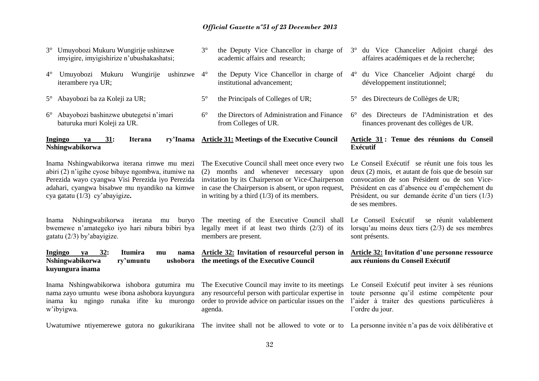academic affairs and research;

3° the Deputy Vice Chancellor in charge of 3° du Vice Chancelier Adjoint chargé des

affaires académiques et de la recherche;

3° Umuyobozi Mukuru Wungirije ushinzwe imyigire, imyigishirize n'ubushakashatsi;

| Umuyobozi Mukuru<br>Wungirije<br>ushinzwe $4^\circ$<br>$4^{\circ}$<br>iterambere rya UR;                                                                                                                                                 | the Deputy Vice Chancellor in charge of<br>institutional advancement;                                                                                                                                                                                  | 4° du Vice Chancelier Adjoint chargé<br>du<br>développement institutionnel;                                                                                                                                                                                                       |
|------------------------------------------------------------------------------------------------------------------------------------------------------------------------------------------------------------------------------------------|--------------------------------------------------------------------------------------------------------------------------------------------------------------------------------------------------------------------------------------------------------|-----------------------------------------------------------------------------------------------------------------------------------------------------------------------------------------------------------------------------------------------------------------------------------|
| 5° Abayobozi ba za Koleji za UR;                                                                                                                                                                                                         | $5^{\circ}$<br>the Principals of Colleges of UR;                                                                                                                                                                                                       | des Directeurs de Collèges de UR;<br>$5^{\circ}$                                                                                                                                                                                                                                  |
| 6° Abayobozi bashinzwe ubutegetsi n'imari<br>baturuka muri Koleji za UR.                                                                                                                                                                 | $6^{\circ}$<br>the Directors of Administration and Finance<br>from Colleges of UR.                                                                                                                                                                     | des Directeurs de l'Administration et des<br>$6^{\circ}$<br>finances provenant des collèges de UR.                                                                                                                                                                                |
| Ingingo<br>31:<br>ry'Inama<br><b>Iterana</b><br>va<br>Nshingwabikorwa                                                                                                                                                                    | <b>Article 31: Meetings of the Executive Council</b>                                                                                                                                                                                                   | Article 31 : Tenue des réunions du Conseil<br><b>Exécutif</b>                                                                                                                                                                                                                     |
| Inama Nshingwabikorwa iterana rimwe mu mezi<br>abiri (2) n'igihe cyose bibaye ngombwa, itumiwe na<br>Perezida wayo cyangwa Visi Perezida iyo Perezida<br>adahari, cyangwa bisabwe mu nyandiko na kimwe<br>cya gatatu (1/3) cy'abayigize. | The Executive Council shall meet once every two<br>(2) months and whenever necessary upon<br>invitation by its Chairperson or Vice-Chairperson<br>in case the Chairperson is absent, or upon request,<br>in writing by a third $(1/3)$ of its members. | Le Conseil Exécutif se réunit une fois tous les<br>deux (2) mois, et autant de fois que de besoin sur<br>convocation de son Président ou de son Vice-<br>Président en cas d'absence ou d'empêchement du<br>Président, ou sur demande écrite d'un tiers $(1/3)$<br>de ses membres. |
| Nshingwabikorwa iterana<br>Inama<br>buryo<br>mu<br>bwemewe n'amategeko iyo hari nibura bibiri bya<br>gatatu $(2/3)$ by abayigize.                                                                                                        | The meeting of the Executive Council shall<br>legally meet if at least two thirds $(2/3)$ of its<br>members are present.                                                                                                                               | Le Conseil Exécutif<br>se réunit valablement<br>lorsqu'au moins deux tiers $(2/3)$ de ses membres<br>sont présents.                                                                                                                                                               |
| 32:<br>Ingingo<br>Itumira<br>ya<br>nama<br>mu<br>Nshingwabikorwa<br>ry'umuntu<br>ushobora<br>kuyungura inama                                                                                                                             | <b>Article 32:</b> Invitation of resourceful person in<br>the meetings of the Executive Council                                                                                                                                                        | <b>Article 32: Invitation d'une personne ressource</b><br>aux réunions du Conseil Exécutif                                                                                                                                                                                        |
| Inama Nshingwabikorwa ishobora gutumira mu<br>nama zayo umuntu wese ibona ashobora kuyungura<br>inama ku ngingo runaka ifite ku murongo<br>w'ibyigwa.                                                                                    | The Executive Council may invite to its meetings<br>any resourceful person with particular expertise in<br>order to provide advice on particular issues on the<br>agenda.                                                                              | Le Conseil Exécutif peut inviter à ses réunions<br>toute personne qu'il estime compétente pour<br>l'aider à traiter des questions particulières à<br>l'ordre du jour.                                                                                                             |
| Uwatumiwe ntiyemerewe gutora no gukurikirana The invitee shall not be allowed to vote or to La personne invitée n'a pas de voix délibérative et                                                                                          |                                                                                                                                                                                                                                                        |                                                                                                                                                                                                                                                                                   |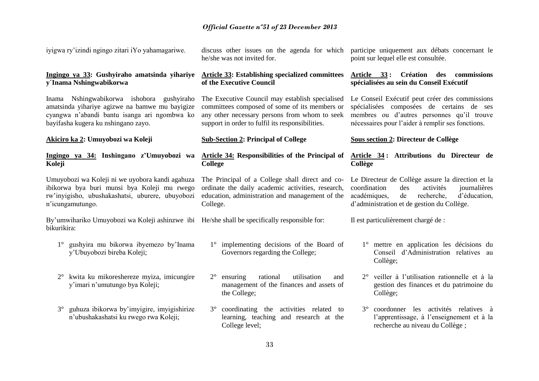iyigwa ry'izindi ngingo zitari iYo yahamagariwe.

### **Ingingo ya 33: Gushyiraho amatsinda yihariye y´Inama Nshingwabikorwa**

Inama Nshingwabikorwa ishobora gushyiraho amatsinda yihariye agizwe na bamwe mu bayigize cyangwa n'abandi bantu isanga ari ngombwa ko bayifasha kugera ku nshingano zayo.

**Akiciro ka 2: Umuyobozi wa Koleji**

#### **Ingingo ya 34: Inshingano z'Umuyobozi wa Koleji**

Umuyobozi wa Koleji ni we uyobora kandi agahuza ibikorwa bya buri munsi bya Koleji mu rwego rw'inyigisho, ubushakashatsi, uburere, ubuyobozi n'icungamutungo.

By'umwihariko Umuyobozi wa Koleji ashinzwe ibi He/she shall be specifically responsible for: bikurikira:

- 1° gushyira mu bikorwa ibyemezo by'Inama y'Ubuyobozi bireba Koleji;
- 2° kwita ku mikoreshereze myiza, imicungire y'imari n'umutungo bya Koleji;
- 3° guhuza ibikorwa by'imyigire, imyigishirize n'ubushakashatsi ku rwego rwa Koleji;

discuss other issues on the agenda for which he/she was not invited for.

#### **Article 33: Establishing specialized committees of the Executive Council**

The Executive Council may establish specialised committees composed of some of its members or any other necessary persons from whom to seek support in order to fulfil its responsibilities.

#### **Sub-Section 2: Principal of College**

### **Article 34: Responsibilities of the Principal of College**

The Principal of a College shall direct and coordinate the daily academic activities, research, education, administration and management of the College.

- 1° implementing decisions of the Board of Governors regarding the College;
- 2° ensuring rational utilisation and management of the finances and assets of the College;
- 3° coordinating the activities related to learning, teaching and research at the College level;

participe uniquement aux débats concernant le point sur lequel elle est consultée.

#### **Article 33 : Création des commissions spécialisées au sein du Conseil Exécutif**

Le Conseil Exécutif peut créer des commissions spécialisées composées de certains de ses membres ou d'autres personnes qu'il trouve nécessaires pour l'aider à remplir ses fonctions.

#### **Sous section 2: Directeur de Collège**

#### **Article 34 : Attributions du Directeur de Collège**

Le Directeur de Collège assure la direction et la coordination des activités journalières académiques, de recherche, d'éducation, d'administration et de gestion du Collège.

Il est particulièrement chargé de :

- 1° mettre en application les décisions du Conseil d'Administration relatives au Collège;
- 2° veiller à l'utilisation rationnelle et à la gestion des finances et du patrimoine du Collège;
- 3° coordonner les activités relatives à l'apprentissage, à l'enseignement et à la recherche au niveau du Collège ;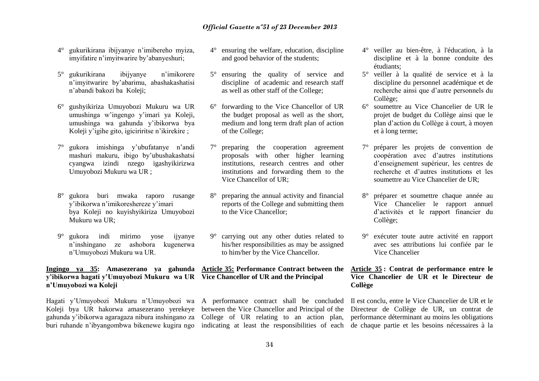- 4° gukurikirana ibijyanye n'imibereho myiza, imyifatire n'imyitwarire by'abanyeshuri;
- 5° gukurikirana ibijyanye n'imikorere n'imyitwarire by'abarimu, abashakashatisi n'abandi bakozi ba Koleji;
- 6° gushyikiriza Umuyobozi Mukuru wa UR umushinga w'ingengo y'imari ya Koleji, umushinga wa gahunda y'ibikorwa bya Koleji y'igihe gito, igiciriritse n'ikirekire ;
- 7° gukora imishinga y'ubufatanye n'andi mashuri makuru, ibigo by'ubushakashatsi cyangwa izindi nzego igashyikirizwa Umuyobozi Mukuru wa UR ;
- 8° gukora buri mwaka raporo rusange y'ibikorwa n'imikoreshereze y'imari bya Koleji no kuyishyikiriza Umuyobozi Mukuru wa UR;
- 9° gukora indi mirimo yose ijyanye n'inshingano ze ashobora kugenerwa n'Umuyobozi Mukuru wa UR.

#### **Ingingo ya 35: Amasezerano ya gahunda Article 35: Performance Contract between the y'ibikorwa hagati y'Umuyobozi Mukuru wa UR Vice Chancellor of UR and the Principal n'Umuyobozi wa Koleji**

Hagati y'Umuyobozi Mukuru n'Umuyobozi wa A performance contract shall be concluded Koleji bya UR hakorwa amasezerano yerekeye between the Vice Chancellor and Principal of the gahunda y'ibikorwa agaragaza nibura inshingano za College of UR relating to an action plan,

- 4° ensuring the welfare, education, discipline and good behavior of the students;
- 5° ensuring the quality of service and discipline of academic and research staff as well as other staff of the College;
- forwarding to the Vice Chancellor of UR the budget proposal as well as the short, medium and long term draft plan of action of the College;
- 7° preparing the cooperation agreement proposals with other higher learning institutions, research centres and other institutions and forwarding them to the Vice Chancellor of UR;
- 8° preparing the annual activity and financial reports of the College and submitting them to the Vice Chancellor;
- 9° carrying out any other duties related to his/her responsibilities as may be assigned to him/her by the Vice Chancellor.

- 4° veiller au bien-être, à l'éducation, à la discipline et à la bonne conduite des étudiants;
- 5° veiller à la qualité de service et à la discipline du personnel académique et de recherche ainsi que d'autre personnels du Collège;
- 6° soumettre au Vice Chancelier de UR le projet de budget du Collège ainsi que le plan d'action du Collège à court, à moyen et à long terme;
- 7° préparer les projets de convention de coopération avec d'autres institutions d'enseignement supérieur, les centres de recherche et d'autres institutions et les soumettre au Vice Chancelier de UR;
- 8° préparer et soumettre chaque année au Vice Chancelier le rapport annuel d'activités et le rapport financier du Collège;
- 9° exécuter toute autre activité en rapport avec ses attributions lui confiée par le Vice Chancelier

#### **Article 35 : Contrat de performance entre le Vice Chancelier de UR et le Directeur de Collège**

buri ruhande n'ibyangombwa bikenewe kugira ngo indicating at least the responsibilities of each de chaque partie et les besoins nécessaires à la Il est conclu, entre le Vice Chancelier de UR et le Directeur de Collège de UR, un contrat de performance déterminant au moins les obligations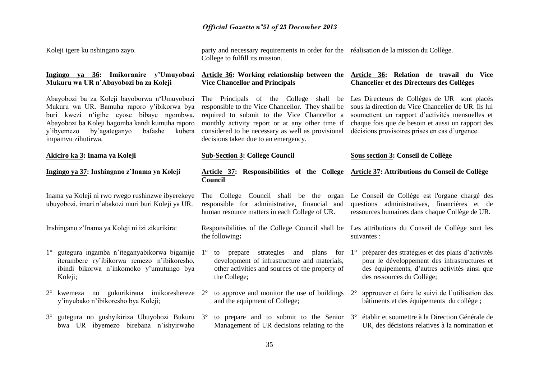| Koleji igere ku nshingano zayo.                                                                                                                                                                                                                                     | party and necessary requirements in order for the réalisation de la mission du Collège.<br>College to fulfill its mission.                                                                                                                                                                 |                                                                                                                                                                                                                                                               |
|---------------------------------------------------------------------------------------------------------------------------------------------------------------------------------------------------------------------------------------------------------------------|--------------------------------------------------------------------------------------------------------------------------------------------------------------------------------------------------------------------------------------------------------------------------------------------|---------------------------------------------------------------------------------------------------------------------------------------------------------------------------------------------------------------------------------------------------------------|
| Ingingo ya 36: Imikoranire y'Umuyobozi<br>Mukuru wa UR n'Abayobozi ba za Koleji                                                                                                                                                                                     | <b>Vice Chancellor and Principals</b>                                                                                                                                                                                                                                                      | Article 36: Working relationship between the Article 36: Relation de travail du Vice<br><b>Chancelier et des Directeurs des Collèges</b>                                                                                                                      |
| Abayobozi ba za Koleji bayoborwa n'Umuyobozi<br>Mukuru wa UR. Bamuha raporo y'ibikorwa bya<br>buri kwezi n'igihe cyose bibaye ngombwa.<br>Abayobozi ba Koleji bagomba kandi kumuha raporo<br>by'agateganyo<br>bafashe<br>y'ibyemezo<br>kubera<br>impamvu zihutirwa. | The Principals of the College shall be<br>responsible to the Vice Chancellor. They shall be<br>required to submit to the Vice Chancellor a<br>monthly activity report or at any other time if<br>considered to be necessary as well as provisional<br>decisions taken due to an emergency. | Les Directeurs de Collèges de UR sont placés<br>sous la direction du Vice Chancelier de UR. Ils lui<br>soumettent un rapport d'activités mensuelles et<br>chaque fois que de besoin et aussi un rapport des<br>décisions provisoires prises en cas d'urgence. |
| Akiciro ka 3: Inama ya Koleji                                                                                                                                                                                                                                       | <b>Sub-Section 3: College Council</b>                                                                                                                                                                                                                                                      | Sous section 3: Conseil de Collège                                                                                                                                                                                                                            |
| Ingingo ya 37: Inshingano z'Inama ya Koleji                                                                                                                                                                                                                         | Article 37: Responsibilities of the College<br><b>Council</b>                                                                                                                                                                                                                              | Article 37: Attributions du Conseil de Collège                                                                                                                                                                                                                |
| Inama ya Koleji ni rwo rwego rushinzwe ibyerekeye<br>ubuyobozi, imari n'abakozi muri buri Koleji ya UR.                                                                                                                                                             | The College Council shall be the organ<br>responsible for administrative, financial and<br>human resource matters in each College of UR.                                                                                                                                                   | Le Conseil de Collège est l'organe chargé des<br>questions administratives, financières et de<br>ressources humaines dans chaque Collège de UR.                                                                                                               |
| Inshingano z'Inama ya Koleji ni izi zikurikira:                                                                                                                                                                                                                     | Responsibilities of the College Council shall be<br>the following:                                                                                                                                                                                                                         | Les attributions du Conseil de Collège sont les<br>suivantes :                                                                                                                                                                                                |
| gutegura ingamba n'iteganyabikorwa bigamije<br>$1^{\circ}$<br>iterambere ry'ibikorwa remezo n'ibikoresho,<br>ibindi bikorwa n'inkomoko y'umutungo bya<br>Koleji;                                                                                                    | to prepare strategies and plans for<br>$1^{\circ}$<br>development of infrastructure and materials,<br>other activities and sources of the property of<br>the College;                                                                                                                      | préparer des stratégies et des plans d'activités<br>$1^{\circ}$<br>pour le développement des infrastructures et<br>des équipements, d'autres activités ainsi que<br>des ressources du Collège;                                                                |
| kwemeza no gukurikirana imikoreshereze 2°<br>$2^{\circ}$<br>y'inyubako n'ibikoresho bya Koleji;                                                                                                                                                                     | to approve and monitor the use of buildings<br>and the equipment of College;                                                                                                                                                                                                               | approuver et faire le suivi de l'utilisation des<br>$2^{\circ}$<br>bâtiments et des équipements du collège;                                                                                                                                                   |
| gutegura no gushyikiriza Ubuyobozi Bukuru 3°<br>$3^{\circ}$<br>bwa UR ibyemezo birebana n'ishyirwaho                                                                                                                                                                | to prepare and to submit to the Senior $3^\circ$<br>Management of UR decisions relating to the                                                                                                                                                                                             | établir et soumettre à la Direction Générale de<br>UR, des décisions relatives à la nomination et                                                                                                                                                             |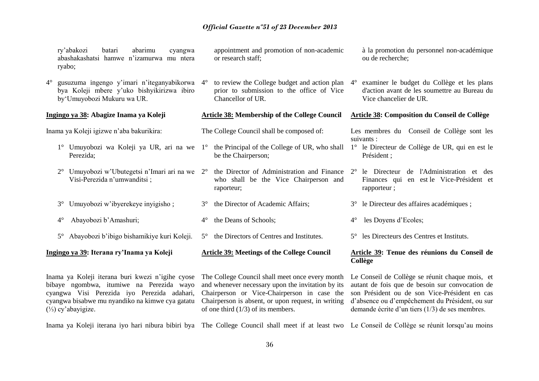or research staff;

Chancellor of UR.

be the Chairperson;

raporteur;

appointment and promotion of non-academic

to review the College budget and action plan prior to submission to the office of Vice

who shall be the Vice Chairperson and

The College Council shall be composed of:

ry'abakozi batari abarimu cyangwa abashakashatsi hamwe n'izamurwa mu ntera ryabo;

4° gusuzuma ingengo y'imari n'iteganyabikorwa bya Koleji mbere y'uko bishyikirizwa ibiro by'Umuyobozi Mukuru wa UR.

#### **Ingingo ya 38: Abagize Inama ya Koleji**

Inama ya Koleji igizwe n'aba bakurikira:

- 1° Umuyobozi wa Koleji ya UR, ari na we 1° the Principal of the College of UR, who shall 1° le Directeur de Collège de UR, qui en est le Perezida;
- 2° Umuyobozi w'Ubutegetsi n'Imari ari na we 2° the Director of Administration and Finance Visi-Perezida n'umwanditsi ;
- 3° Umuyobozi w'ibyerekeye inyigisho ; 3° the Director of Academic Affairs;
- 4° Abayobozi b'Amashuri; 4° the Deans of Schools;
- 5° Abayobozi b'ibigo bishamikiye kuri Koleji. 5° the Directors of Centres and Institutes.

#### **Ingingo ya 39: Iterana ry'Inama ya Koleji**

Inama ya Koleji iterana buri kwezi n'igihe cyose bibaye ngombwa, itumiwe na Perezida wayo cyangwa Visi Perezida iyo Perezida adahari, cyangwa bisabwe mu nyandiko na kimwe cya gatatu (⅓) cy'abayigize.

The College Council shall meet once every month and whenever necessary upon the invitation by its Chairperson or Vice-Chairperson in case the Chairperson is absent, or upon request, in writing of one third (1/3) of its members.

**Article 39: Meetings of the College Council** 

à la promotion du personnel non-académique ou de recherche;

4° examiner le budget du Collège et les plans d'action avant de les soumettre au Bureau du Vice chancelier de UR.

#### **Article 38: Membership of the College Council Article 38: Composition du Conseil de Collège**

Les membres du Conseil de Collège sont les suivants :

- Président ;
- 2° le Directeur de l'Administration et des Finances qui en est le Vice-Président et rapporteur ;
- 3° le Directeur des affaires académiques ;
- 4° les Doyens d'Ecoles;
- 5° les Directeurs des Centres et Instituts.

#### **Article 39: Tenue des réunions du Conseil de Collège**

Le Conseil de Collège se réunit chaque mois, et autant de fois que de besoin sur convocation de son Président ou de son Vice-Président en cas d'absence ou d'empêchement du Président, ou sur demande écrite d'un tiers (1/3) de ses membres.

Inama ya Koleji iterana iyo hari nibura bibiri bya The College Council shall meet if at least two Le Conseil de Collège se réunit lorsqu'au moins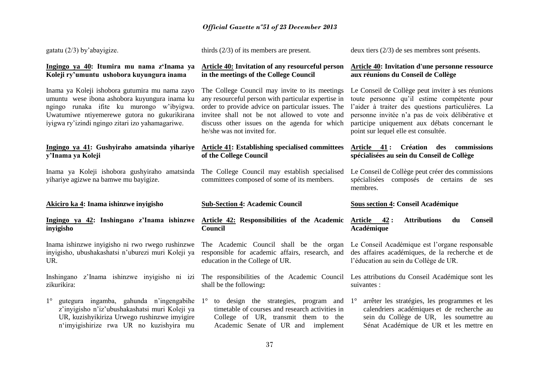| gatatu $(2/3)$ by abayigize.                                                                                                                                                                                                                     | thirds $(2/3)$ of its members are present.                                                                                                                                                                                                                                                | deux tiers $(2/3)$ de ses membres sont présents.                                                                                                                                                                                                                                                   |
|--------------------------------------------------------------------------------------------------------------------------------------------------------------------------------------------------------------------------------------------------|-------------------------------------------------------------------------------------------------------------------------------------------------------------------------------------------------------------------------------------------------------------------------------------------|----------------------------------------------------------------------------------------------------------------------------------------------------------------------------------------------------------------------------------------------------------------------------------------------------|
| Ingingo ya 40: Itumira mu nama z'Inama ya<br>Koleji ry'umuntu ushobora kuyungura inama                                                                                                                                                           | <b>Article 40: Invitation of any resourceful person</b><br>in the meetings of the College Council                                                                                                                                                                                         | <b>Article 40: Invitation d'une personne ressource</b><br>aux réunions du Conseil de Collège                                                                                                                                                                                                       |
| Inama ya Koleji ishobora gutumira mu nama zayo<br>umuntu wese ibona ashobora kuyungura inama ku<br>ngingo runaka ifite ku murongo w'ibyigwa.<br>Uwatumiwe ntiyemerewe gutora no gukurikirana<br>iyigwa ry'izindi ngingo zitari izo yahamagariwe. | The College Council may invite to its meetings<br>any resourceful person with particular expertise in<br>order to provide advice on particular issues. The<br>invitee shall not be not allowed to vote and<br>discuss other issues on the agenda for which<br>he/she was not invited for. | Le Conseil de Collège peut inviter à ses réunions<br>toute personne qu'il estime compétente pour<br>l'aider à traiter des questions particulières. La<br>personne invitée n'a pas de voix délibérative et<br>participe uniquement aux débats concernant le<br>point sur lequel elle est consultée. |
| Ingingo ya 41: Gushyiraho amatsinda yihariye<br>y'Inama ya Koleji                                                                                                                                                                                | <b>Article 41: Establishing specialised committees</b><br>of the College Council                                                                                                                                                                                                          | Article 41: Création des commissions<br>spécialisées au sein du Conseil de Collège                                                                                                                                                                                                                 |
| Inama ya Koleji ishobora gushyiraho amatsinda<br>vihariye agizwe na bamwe mu bayigize.                                                                                                                                                           | The College Council may establish specialised<br>committees composed of some of its members.                                                                                                                                                                                              | Le Conseil de Collège peut créer des commissions<br>spécialisées composés de certains de ses<br>membres.                                                                                                                                                                                           |
|                                                                                                                                                                                                                                                  |                                                                                                                                                                                                                                                                                           |                                                                                                                                                                                                                                                                                                    |
| Akiciro ka 4: Inama ishinzwe inyigisho                                                                                                                                                                                                           | <b>Sub-Section 4: Academic Council</b>                                                                                                                                                                                                                                                    | <b>Sous section 4: Conseil Académique</b>                                                                                                                                                                                                                                                          |
| Ingingo ya 42: Inshingano z'Inama ishinzwe<br>inyigisho                                                                                                                                                                                          | <b>Article 42: Responsibilities of the Academic</b><br><b>Council</b>                                                                                                                                                                                                                     | 42:<br><b>Attributions</b><br><b>Article</b><br><b>Conseil</b><br>du<br>Académique                                                                                                                                                                                                                 |
| Inama ishinzwe inyigisho ni rwo rwego rushinzwe<br>inyigisho, ubushakashatsi n'uburezi muri Koleji ya<br>UR.                                                                                                                                     | The Academic Council shall be the organ<br>responsible for academic affairs, research, and<br>education in the College of UR.                                                                                                                                                             | Le Conseil Académique est l'organe responsable<br>des affaires académiques, de la recherche et de<br>l'éducation au sein du Collège de UR.                                                                                                                                                         |
| Inshingano z'Inama ishinzwe inyigisho ni izi<br>zikurikira:                                                                                                                                                                                      | The responsibilities of the Academic Council Les attributions du Conseil Académique sont les<br>shall be the following:                                                                                                                                                                   | suivantes :                                                                                                                                                                                                                                                                                        |
| gutegura ingamba, gahunda n'ingengabihe<br>$1^{\circ}$<br>z'inyigisho n'iz'ubushakashatsi muri Koleji ya<br>UR, kuzishyikiriza Urwego rushinzwe imyigire<br>n'imyigishirize rwa UR no kuzishyira mu                                              | to design the strategies, program and $1^{\circ}$<br>$1^{\circ}$<br>timetable of courses and research activities in<br>College of UR, transmit them to the<br>Academic Senate of UR and implement                                                                                         | arrêter les stratégies, les programmes et les<br>calendriers académiques et de recherche au<br>sein du Collège de UR, les soumettre au<br>Sénat Académique de UR et les mettre en                                                                                                                  |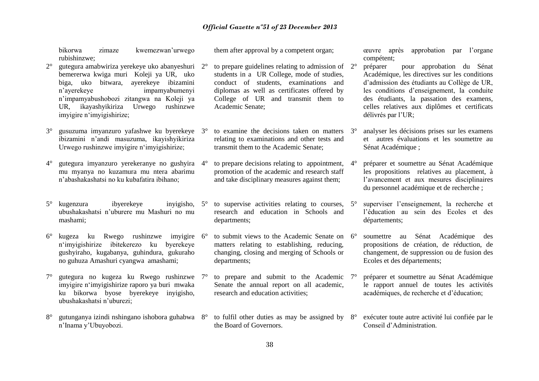bikorwa zimaze kwemezwan'urwego rubishinzwe;

- $2^{\circ}$  gutegura amabwiriza yerekeye uko abanyeshuri  $2^{\circ}$ bemererwa kwiga muri Koleji ya UR, uko biga, uko bitwara, ayerekeye ibizamini n'ayerekeye impamyabumenyi n'impamyabushobozi zitangwa na Koleji ya UR, ikayashyikiriza Urwego rushinzwe imyigire n'imyigishirize;
- 3° gusuzuma imyanzuro yafashwe ku byerekeye ibizamini n'andi masuzuma, ikayishyikiriza Urwego rushinzwe imyigire n'imyigishirize;
- 4° gutegura imyanzuro yerekeranye no gushyira mu myanya no kuzamura mu ntera abarimu n'abashakashatsi no ku kubafatira ibihano;
- 5° kugenzura ibyerekeye inyigisho, ubushakashatsi n'uburere mu Mashuri no mu mashami;
- 6° kugeza ku Rwego rushinzwe imyigire n'imyigishirize ibitekerezo ku byerekeye gushyiraho, kugabanya, guhindura, gukuraho no guhuza Amashuri cyangwa amashami;
- 7° gutegura no kugeza ku Rwego rushinzwe imyigire n'imyigishirize raporo ya buri mwaka ku bikorwa byose byerekeye inyigisho, ubushakashatsi n'uburezi;
- 8° gutunganya izindi nshingano ishobora guhabwa n'Inama y'Ubuyobozi.

them after approval by a competent organ;

- to prepare guidelines relating to admission of  $2^{\circ}$ students in a UR College, mode of studies, conduct of students, examinations and diplomas as well as certificates offered by College of UR and transmit them to Academic Senate;
- to examine the decisions taken on matters  $3^\circ$ relating to examinations and other tests and transmit them to the Academic Senate;
- to prepare decisions relating to appointment,  $4^{\circ}$ promotion of the academic and research staff and take disciplinary measures against them;
- to supervise activities relating to courses,  $5^\circ$ research and education in Schools and departments;
- 6° to submit views to the Academic Senate on matters relating to establishing, reducing, changing, closing and merging of Schools or departments;
- to prepare and submit to the Academic  $7^\circ$ Senate the annual report on all academic, research and education activities;
- 8° to fulfil other duties as may be assigned by 8° exécuter toute autre activité lui confiée par le the Board of Governors.

œuvre après approbation par l'organe compétent;

- 2° préparer pour approbation du Sénat Académique, les directives sur les conditions d'admission des étudiants au Collège de UR, les conditions d'enseignement, la conduite des étudiants, la passation des examens, celles relatives aux diplômes et certificats délivrés par l'UR;
- analyser les décisions prises sur les examens et autres évaluations et les soumettre au Sénat Académique :

4° préparer et soumettre au Sénat Académique les propositions relatives au placement, à l'avancement et aux mesures disciplinaires du personnel académique et de recherche ;

- superviser l'enseignement, la recherche et l'éducation au sein des Ecoles et des départements;
- soumettre au Sénat Académique des propositions de création, de réduction, de changement, de suppression ou de fusion des Ecoles et des départements;
- 7° préparer et soumettre au Sénat Académique le rapport annuel de toutes les activités académiques, de recherche et d'éducation;
- Conseil d'Administration.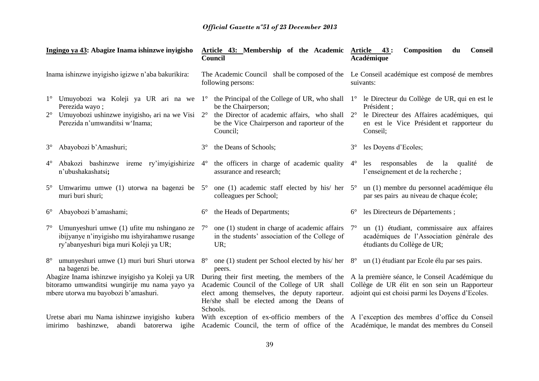| Ingingo ya 43: Abagize Inama ishinzwe inyigisho<br>Inama ishinzwe inyigisho igizwe n'aba bakurikira:                                      |                                                                                                                                               |             | Article 43: Membership of the Academic Article 43:<br>Council<br>The Academic Council shall be composed of the<br>following persons:                                                                     |                            | <b>Composition</b><br><b>Conseil</b><br>du<br>Académique                                                                                                           |  |  |  |  |
|-------------------------------------------------------------------------------------------------------------------------------------------|-----------------------------------------------------------------------------------------------------------------------------------------------|-------------|----------------------------------------------------------------------------------------------------------------------------------------------------------------------------------------------------------|----------------------------|--------------------------------------------------------------------------------------------------------------------------------------------------------------------|--|--|--|--|
|                                                                                                                                           |                                                                                                                                               |             |                                                                                                                                                                                                          |                            | Le Conseil académique est composé de membres<br>suivants:                                                                                                          |  |  |  |  |
| $1^{\circ}$<br>$2^{\circ}$                                                                                                                | Umuyobozi wa Koleji ya UR ari na we 1°<br>Perezida wayo;<br>Umuyobozi ushinzwe inyigisho, ari na we Visi 2°<br>Perezida n'umwanditsi w'Inama; |             | the Principal of the College of UR, who shall<br>be the Chairperson;<br>the Director of academic affairs, who shall<br>be the Vice Chairperson and raporteur of the<br>Council;                          | $1^{\circ}$<br>$2^{\circ}$ | le Directeur du Collège de UR, qui en est le<br>Président ;<br>le Directeur des Affaires académiques, qui<br>en est le Vice Président et rapporteur du<br>Conseil; |  |  |  |  |
| $3^\circ$                                                                                                                                 | Abayobozi b'Amashuri;                                                                                                                         | $3^\circ$   | the Deans of Schools;                                                                                                                                                                                    | $3^{\circ}$                | les Doyens d'Ecoles;                                                                                                                                               |  |  |  |  |
| $4^{\circ}$                                                                                                                               | Abakozi bashinzwe ireme ry'imyigishirize 4°<br>n'ubushakashatsi;                                                                              |             | the officers in charge of academic quality<br>assurance and research;                                                                                                                                    | $4^{\circ}$                | les<br>responsables<br>de<br>la<br>qualité<br>de<br>l'enseignement et de la recherche;                                                                             |  |  |  |  |
| $5^{\circ}$                                                                                                                               | Umwarimu umwe (1) utorwa na bagenzi be $5^{\circ}$<br>muri buri shuri;                                                                        |             | one (1) academic staff elected by his/ her<br>colleagues per School;                                                                                                                                     | $5^\circ$                  | un (1) membre du personnel académique élu<br>par ses pairs au niveau de chaque école;                                                                              |  |  |  |  |
| $6^{\circ}$                                                                                                                               | Abayobozi b'amashami;                                                                                                                         | $6^{\circ}$ | the Heads of Departments;                                                                                                                                                                                | $6^{\circ}$                | les Directeurs de Départements;                                                                                                                                    |  |  |  |  |
| $7^{\circ}$                                                                                                                               | Umunyeshuri umwe (1) ufite mu nshingano ze<br>ibijyanye n'inyigisho mu ishyirahamwe rusange<br>ry'abanyeshuri biga muri Koleji ya UR;         | $7^{\circ}$ | one (1) student in charge of academic affairs<br>in the students' association of the College of<br>UR;                                                                                                   | $7^{\circ}$                | un (1) étudiant, commissaire aux affaires<br>académiques de l'Association générale des<br>étudiants du Collège de UR;                                              |  |  |  |  |
| $8^{\circ}$                                                                                                                               | umunyeshuri umwe (1) muri buri Shuri utorwa 8°<br>na bagenzi be.                                                                              |             | one (1) student per School elected by his/her<br>peers.                                                                                                                                                  | $8^{\circ}$                | un (1) étudiant par Ecole élu par ses pairs.                                                                                                                       |  |  |  |  |
| Abagize Inama ishinzwe inyigisho ya Koleji ya UR<br>bitoramo umwanditsi wungirije mu nama yayo ya<br>mbere utorwa mu bayobozi b'amashuri. |                                                                                                                                               |             | During their first meeting, the members of the<br>Academic Council of the College of UR shall<br>elect among themselves, the deputy raporteur.<br>He/she shall be elected among the Deans of<br>Schools. |                            | A la première séance, le Conseil Académique du<br>Collège de UR élit en son sein un Rapporteur<br>adjoint qui est choisi parmi les Doyens d'Ecoles.                |  |  |  |  |
|                                                                                                                                           | Uretse abari mu Nama ishinzwe inyigisho kubera<br>imirimo bashinzwe,<br>abandi batorerwa igihe                                                |             | With exception of ex-officio members of the A l'exception des membres d'office du Conseil<br>Academic Council, the term of office of the Académique, le mandat des membres du Conseil                    |                            |                                                                                                                                                                    |  |  |  |  |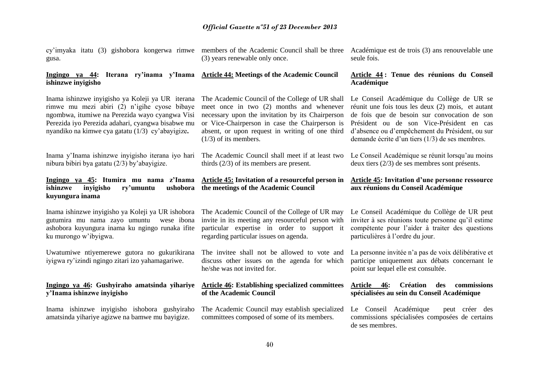cy'imyaka itatu (3) gishobora kongerwa rimwe gusa.

members of the Academic Council shall be three (3) years renewable only once.

#### **Ingingo ya 44: Iterana ry'inama y'Inama Article 44: Meetings of the Academic Council ishinzwe inyigisho**

(1/3) of its members.

Inama ishinzwe inyigisho ya Koleji ya UR iterana The Academic Council of the College of UR shall rimwe mu mezi abiri (2) n'igihe cyose bibaye ngombwa, itumiwe na Perezida wayo cyangwa Visi Perezida iyo Perezida adahari, cyangwa bisabwe mu nyandiko na kimwe cya gatatu (1/3) cy'abayigize**.**

Inama y'Inama ishinzwe inyigisho iterana iyo hari nibura bibiri bya gatatu (2/3) by'abayigize.

#### **Ingingo ya 45: Itumira mu nama z'Inama Article 45: Invitation of a resourceful person in**  ishinzwe inyigisho ry'umuntu **kuyungura inama the meetings of the Academic Council**

Inama ishinzwe inyigisho ya Koleji ya UR ishobora gutumira mu nama zayo umuntu wese ibona ashobora kuyungura inama ku ngingo runaka ifite ku murongo w'ibyigwa.

Uwatumiwe ntiyemerewe gutora no gukurikirana iyigwa ry'izindi ngingo zitari izo yahamagariwe.

#### **Ingingo ya 46: Gushyiraho amatsinda yihariye y'Inama ishinzwe inyigisho**

Inama ishinzwe inyigisho ishobora gushyiraho amatsinda yihariye agizwe na bamwe mu bayigize.

meet once in two (2) months and whenever necessary upon the invitation by its Chairperson or Vice-Chairperson in case the Chairperson is absent, or upon request in writing of one third

The Academic Council shall meet if at least two

thirds (2/3) of its members are present.

regarding particular issues on agenda.

he/she was not invited for.

**of the Academic Council**

**Article 44 : Tenue des réunions du Conseil** 

Académique est de trois (3) ans renouvelable une

seule fois.

# **Académique**

Le Conseil Académique du Collège de UR se réunit une fois tous les deux (2) mois, et autant de fois que de besoin sur convocation de son Président ou de son Vice-Président en cas d'absence ou d'empêchement du Président, ou sur demande écrite d'un tiers (1/3) de ses membres.

Le Conseil Académique se réunit lorsqu'au moins deux tiers (2/3) de ses membres sont présents.

#### **Article 45: Invitation d'une personne ressource aux réunions du Conseil Académique**

The Academic Council of the College of UR may invite in its meeting any resourceful person with particular expertise in order to support it Le Conseil Académique du Collège de UR peut inviter à ses réunions toute personne qu'il estime compétente pour l'aider à traiter des questions particulières à l'ordre du jour.

> La personne invitée n'a pas de voix délibérative et participe uniquement aux débats concernant le point sur lequel elle est consultée.

#### **Article 46: Création des commissions spécialisées au sein du Conseil Académique**

The Academic Council may establish specialized committees composed of some of its members.

**Article 46: Establishing specialized committees** 

The invitee shall not be allowed to vote and discuss other issues on the agenda for which

> Le Conseil Académique peut créer des commissions spécialisées composées de certains de ses membres.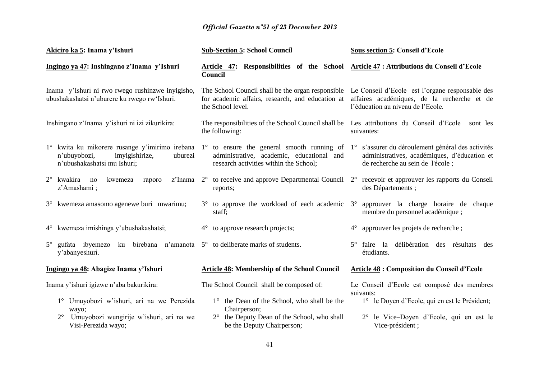| Akiciro ka 5: Inama y'Ishuri                                                                                                                                                                                            | <b>Sub-Section 5: School Council</b>                                                              | <b>Sous section 5: Conseil d'Ecole</b>                                                                                                                                                |  |  |  |  |  |  |
|-------------------------------------------------------------------------------------------------------------------------------------------------------------------------------------------------------------------------|---------------------------------------------------------------------------------------------------|---------------------------------------------------------------------------------------------------------------------------------------------------------------------------------------|--|--|--|--|--|--|
| Ingingo ya 47: Inshingano z'Inama y'Ishuri                                                                                                                                                                              | Article 47: Responsibilities of the School Article 47: Attributions du Conseil d'Ecole<br>Council |                                                                                                                                                                                       |  |  |  |  |  |  |
| Inama y'Ishuri ni rwo rwego rushinzwe inyigisho,<br>ubushakashatsi n'uburere ku rwego rw'Ishuri.                                                                                                                        | for academic affairs, research, and education at<br>the School level.                             | The School Council shall be the organ responsible Le Conseil d'Ecole est l'organe responsable des<br>affaires académiques, de la recherche et de<br>l'éducation au niveau de l'Ecole. |  |  |  |  |  |  |
| Inshingano z'Inama y'ishuri ni izi zikurikira:                                                                                                                                                                          | the following:                                                                                    | The responsibilities of the School Council shall be Les attributions du Conseil d'Ecole sont les<br>suivantes:                                                                        |  |  |  |  |  |  |
| 1° kwita ku mikorere rusange y'imirimo irebana 1° to ensure the general smooth running of 1° s'assurer du déroulement général des activités<br>n'ubuyobozi,<br>imyigishirize,<br>uburezi<br>n'ubushakashatsi mu Ishuri; | administrative, academic, educational and<br>research activities within the School;               | administratives, académiques, d'éducation et<br>de recherche au sein de l'école;                                                                                                      |  |  |  |  |  |  |
| $2^{\circ}$ kwakira no<br>kwemeza<br>raporo<br>z'Amashami;                                                                                                                                                              | z'Inama 2° to receive and approve Departmental Council<br>reports;                                | recevoir et approuver les rapports du Conseil<br>$2^{\circ}$<br>des Départements;                                                                                                     |  |  |  |  |  |  |
| 3° kwemeza amasomo agenewe buri mwarimu;                                                                                                                                                                                | $3^{\circ}$ to approve the workload of each academic $3^{\circ}$<br>staff;                        | approuver la charge horaire de chaque<br>membre du personnel académique;                                                                                                              |  |  |  |  |  |  |
| 4° kwemeza imishinga y'ubushakashatsi;                                                                                                                                                                                  | to approve research projects;<br>$4^{\circ}$                                                      | approuver les projets de recherche;<br>$4^{\circ}$                                                                                                                                    |  |  |  |  |  |  |
| gufata ibyemezo<br>$5^{\circ}$<br>y'abanyeshuri.                                                                                                                                                                        | ku birebana n'amanota $5^\circ$ to deliberate marks of students.                                  | délibération des résultats<br>$5^\circ$ faire la<br>des<br>étudiants.                                                                                                                 |  |  |  |  |  |  |
| Ingingo ya 48: Abagize Inama y'Ishuri                                                                                                                                                                                   | <b>Article 48: Membership of the School Council</b>                                               | <b>Article 48 : Composition du Conseil d'Ecole</b>                                                                                                                                    |  |  |  |  |  |  |
| Inama y'ishuri igizwe n'aba bakurikira:                                                                                                                                                                                 | The School Council shall be composed of:                                                          | Le Conseil d'Ecole est composé des membres<br>suivants:                                                                                                                               |  |  |  |  |  |  |
| 1° Umuyobozi w'ishuri, ari na we Perezida<br>wayo;                                                                                                                                                                      | 1° the Dean of the School, who shall be the<br>Chairperson;                                       | 1° le Doyen d'Ecole, qui en est le Président;                                                                                                                                         |  |  |  |  |  |  |
| Umuyobozi wungirije w'ishuri, ari na we<br>$2^{\circ}$<br>Visi-Perezida wayo;                                                                                                                                           | 2° the Deputy Dean of the School, who shall<br>be the Deputy Chairperson;                         | le Vice-Doyen d'Ecole, qui en est le<br>Vice-président;                                                                                                                               |  |  |  |  |  |  |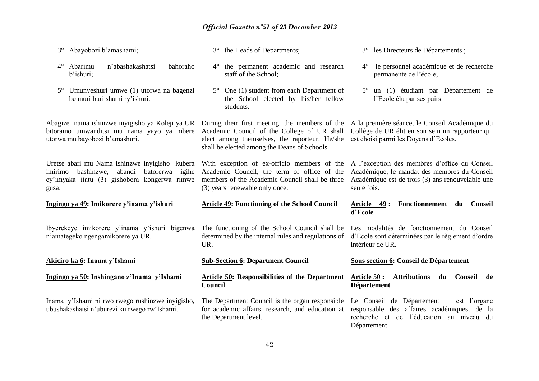| Abayobozi b'amashami;<br>$3^\circ$                                                                                                                               | 3° the Heads of Departments;                                                                                                                                                                   | 3° les Directeurs de Départements;                                                                                                                               |
|------------------------------------------------------------------------------------------------------------------------------------------------------------------|------------------------------------------------------------------------------------------------------------------------------------------------------------------------------------------------|------------------------------------------------------------------------------------------------------------------------------------------------------------------|
| Abarimu<br>n'abashakashatsi<br>bahoraho<br>$4^{\circ}$<br>b'ishuri;                                                                                              | 4° the permanent academic and research<br>staff of the School;                                                                                                                                 | le personnel académique et de recherche<br>$4^{\circ}$<br>permanente de l'école;                                                                                 |
| Umunyeshuri umwe (1) utorwa na bagenzi<br>$5^{\circ}$<br>be muri buri shami ry'ishuri.                                                                           | One (1) student from each Department of<br>$5^{\circ}$<br>the School elected by his/her fellow<br>students.                                                                                    | 5° un (1) étudiant par Département de<br>l'Ecole élu par ses pairs.                                                                                              |
| Abagize Inama ishinzwe inyigisho ya Koleji ya UR<br>bitoramo umwanditsi mu nama yayo ya mbere<br>utorwa mu bayobozi b'amashuri.                                  | During their first meeting, the members of the<br>Academic Council of the College of UR shall<br>elect among themselves, the raporteur. He/she<br>shall be elected among the Deans of Schools. | A la première séance, le Conseil Académique du<br>Collège de UR élit en son sein un rapporteur qui<br>est choisi parmi les Doyens d'Ecoles.                      |
| Uretse abari mu Nama ishinzwe inyigisho kubera<br>bashinzwe,<br>abandi<br>batorerwa<br>igihe<br>imirimo<br>cy'imyaka itatu (3) gishobora kongerwa rimwe<br>gusa. | With exception of ex-officio members of the<br>Academic Council, the term of office of the<br>members of the Academic Council shall be three<br>(3) years renewable only once.                 | A l'exception des membres d'office du Conseil<br>Académique, le mandat des membres du Conseil<br>Académique est de trois (3) ans renouvelable une<br>seule fois. |
|                                                                                                                                                                  |                                                                                                                                                                                                |                                                                                                                                                                  |
| Ingingo ya 49: Imikorere y'inama y'ishuri                                                                                                                        | <b>Article 49: Functioning of the School Council</b>                                                                                                                                           | Fonctionnement du Conseil<br>Article 49:<br>d'Ecole                                                                                                              |
| Ibyerekeye imikorere y'inama y'ishuri bigenwa<br>n'amategeko ngengamikorere ya UR.                                                                               | The functioning of the School Council shall be<br>determined by the internal rules and regulations of<br>UR.                                                                                   | Les modalités de fonctionnement du Conseil<br>d'Ecole sont déterminées par le règlement d'ordre<br>intérieur de UR.                                              |
| Akiciro ka 6: Inama y'Ishami                                                                                                                                     | <b>Sub-Section 6: Department Council</b>                                                                                                                                                       | Sous section 6: Conseil de Département                                                                                                                           |
| Ingingo ya 50: Inshingano z'Inama y'Ishami                                                                                                                       | Article 50: Responsibilities of the Department<br>Council                                                                                                                                      | <b>Attributions</b><br><b>Article 50:</b><br>du Conseil<br>de<br><b>Département</b>                                                                              |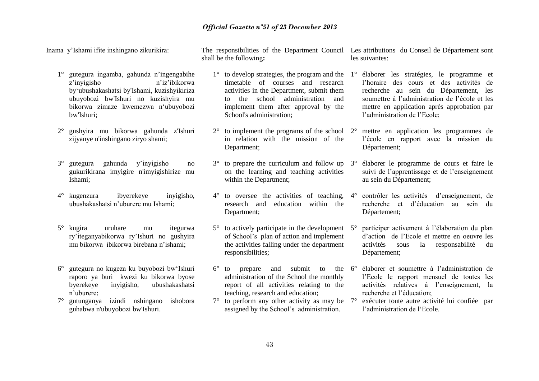Inama y'Ishami ifite inshingano zikurikira:

1° gutegura ingamba, gahunda n'ingengabihe z'inyigisho n'iz'ibikorwa by'ubushakashatsi by'Ishami, kuzishyikiriza ubuyobozi bw'Ishuri no kuzishyira mu bikorwa zimaze kwemezwa n'ubuyobozi bw'Ishuri;

- 2° gushyira mu bikorwa gahunda z'Ishuri zijyanye n'inshingano ziryo shami;
- 3° gutegura gahunda y'inyigisho no gukurikirana imyigire n'imyigishirize mu Ishami;
- 4° kugenzura ibyerekeye inyigisho, ubushakashatsi n'uburere mu Ishami;
- 5° kugira uruhare mu itegurwa ry'iteganyabikorwa ry'Ishuri no gushyira mu bikorwa ibikorwa birebana n'ishami;
- 6° gutegura no kugeza ku buyobozi bw'Ishuri raporo ya buri kwezi ku bikorwa byose byerekeye inyigisho, ubushakashatsi n'uburere;
- 7° gutunganya izindi nshingano ishobora guhabwa n'ubuyobozi bw'Ishuri.

The responsibilities of the Department Council Les attributions du Conseil de Département sont shall be the following**:** les suivantes:

- 1° to develop strategies, the program and the timetable of courses and research activities in the Department, submit them to the school administration and implement them after approval by the School's administration;
- $2^{\circ}$  to implement the programs of the school  $2^{\circ}$ in relation with the mission of the Department:
- $3^\circ$  to prepare the curriculum and follow up  $3^\circ$ on the learning and teaching activities within the Department;
- research and education within the Department;
- $5^\circ$  to actively participate in the development  $5^\circ$ of School's plan of action and implement the activities falling under the department responsibilities;
- $6^{\circ}$  to prepare and submit to the  $6^{\circ}$ administration of the School the monthly report of all activities relating to the teaching, research and education;
- $7^\circ$  to perform any other activity as may be  $7^\circ$ assigned by the School's administration.

- 1° élaborer les stratégies, le programme et l'horaire des cours et des activités de recherche au sein du Département, les soumettre à l'administration de l'école et les mettre en application après approbation par l'administration de l'Ecole;
- 2° mettre en application les programmes de l'école en rapport avec la mission du Département;
- 3° élaborer le programme de cours et faire le suivi de l'apprentissage et de l'enseignement au sein du Département;
- 4° to oversee the activities of teaching, 4° contrôler les activités d'enseignement, de recherche et d'éducation au sein du Département;
	- participer activement à l'élaboration du plan d'action de l'Ecole et mettre en oeuvre les activités sous la responsabilité du Département;
	- 6° élaborer et soumettre à l'administration de l'Ecole le rapport mensuel de toutes les activités relatives à l'enseignement, la recherche et l'éducation;
	- 7° exécuter toute autre activité lui confiée par l'administration de l'Ecole.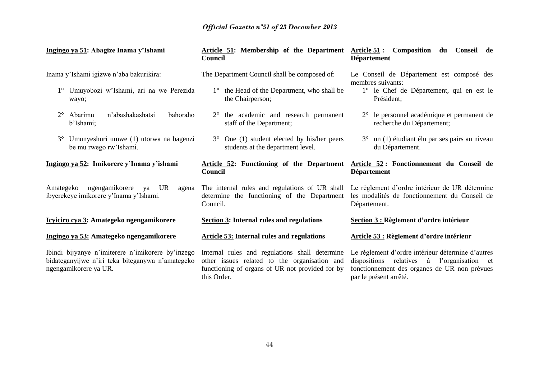| Ingingo ya 51: Abagize Inama y'Ishami                                                                                          | Article 51: Membership of the Department Article 51:<br>Council                                                                                                  | Composition<br>du<br>Conseil de<br><b>Département</b>                                                                                                                              |  |  |  |
|--------------------------------------------------------------------------------------------------------------------------------|------------------------------------------------------------------------------------------------------------------------------------------------------------------|------------------------------------------------------------------------------------------------------------------------------------------------------------------------------------|--|--|--|
| Inama y'Ishami igizwe n'aba bakurikira:                                                                                        | The Department Council shall be composed of:                                                                                                                     | Le Conseil de Département est composé des<br>membres suivants:                                                                                                                     |  |  |  |
| 1° Umuyobozi w'Ishami, ari na we Perezida<br>wayo;                                                                             | 1° the Head of the Department, who shall be<br>the Chairperson;                                                                                                  | 1° le Chef de Département, qui en est le<br>Président;                                                                                                                             |  |  |  |
| n'abashakashatsi<br>Abarimu<br>bahoraho<br>$2^{\circ}$<br>b'Ishami;                                                            | the academic and research permanent<br>$2^{\circ}$<br>staff of the Department;                                                                                   | 2° le personnel académique et permanent de<br>recherche du Département;                                                                                                            |  |  |  |
| Umunyeshuri umwe (1) utorwa na bagenzi<br>$3^\circ$<br>be mu rwego rw'Ishami.                                                  | $3^{\circ}$ One (1) student elected by his/her peers<br>students at the department level.                                                                        | $3^{\circ}$ un (1) étudiant élu par ses pairs au niveau<br>du Département.                                                                                                         |  |  |  |
| Ingingo ya 52: Imikorere y'Inama y'ishami                                                                                      | <b>Article 52: Functioning of the Department</b><br>Council                                                                                                      | Article 52: Fonctionnement du Conseil de<br><b>Département</b>                                                                                                                     |  |  |  |
| ngengamikorere<br>UR<br>Amategeko<br>ya<br>agena<br>ibyerekeye imikorere y'Inama y'Ishami.                                     | The internal rules and regulations of UR shall<br>determine the functioning of the Department<br>Council.                                                        | Le règlement d'ordre intérieur de UR détermine<br>les modalités de fonctionnement du Conseil de<br>Département.                                                                    |  |  |  |
| Icyiciro cya 3: Amategeko ngengamikorere                                                                                       | <b>Section 3: Internal rules and regulations</b>                                                                                                                 | Section 3 : Règlement d'ordre intérieur                                                                                                                                            |  |  |  |
| Ingingo ya 53: Amategeko ngengamikorere                                                                                        | Article 53: Internal rules and regulations                                                                                                                       | Article 53 : Règlement d'ordre intérieur                                                                                                                                           |  |  |  |
| Ibindi bijyanye n'imiterere n'imikorere by'inzego<br>bidateganyijwe n'iri teka biteganywa n'amategeko<br>ngengamikorere ya UR. | Internal rules and regulations shall determine<br>other issues related to the organisation and<br>functioning of organs of UR not provided for by<br>this Order. | Le règlement d'ordre intérieur détermine d'autres<br>dispositions<br>relatives<br>à<br>l'organisation et<br>fonctionnement des organes de UR non prévues<br>par le présent arrêté. |  |  |  |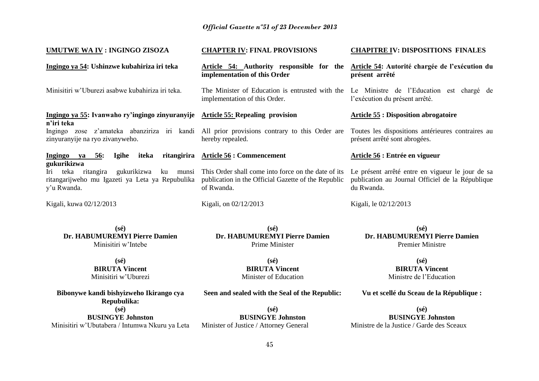| UMUTWE WA IV : INGINGO ZISOZA                                                                                                                | <b>CHAPTER IV: FINAL PROVISIONS</b>                                                                                      | <b>CHAPITRE IV: DISPOSITIONS FINALES</b>                                                                           |  |  |
|----------------------------------------------------------------------------------------------------------------------------------------------|--------------------------------------------------------------------------------------------------------------------------|--------------------------------------------------------------------------------------------------------------------|--|--|
| Ingingo ya 54: Ushinzwe kubahiriza iri teka                                                                                                  | Article 54: Authority responsible for the<br>implementation of this Order                                                | Article 54: Autorité chargée de l'exécution du<br>présent arrêté                                                   |  |  |
| Minisitiri w'Uburezi asabwe kubahiriza iri teka.                                                                                             | The Minister of Education is entrusted with the<br>implementation of this Order.                                         | Le Ministre de l'Education est chargé de<br>l'exécution du présent arrêté.                                         |  |  |
| Ingingo ya 55: Ivanwaho ry'ingingo zinyuranyije Article 55: Repealing provision                                                              |                                                                                                                          | <b>Article 55 : Disposition abrogatoire</b>                                                                        |  |  |
| n'iri teka<br>Ingingo zose z'amateka abanziriza iri kandi All prior provisions contrary to this Order are<br>zinyuranyije na ryo zivanyweho. | hereby repealed.                                                                                                         | Toutes les dispositions antérieures contraires au<br>présent arrêté sont abrogées.                                 |  |  |
| Ingingo ya 56:<br><b>Igihe</b><br>iteka                                                                                                      | ritangirira Article 56 : Commencement                                                                                    | Article 56 : Entrée en vigueur                                                                                     |  |  |
| gukurikizwa<br>Iri teka ritangira<br>gukurikizwa<br>ku munsi<br>ritangarijweho mu Igazeti ya Leta ya Repubulika<br>y'u Rwanda.               | This Order shall come into force on the date of its<br>publication in the Official Gazette of the Republic<br>of Rwanda. | Le présent arrêté entre en vigueur le jour de sa<br>publication au Journal Officiel de la République<br>du Rwanda. |  |  |
| Kigali, kuwa 02/12/2013                                                                                                                      | Kigali, on 02/12/2013                                                                                                    | Kigali, le 02/12/2013                                                                                              |  |  |
| $(s\acute{e})$<br>Dr. HABUMUREMYI Pierre Damien<br>Minisitiri w'Intebe                                                                       | $(s\acute{e})$<br>Dr. HABUMUREMYI Pierre Damien<br>Prime Minister                                                        | $(s\acute{e})$<br>Dr. HABUMUREMYI Pierre Damien<br><b>Premier Ministre</b>                                         |  |  |
| $(s\acute{e})$                                                                                                                               | $(s\acute{e})$                                                                                                           | $(s\acute{e})$                                                                                                     |  |  |
| <b>BIRUTA Vincent</b><br>Minisitiri w'Uburezi                                                                                                | <b>BIRUTA Vincent</b><br>Minister of Education                                                                           | <b>BIRUTA Vincent</b><br>Ministre de l'Education                                                                   |  |  |
| Bibonywe kandi bishyizweho Ikirango cya<br>Repubulika:                                                                                       | Seen and sealed with the Seal of the Republic:                                                                           | Vu et scellé du Sceau de la République :                                                                           |  |  |
| $(s\acute{e})$                                                                                                                               | $(s\acute{e})$                                                                                                           | $(s\acute{e})$                                                                                                     |  |  |
| <b>BUSINGYE Johnston</b>                                                                                                                     | <b>BUSINGYE Johnston</b>                                                                                                 | <b>BUSINGYE Johnston</b>                                                                                           |  |  |

**BUSINGYE Johnston** Ministre de la Justice / Garde des Sceaux

Minister of Justice / Attorney General

Minisitiri w'Ubutabera / Intumwa Nkuru ya Leta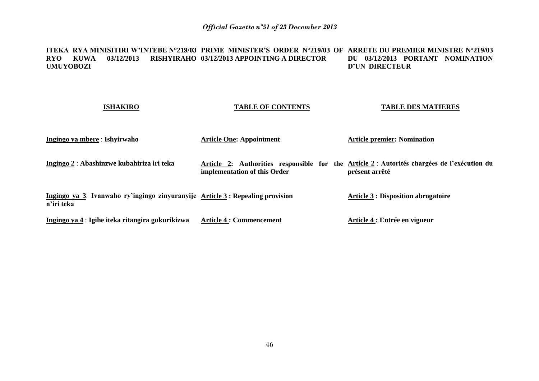#### **ITEKA RYA MINISITIRI W'INTEBE N°219/03 PRIME MINISTER'S ORDER N°219/03 OF ARRETE DU PREMIER MINISTRE N°219/03 RYO KUWA 03/12/2013 RISHYIRAHO 03/12/2013 APPOINTING A DIRECTOR UMUYOBOZI DU 03/12/2013 PORTANT NOMINATION D'UN DIRECTEUR**

#### **ISHAKIRO Ingingo ya mbere** : **Ishyirwaho Ingingo 2** : **Abashinzwe kubahiriza iri teka Ingingo ya 3**: **Ivanwaho ry'ingingo zinyuranyije Article 3 : Repealing provision n'iri teka Ingingo ya 4** : **Igihe iteka ritangira gukurikizwa TABLE OF CONTENTS Article One: Appointment Article 2: Authorities responsible for the Article 2** : **Autorités chargées de l'exécution du implementation of this Order Article 4 : Commencement TABLE DES MATIERES Article premier: Nomination présent arrêté Article 3 : Disposition abrogatoire Article 4 : Entrée en vigueur**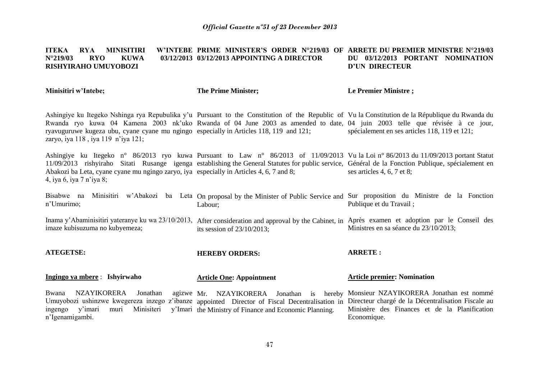#### **ITEKA RYA MINISITIRI N°219/03 RYO KUWA 03/12/2013 03/12/2013 APPOINTING A DIRECTOR RISHYIRAHO UMUYOBOZI PRIME MINISTER'S ORDER N°219/03 OF ARRETE DU PREMIER MINISTRE N°219/03 DU 03/12/2013 PORTANT NOMINATION D'UN DIRECTEUR**

**Minisitiri w'Intebe;**

n'Igenamigambi.

**The Prime Minister;**

**Le Premier Ministre ;**

Economique.

Ashingiye ku Itegeko Nshinga rya Repubulika y'u Pursuant to the Constitution of the Republic of Vu la Constitution de la République du Rwanda du Rwanda ryo kuwa 04 Kamena 2003 nk'uko Rwanda of 04 June 2003 as amended to date, 04 juin 2003 telle que révisée à ce jour, ryavuguruwe kugeza ubu, cyane cyane mu ngingo especially in Articles 118, 119 and 121; zaryo, iya 118 , iya 119 n'iya 121; spécialement en ses articles 118, 119 et 121;

Ashingiye ku Itegeko n° 86/2013 ryo kuwa Pursuant to Law n° 86/2013 of 11/09/2013 Vu la Loi n° 86/2013 du 11/09/2013 portant Statut 11/09/2013 rishyiraho Sitati Rusange igenga establishing the General Statutes for public service, Général de la Fonction Publique, spécialement en Abakozi ba Leta, cyane cyane mu ngingo zaryo, iya especially in Articles 4, 6, 7 and 8; 4, iya 6, iya 7 n'iya 8; ses articles 4, 6, 7 et 8;

Bisabwe na Minisitiri w'Abakozi ba Leta On-proposal-by-the-Minister-of-Public-Service-and-Sur-proposition du Ministre de la Fonction n'Umurimo; Labour; Publique et du Travail ;

Inama y'Abaminisitiri yateranye ku wa 23/10/2013, After consideration and approval by the Cabinet, in Après examen et adoption par le Conseil des imaze kubisuzuma no kubyemeza; its session of 23/10/2013; Ministres en sa séance du 23/10/2013;

**ATEGETSE: HEREBY ORDERS: ARRETE :**

| Ingingo ya mbere : Ishyirwaho |  |  | <b>Article One: Appointment</b>                                                                                                                  |  | <b>Article premier: Nomination</b> |  |  |
|-------------------------------|--|--|--------------------------------------------------------------------------------------------------------------------------------------------------|--|------------------------------------|--|--|
|                               |  |  | Bwana NZAYIKORERA Jonathan agizwe Mr. NZAYIKORERA Jonathan is hereby Monsieur-NZAYIKORERA Jonathan est nommé                                     |  |                                    |  |  |
|                               |  |  | Umuyobozi ushinzwe kwegereza inzego z'ibanze appointed Director of Fiscal Decentralisation in Directeur chargé de la Décentralisation Fiscale au |  |                                    |  |  |
|                               |  |  | ingengo y'imari muri Minisiteri y'Imari the Ministry of Finance and Economic Planning. Ministère des Finances et de la Planification             |  |                                    |  |  |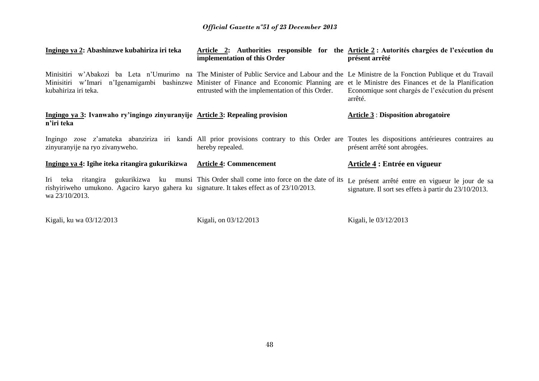| Ingingo ya 2: Abashinzwe kubahiriza iri teka                                                                                                                                                                                                                                                                          | Article 2: Authorities responsible for the Article 2 : Autorités chargées de l'exécution du<br>implementation of this Order | présent arrêté                                                                                            |
|-----------------------------------------------------------------------------------------------------------------------------------------------------------------------------------------------------------------------------------------------------------------------------------------------------------------------|-----------------------------------------------------------------------------------------------------------------------------|-----------------------------------------------------------------------------------------------------------|
| Minisitiri w'Abakozi ba Leta n'Umurimo na The Minister of Public Service and Labour and the Le Ministre de la Fonction Publique et du Travail<br>Minisitiri w'Imari n'Igenamigambi bashinzwe Minister of Finance and Economic Planning are et le Ministre des Finances et de la Planification<br>kubahiriza iri teka. | entrusted with the implementation of this Order.                                                                            | Economique sont chargés de l'exécution du présent<br>arrêté.                                              |
| Ingingo ya 3: Ivanwaho ry'ingingo zinyuranyije Article 3: Repealing provision<br>n'iri teka                                                                                                                                                                                                                           |                                                                                                                             | <b>Article 3 : Disposition abrogatoire</b>                                                                |
| Ingingo zose z'amateka abanziriza iri kandi All prior provisions contrary to this Order are Toutes les dispositions antérieures contraires au<br>zinyuranyije na ryo zivanyweho.                                                                                                                                      | hereby repealed.                                                                                                            | présent arrêté sont abrogées.                                                                             |
| Ingingo ya 4: Igihe iteka ritangira gukurikizwa                                                                                                                                                                                                                                                                       | <b>Article 4: Commencement</b>                                                                                              | Article 4 : Entrée en vigueur                                                                             |
| Iri teka ritangira<br>rishyiriweho umukono. Agaciro karyo gahera ku signature. It takes effect as of 23/10/2013.<br>wa 23/10/2013.                                                                                                                                                                                    | gukurikizwa ku munsi This Order shall come into force on the date of its                                                    | Le présent arrêté entre en vigueur le jour de sa<br>signature. Il sort ses effets à partir du 23/10/2013. |

Kigali, ku wa 03/12/2013 Kigali, on 03/12/2013 Kigali, le 03/12/2013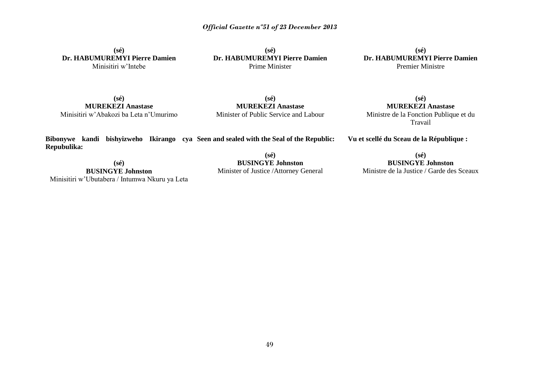**(sé) Dr. HABUMUREMYI Pierre Damien** Minisitiri w'Intebe

**(sé) Dr. HABUMUREMYI Pierre Damien** Prime Minister

**(sé) Dr. HABUMUREMYI Pierre Damien** Premier Ministre

**(sé) MUREKEZI Anastase** Minisitiri w'Abakozi ba Leta n'Umurimo

**(sé) MUREKEZI Anastase** Minister of Public Service and Labour

**(sé) MUREKEZI Anastase** Ministre de la Fonction Publique et du Travail

**Bibonywe kandi bishyizweho Ikirango cya Seen and sealed with the Seal of the Republic: Repubulika:**

**Vu et scellé du Sceau de la République :**

**(sé) BUSINGYE Johnston** Minisitiri w'Ubutabera / Intumwa Nkuru ya Leta

**(sé) BUSINGYE Johnston** Minister of Justice /Attorney General

**(sé) BUSINGYE Johnston** Ministre de la Justice / Garde des Sceaux

49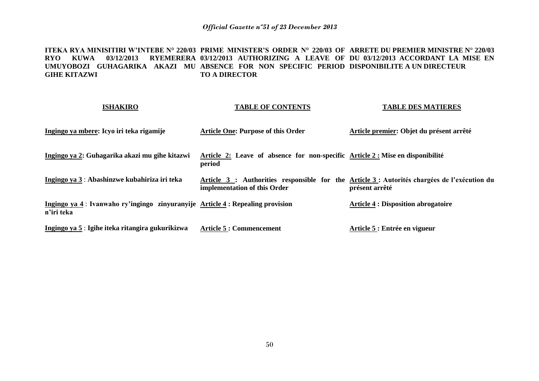**ITEKA RYA MINISITIRI W'INTEBE N° 220/03 PRIME MINISTER'S ORDER N° 220/03 OF ARRETE DU PREMIER MINISTRE N° 220/03 RYO KUWA 03/12/2013 RYEMERERA 03/12/2013 AUTHORIZING A LEAVE OF DU 03/12/2013 ACCORDANT LA MISE EN**  UMUYOBOZI GUHAGARIKA AKAZI MU ABSENCE FOR NON SPECIFIC PERIOD DISPONIBILITE A UN DIRECTEUR **GIHE KITAZWI TO A DIRECTOR** 

| <b>ISHAKIRO</b>                                                                               | <b>TABLE OF CONTENTS</b>                                                                                                     | <b>TABLE DES MATIERES</b>                  |
|-----------------------------------------------------------------------------------------------|------------------------------------------------------------------------------------------------------------------------------|--------------------------------------------|
| Ingingo ya mbere: Icyo iri teka rigamije                                                      | <b>Article One: Purpose of this Order</b>                                                                                    | Article premier: Objet du présent arrêté   |
| Ingingo ya 2: Guhagarika akazi mu gihe kitazwi                                                | Article 2: Leave of absence for non-specific Article 2 : Mise en disponibilité<br>period                                     |                                            |
| Ingingo ya 3: Abashinzwe kubahiriza iri teka                                                  | Article 3 : Authorities responsible for the Article 3 : Autorités chargées de l'exécution du<br>implementation of this Order | présent arrêté                             |
| Ingingo ya 4 : Ivanwaho ry'ingingo zinyuranyije Article 4 : Repealing provision<br>n'iri teka |                                                                                                                              | <b>Article 4 : Disposition abrogatoire</b> |
| Ingingo ya 5 : Igihe iteka ritangira gukurikizwa                                              | <b>Article 5: Commencement</b>                                                                                               | Article 5 : Entrée en vigueur              |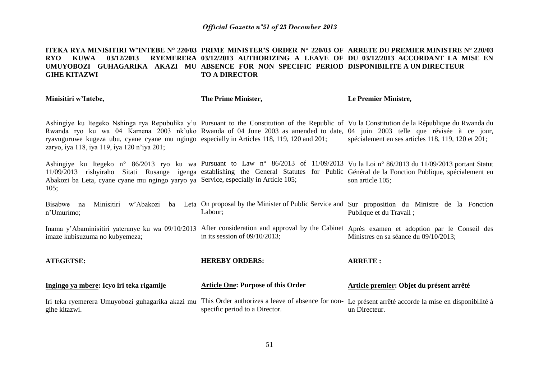#### **ITEKA RYA MINISITIRI W'INTEBE N° 220/03 PRIME MINISTER'S ORDER N° 220/03 OF ARRETE DU PREMIER MINISTRE N° 220/03 RYO KUWA 03/12/2013 RYEMERERA 03/12/2013 AUTHORIZING A LEAVE OF DU 03/12/2013 ACCORDANT LA MISE EN**  UMUYOBOZI GUHAGARIKA AKAZI MU ABSENCE FOR NON SPECIFIC PERIOD DISPONIBILITE A UN DIRECTEUR **GIHE KITAZWI TO A DIRECTOR**

| Minisitiri w'Intebe, | The Prime Minister, | Le Premier Ministre, |
|----------------------|---------------------|----------------------|
|                      |                     |                      |

Ashingiye ku Itegeko Nshinga rya Repubulika y'u Pursuant to the Constitution of the Republic of Vu la Constitution de la République du Rwanda du Rwanda ryo ku wa 04 Kamena 2003 nk'uko Rwanda of 04 June 2003 as amended to date, 04 juin 2003 telle que révisée à ce jour, ryavuguruwe kugeza ubu, cyane cyane mu ngingo especially in Articles 118, 119, 120 and 201; zaryo, iya 118, iya 119, iya 120 n'iya 201; spécialement en ses articles 118, 119, 120 et 201;

Ashingiye ku Itegeko n° 86/2013 ryo ku wa Pursuant to Law n° 86/2013 of 11/09/2013 Vu la Loi n° 86/2013 du 11/09/2013 portant Statut 11/09/2013 rishyiraho Sitati Rusange igenga establishing the General Statutes for Public Général de la Fonction Publique, spécialement en Abakozi ba Leta, cyane cyane mu ngingo yaryo ya Service, especially in Article 105; 105; son article 105;

Bisabwe na Minisitiri w'Abakozi ba Leta On-proposal-by-the-Minister-of-Public-Service-and-Sur-proposition du Ministre de la Fonction n'Umurimo; Labour; Publique et du Travail ;

Inama y'Abaminisitiri yateranye ku wa 09/10/2013 After consideration and approval by the Cabinet Après examen et adoption par le Conseil des imaze kubisuzuma no kubyemeza; in its session of 09/10/2013; Ministres en sa séance du 09/10/2013;

**ATEGETSE: Ingingo ya mbere: Icyo iri teka rigamije** Iri teka ryemerera Umuyobozi guhagarika akazi mu This Order authorizes a leave of absence for non-Le présent arrêté accorde la mise en disponibilité à gihe kitazwi. **HEREBY ORDERS: Article One: Purpose of this Order** specific period to a Director. **ARRETE : Article premier: Objet du présent arrêté**  un Directeur.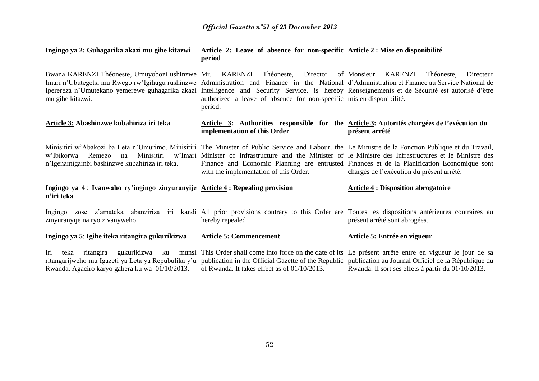| Ingingo ya 2: Guhagarika akazi mu gihe kitazwi                                                                                                                                                                                                                                                                                                                                  | Article 2: Leave of absence for non-specific Article 2 : Mise en disponibilité<br>period                                   |                                                                                                                                                                                                                                                       |
|---------------------------------------------------------------------------------------------------------------------------------------------------------------------------------------------------------------------------------------------------------------------------------------------------------------------------------------------------------------------------------|----------------------------------------------------------------------------------------------------------------------------|-------------------------------------------------------------------------------------------------------------------------------------------------------------------------------------------------------------------------------------------------------|
| Bwana KARENZI Théoneste, Umuyobozi ushinzwe Mr. KARENZI<br>Imari n'Ubutegetsi mu Rwego rw'Igihugu rushinzwe Administration and Finance in the National d'Administration et Finance au Service National de<br>Iperereza n'Umutekano yemerewe guhagarika akazi Intelligence and Security Service, is hereby Renseignements et de Sécurité est autorisé d'être<br>mu gihe kitazwi. | Théoneste, Director of Monsieur<br>authorized a leave of absence for non-specific mis en disponibilité.<br>period.         | KARENZI<br>Théoneste,<br>Directeur                                                                                                                                                                                                                    |
| Article 3: Abashinzwe kubahiriza iri teka                                                                                                                                                                                                                                                                                                                                       | Article 3: Authorities responsible for the Article 3: Autorités chargées de l'exécution du<br>implementation of this Order | présent arrêté                                                                                                                                                                                                                                        |
| Minisitiri w'Abakozi ba Leta n'Umurimo, Minisitiri The Minister of Public Service and Labour, the Le Ministre de la Fonction Publique et du Travail,<br>Remezo<br>Minisitiri<br>w'Ibikorwa<br>na<br>n'Igenamigambi bashinzwe kubahiriza iri teka.                                                                                                                               | with the implementation of this Order.                                                                                     | w'Imari Minister of Infrastructure and the Minister of le Ministre des Infrastructures et le Ministre des<br>Finance and Economic Planning are entrusted Finances et de la Planification Economique sont<br>chargés de l'exécution du présent arrêté. |
| Ingingo ya 4: Ivanwaho ry'ingingo zinyuranyije Article 4: Repealing provision<br>n'iri teka                                                                                                                                                                                                                                                                                     |                                                                                                                            | <b>Article 4 : Disposition abrogatoire</b>                                                                                                                                                                                                            |
| Ingingo zose z'amateka abanziriza iri kandi All prior provisions contrary to this Order are Toutes les dispositions antérieures contraires au<br>zinyuranyije na ryo zivanyweho.                                                                                                                                                                                                | hereby repealed.                                                                                                           | présent arrêté sont abrogées.                                                                                                                                                                                                                         |
| Ingingo ya 5: Igihe iteka ritangira gukurikizwa                                                                                                                                                                                                                                                                                                                                 | <b>Article 5: Commencement</b>                                                                                             | Article 5: Entrée en vigueur                                                                                                                                                                                                                          |
| Iri<br>ritangira<br>teka<br>ritangarijweho mu Igazeti ya Leta ya Repubulika y'u publication in the Official Gazette of the Republic publication au Journal Officiel de la République du<br>Rwanda. Agaciro karyo gahera ku wa 01/10/2013.                                                                                                                                       | of Rwanda. It takes effect as of 01/10/2013.                                                                               | gukurikizwa ku munsi This Order shall come into force on the date of its Le présent arrêté entre en vigueur le jour de sa<br>Rwanda. Il sort ses effets à partir du 01/10/2013.                                                                       |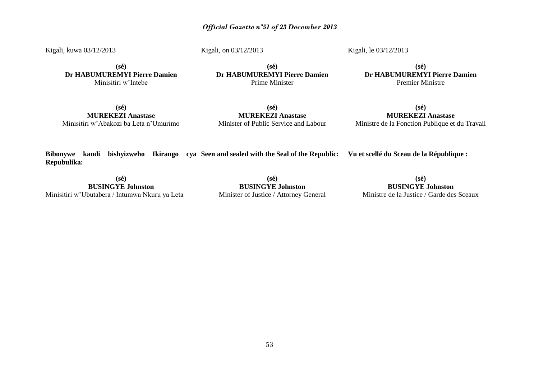Kigali, kuwa 03/12/2013

Kigali, on 03/12/2013

Kigali, le 03/12/2013

**(sé) Dr HABUMUREMYI Pierre Damien** Minisitiri w'Intebe

**(sé) Dr HABUMUREMYI Pierre Damien** Prime Minister

**(sé) Dr HABUMUREMYI Pierre Damien** Premier Ministre

**(sé) MUREKEZI Anastase** Minisitiri w'Abakozi ba Leta n'Umurimo

**(sé) MUREKEZI Anastase** Minister of Public Service and Labour

**(sé) MUREKEZI Anastase** Ministre de la Fonction Publique et du Travail

**Bibonywe kandi bishyizweho Ikirango cya Seen and sealed with the Seal of the Republic: Vu et scellé du Sceau de la République : Repubulika:**

**(sé) BUSINGYE Johnston** Minisitiri w'Ubutabera / Intumwa Nkuru ya Leta

**(sé) BUSINGYE Johnston** Minister of Justice / Attorney General

**(sé) BUSINGYE Johnston** Ministre de la Justice / Garde des Sceaux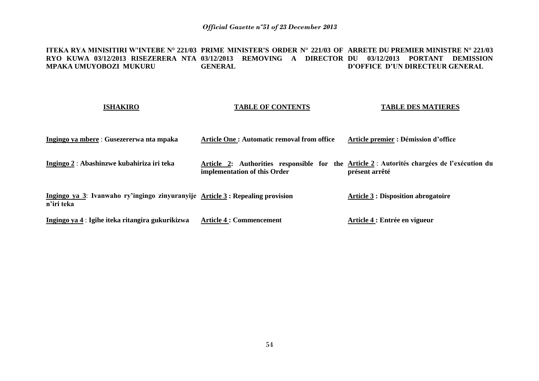**ITEKA RYA MINISITIRI W'INTEBE N° 221/03 PRIME MINISTER'S ORDER N° 221/03 OF ARRETE DU PREMIER MINISTRE N° 221/03 RYO KUWA 03/12/2013 RISEZERERA NTA 03/12/2013 REMOVING A DIRECTOR DU 03/12/2013 PORTANT DEMISSION MPAKA UMUYOBOZI MUKURU GENERAL D'OFFICE D'UN DIRECTEUR GENERAL**

#### **ISHAKIRO**

### **TABLE OF CONTENTS**

**TABLE DES MATIERES**

| Ingingo ya mbere : Gusezererwa nta mpaka                                                    | Article One: Automatic removal from office | Article premier : Démission d'office                                                                          |
|---------------------------------------------------------------------------------------------|--------------------------------------------|---------------------------------------------------------------------------------------------------------------|
| Ingingo 2 : Abashinzwe kubahiriza iri teka                                                  | implementation of this Order               | Article 2: Authorities responsible for the Article 2 : Autorités chargées de l'exécution du<br>présent arrêté |
| Ingingo ya 3: Ivanwaho ry'ingingo zinyuranyije Article 3: Repealing provision<br>n'iri teka |                                            | <b>Article 3 : Disposition abrogatoire</b>                                                                    |
| Ingingo ya 4 : Igihe iteka ritangira gukurikizwa                                            | <b>Article 4 : Commencement</b>            | Article 4 : Entrée en vigueur                                                                                 |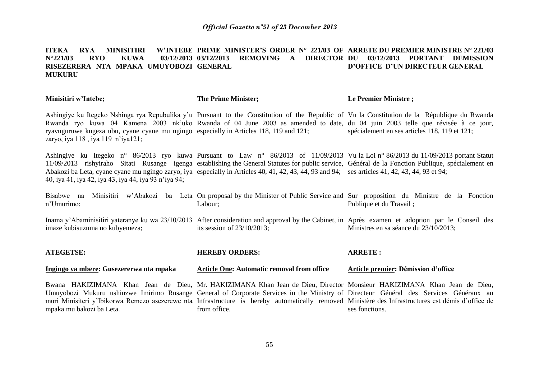#### **ITEKA RYA MINISITIRI W'INTEBE PRIME MINISTER'S ORDER N° 221/03 OF ARRETE DU PREMIER MINISTRE N° 221/03 N°221/03 RYO KUWA 03/12/2013 03/12/2013 REMOVING A DIRECTOR DU 03/12/2013 PORTANT DEMISSION RISEZERERA NTA MPAKA UMUYOBOZI GENERAL MUKURU D'OFFICE D'UN DIRECTEUR GENERAL**

| Minisitiri w'Intebe;                                                                                                                 | <b>The Prime Minister;</b>                                                                                                                                                                                                                                                                                                                                                                                                                  | Le Premier Ministre;                          |  |
|--------------------------------------------------------------------------------------------------------------------------------------|---------------------------------------------------------------------------------------------------------------------------------------------------------------------------------------------------------------------------------------------------------------------------------------------------------------------------------------------------------------------------------------------------------------------------------------------|-----------------------------------------------|--|
| ryavuguruwe kugeza ubu, cyane cyane mu ngingo especially in Articles 118, 119 and 121;<br>zaryo, iya $118$ , iya $119$ n'iya $121$ ; | Ashingiye ku Itegeko Nshinga rya Repubulika y'u Pursuant to the Constitution of the Republic of Vu la Constitution de la République du Rwanda<br>Rwanda ryo kuwa 04 Kamena 2003 nk'uko Rwanda of 04 June 2003 as amended to date, du 04 juin 2003 telle que révisée à ce jour,                                                                                                                                                              | spécialement en ses articles 118, 119 et 121; |  |
| 40, iya 41, iya 42, iya 43, iya 44, iya 93 n'iya 94;                                                                                 | Ashingiye ku Itegeko n° 86/2013 ryo kuwa Pursuant to Law n° 86/2013 of 11/09/2013 Vu la Loi n° 86/2013 du 11/09/2013 portant Statut<br>11/09/2013 rishyiraho Sitati Rusange igenga establishing the General Statutes for public service, Général de la Fonction Publique, spécialement en<br>Abakozi ba Leta, cyane cyane mu ngingo zaryo, iya especially in Articles 40, 41, 42, 43, 44, 93 and 94; ses articles 41, 42, 43, 44, 93 et 94; |                                               |  |
| n'Umurimo;                                                                                                                           | Bisabwe na Minisitiri w'Abakozi ba Leta On proposal by the Minister of Public Service and Sur proposition du Ministre de la Fonction<br>Labour;                                                                                                                                                                                                                                                                                             | Publique et du Travail;                       |  |
| imaze kubisuzuma no kubyemeza;                                                                                                       | Inama y'Abaminisitiri yateranye ku wa 23/10/2013 After consideration and approval by the Cabinet, in Après examen et adoption par le Conseil des<br>its session of $23/10/2013$ ;                                                                                                                                                                                                                                                           | Ministres en sa séance du 23/10/2013;         |  |
| <b>ATEGETSE:</b>                                                                                                                     | <b>HEREBY ORDERS:</b>                                                                                                                                                                                                                                                                                                                                                                                                                       | <b>ARRETE:</b>                                |  |
| Ingingo ya mbere: Gusezererwa nta mpaka                                                                                              | <b>Article One: Automatic removal from office</b>                                                                                                                                                                                                                                                                                                                                                                                           | Article premier: Démission d'office           |  |
| mpaka mu bakozi ba Leta.                                                                                                             | Bwana HAKIZIMANA Khan Jean de Dieu, Mr. HAKIZIMANA Khan Jean de Dieu, Director Monsieur HAKIZIMANA Khan Jean de Dieu,<br>Umuyobozi Mukuru ushinzwe Imirimo Rusange General of Corporate Services in the Ministry of Directeur Général des Services Généraux au<br>muri Minisiteri y'Ibikorwa Remezo asezerewe nta Infrastructure is hereby automatically removed Ministère des Infrastructures est démis d'office de<br>from office.        | ses fonctions.                                |  |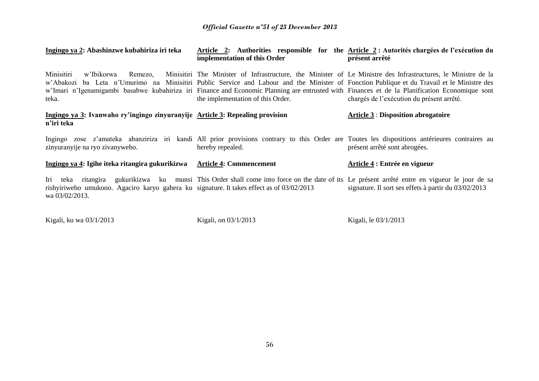| Ingingo ya 2: Abashinzwe kubahiriza iri teka                                                                | Article 2: Authorities responsible for the Article 2 : Autorités chargées de l'exécution du<br>implementation of this Order                                                                                                                                                                                                                                                                                                                        | présent arrêté                                       |
|-------------------------------------------------------------------------------------------------------------|----------------------------------------------------------------------------------------------------------------------------------------------------------------------------------------------------------------------------------------------------------------------------------------------------------------------------------------------------------------------------------------------------------------------------------------------------|------------------------------------------------------|
| Minisitiri<br>w'Ibikorwa<br>Remezo,<br>teka.                                                                | Minisitiri The Minister of Infrastructure, the Minister of Le Ministre des Infrastructures, le Ministre de la<br>w'Abakozi ba Leta n'Umurimo na Minisitiri Public Service and Labour and the Minister of Fonction Publique et du Travail et le Ministre des<br>w'Imari n'Igenamigambi basabwe kubahiriza iri Finance and Economic Planning are entrusted with Finances et de la Planification Economique sont<br>the implementation of this Order. | chargés de l'exécution du présent arrêté.            |
| Ingingo ya 3: Ivanwaho ry'ingingo zinyuranyije Article 3: Repealing provision<br>n'iri teka                 |                                                                                                                                                                                                                                                                                                                                                                                                                                                    | <b>Article 3: Disposition abrogatoire</b>            |
| zinyuranyije na ryo zivanyweho.                                                                             | Ingingo zose z'amateka abanziriza iri kandi All prior provisions contrary to this Order are Toutes les dispositions antérieures contraires au<br>hereby repealed.                                                                                                                                                                                                                                                                                  | présent arrêté sont abrogées.                        |
| Ingingo ya 4: Igihe iteka ritangira gukurikizwa                                                             | <b>Article 4: Commencement</b>                                                                                                                                                                                                                                                                                                                                                                                                                     | Article 4 : Entrée en vigueur                        |
| rishyiriweho umukono. Agaciro karyo gahera ku signature. It takes effect as of 03/02/2013<br>wa 03/02/2013. | Iri teka ritangira gukurikizwa ku munsi This Order shall come into force on the date of its Le présent arrêté entre en vigueur le jour de sa                                                                                                                                                                                                                                                                                                       | signature. Il sort ses effets à partir du 03/02/2013 |

Kigali, ku wa 03/1/2013 Kigali, on 03/1/2013 Kigali, le 03/1/2013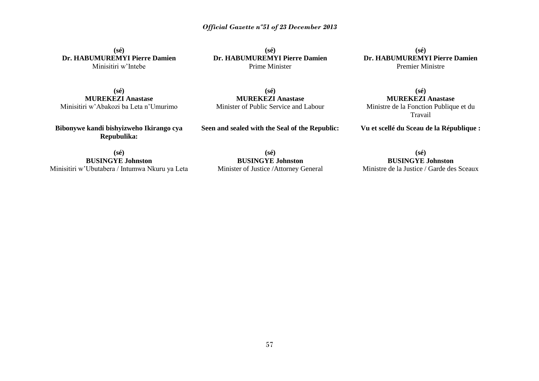**(sé) Dr. HABUMUREMYI Pierre Damien** Minisitiri w'Intebe

**(sé) Dr. HABUMUREMYI Pierre Damien** Prime Minister

**(sé) Dr. HABUMUREMYI Pierre Damien** Premier Ministre

**(sé) MUREKEZI Anastase** Minisitiri w'Abakozi ba Leta n'Umurimo

**(sé) MUREKEZI Anastase** Minister of Public Service and Labour

**(sé) MUREKEZI Anastase** Ministre de la Fonction Publique et du Travail

**Bibonywe kandi bishyizweho Ikirango cya Repubulika:**

**Seen and sealed with the Seal of the Republic:**

**Vu et scellé du Sceau de la République :**

**(sé) BUSINGYE Johnston** Minisitiri w'Ubutabera / Intumwa Nkuru ya Leta

**(sé) BUSINGYE Johnston** Minister of Justice /Attorney General

**(sé) BUSINGYE Johnston** Ministre de la Justice / Garde des Sceaux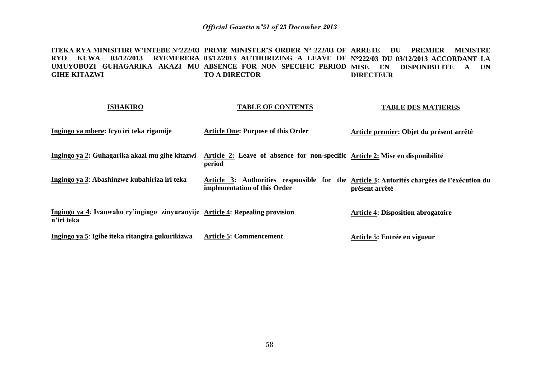**ITEKA RYA MINISITIRI W'INTEBE N°222/03 PRIME MINISTER'S ORDER N° 222/03 OF ARRETE DU PREMIER MINISTRE RYO KUWA 03/12/2013 RYEMERERA 03/12/2013 AUTHORIZING A LEAVE OF N222/03 DU 03/12/2013 ACCORDANT LA**  UMUYOBOZI GUHAGARIKA AKAZI MU ABSENCE FOR NON SPECIFIC PERIOD MISE EN DISPONIBILITE A UN **GIHE KITAZWI TO A DIRECTOR DIRECTEUR** 

| <b>ISHAKIRO</b>                                                                             | <b>TABLE OF CONTENTS</b>                                                                                                   | <b>TABLE DES MATIERES</b>                 |
|---------------------------------------------------------------------------------------------|----------------------------------------------------------------------------------------------------------------------------|-------------------------------------------|
| Ingingo ya mbere: Icyo iri teka rigamije                                                    | <b>Article One: Purpose of this Order</b>                                                                                  | Article premier: Objet du présent arrêté  |
| Ingingo ya 2: Guhagarika akazi mu gihe kitazwi                                              | Article 2: Leave of absence for non-specific Article 2: Mise en disponibilité<br>period                                    |                                           |
| Ingingo ya 3: Abashinzwe kubahiriza iri teka                                                | Article 3: Authorities responsible for the Article 3: Autorités chargées de l'exécution du<br>implementation of this Order | présent arrêté                            |
| Ingingo ya 4: Ivanwaho ry'ingingo zinyuranyije Article 4: Repealing provision<br>n'iri teka |                                                                                                                            | <b>Article 4: Disposition abrogatoire</b> |
| Ingingo ya 5: Igihe iteka ritangira gukurikizwa                                             | <b>Article 5: Commencement</b>                                                                                             | Article 5: Entrée en vigueur              |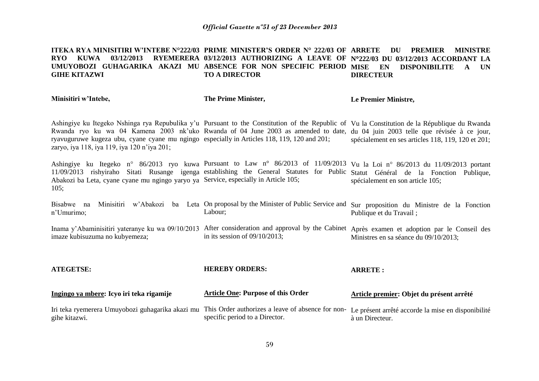#### **ITEKA RYA MINISITIRI W'INTEBE N°222/03 PRIME MINISTER'S ORDER N° 222/03 OF ARRETE DU PREMIER MINISTRE RYO KUWA 03/12/2013 RYEMERERA 03/12/2013 AUTHORIZING A LEAVE OF N222/03 DU 03/12/2013 ACCORDANT LA UMUYOBOZI GUHAGARIKA AKAZI MU ABSENCE FOR NON SPECIFIC PERIOD GIHE KITAZWI TO A DIRECTOR DISPONIBILITE A UN DIRECTEUR**

**Minisitiri w'Intebe,**

**The Prime Minister,**

**Le Premier Ministre,**

Ashingiye ku Itegeko Nshinga rya Repubulika y'u Pursuant to the Constitution of the Republic of Vu la Constitution de la République du Rwanda Rwanda ryo ku wa 04 Kamena 2003 nk'uko Rwanda of 04 June 2003 as amended to date, du 04 juin 2003 telle que révisée à ce jour, ryavuguruwe kugeza ubu, cyane cyane mu ngingo especially in Articles 118, 119, 120 and 201; zaryo, iya 118, iya 119, iya 120 n'iya 201; spécialement en ses articles 118, 119, 120 et 201;

Ashingiye ku Itegeko n° 86/2013 ryo kuwa Pursuant to Law n° 86/2013 of 11/09/2013 Vu la Loi n° 86/2013 du 11/09/2013 portant 11/09/2013 rishyiraho Sitati Rusange igenga establishing the General Statutes for Public Statut Général de la Fonction Publique, Abakozi ba Leta, cyane cyane mu ngingo yaryo ya Service, especially in Article 105; 105; spécialement en son article 105;

Bisabwe na Minisitiri w'Abakozi ba Leta On proposal by the Minister of Public Service and Sur proposition du Ministre de la Fonction n'Umurimo; Labour; Publique et du Travail ;

Inama y'Abaminisitiri yateranye ku wa 09/10/2013 After consideration and approval by the Cabinet Après examen et adoption par le Conseil des imaze kubisuzuma no kubyemeza; in its session of 09/10/2013; Ministres en sa séance du 09/10/2013;

| <b>ATEGETSE:</b>                                                                                                                                                       | <b>HEREBY ORDERS:</b>                     | <b>ARRETE:</b>                           |  |
|------------------------------------------------------------------------------------------------------------------------------------------------------------------------|-------------------------------------------|------------------------------------------|--|
| Ingingo ya mbere: Icyo iri teka rigamije                                                                                                                               | <b>Article One: Purpose of this Order</b> | Article premier: Objet du présent arrêté |  |
| Iri teka ryemerera Umuyobozi guhagarika akazi mu This Order authorizes a leave of absence for non- Le présent arrêté accorde la mise en disponibilité<br>gihe kitazwi. | specific period to a Director.            | à un Directeur.                          |  |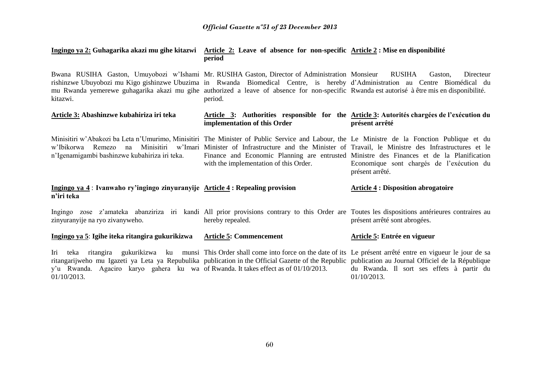| Ingingo ya 2: Guhagarika akazi mu gihe kitazwi Article 2: Leave of absence for non-specific Article 2: Mise en disponibilité |
|------------------------------------------------------------------------------------------------------------------------------|
| period                                                                                                                       |

Bwana RUSIHA Gaston, Umuyobozi w'Ishami Mr. RUSIHA Gaston, Director of Administration Monsieur RUSIHA Gaston, Directeur rishinzwe Ubuyobozi mu Kigo gishinzwe Ubuzima in Rwanda Biomedical Centre, is hereby d'Administration au Centre Biomédical du mu Rwanda yemerewe guhagarika akazi mu gihe authorized a leave of absence for non-specific Rwanda est autorisé à être mis en disponibilité. kitazwi. period.

#### **Article 3: Abashinzwe kubahiriza iri teka Article 3: Authorities responsible for the Article 3: Autorités chargées de l'exécution du implementation of this Order présent arrêté**

Minisitiri w'Abakozi ba Leta n'Umurimo, Minisitiri The Minister of Public Service and Labour, the Le Ministre de la Fonction Publique et du w'Ibikorwa Remezo na Minisitiri w'Imari Minister of Infrastructure and the Minister of Travail, le Ministre des Infrastructures et le n'Igenamigambi bashinzwe kubahiriza iri teka. Finance and Economic Planning are entrusted Ministre des Finances et de la Planification with the implementation of this Order. Economique sont chargés de l'exécution du présent arrêté.

#### **Ingingo ya 4** : **Ivanwaho ry'ingingo zinyuranyije Article 4 : Repealing provision n'iri teka Article 4 : Disposition abrogatoire**

Ingingo zose z'amateka abanziriza iri kandi All prior provisions contrary to this Order are Toutes les dispositions antérieures contraires au zinyuranyije na ryo zivanyweho. hereby repealed. présent arrêté sont abrogées.

#### **Ingingo ya 5**: **Igihe iteka ritangira gukurikizwa Article 5: Commencement Article 5: Entrée en vigueur**

Iri teka ritangira gukurikizwa ku munsi This Order shall come into force on the date of its Le présent arrêté entre en vigueur le jour de sa ritangarijweho mu Igazeti ya Leta ya Repubulika publication in the Official Gazette of the Republic y'u Rwanda. Agaciro karyo gahera ku wa of Rwanda. It takes effect as of 01/10/2013. 01/10/2013. publication au Journal Officiel de la République du Rwanda. Il sort ses effets à partir du 01/10/2013.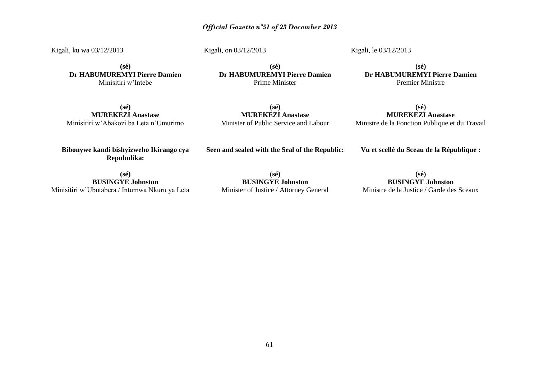Kigali, ku wa 03/12/2013

Kigali, on 03/12/2013

Kigali, le 03/12/2013

**(sé) Dr HABUMUREMYI Pierre Damien** Minisitiri w'Intebe

**(sé) Dr HABUMUREMYI Pierre Damien** Prime Minister

**(sé) Dr HABUMUREMYI Pierre Damien** Premier Ministre

**(sé) MUREKEZI Anastase** Minisitiri w'Abakozi ba Leta n'Umurimo

**(sé) MUREKEZI Anastase** Minister of Public Service and Labour

**(sé) MUREKEZI Anastase** Ministre de la Fonction Publique et du Travail

**Bibonywe kandi bishyizweho Ikirango cya Repubulika:**

**Seen and sealed with the Seal of the Republic:**

**Vu et scellé du Sceau de la République :**

**(sé) BUSINGYE Johnston** Minisitiri w'Ubutabera / Intumwa Nkuru ya Leta

**(sé) BUSINGYE Johnston** Minister of Justice / Attorney General

**(sé) BUSINGYE Johnston** Ministre de la Justice / Garde des Sceaux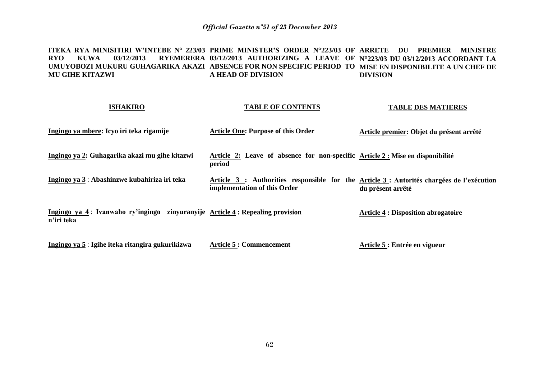**ITEKA RYA MINISITIRI W'INTEBE N° 223/03 PRIME MINISTER'S ORDER N°223/03 OF ARRETE DU PREMIER MINISTRE RYO KUWA 03/12/2013 RYEMERERA 03/12/2013 AUTHORIZING A LEAVE OF N223/03 DU 03/12/2013 ACCORDANT LA UMUYOBOZI MUKURU GUHAGARIKA AKAZI ABSENCE FOR NON SPECIFIC PERIOD TO MISE EN DISPONIBILITE A UN CHEF DE MU GIHE KITAZWI A HEAD OF DIVISION DIVISION**

| <b>ISHAKIRO</b>                                                                             | <b>TABLE OF CONTENTS</b>                                                                                                  | <b>TABLE DES MATIERES</b>                  |
|---------------------------------------------------------------------------------------------|---------------------------------------------------------------------------------------------------------------------------|--------------------------------------------|
| Ingingo ya mbere: Icyo iri teka rigamije                                                    | <b>Article One: Purpose of this Order</b>                                                                                 | Article premier: Objet du présent arrêté   |
| Ingingo ya 2: Guhagarika akazi mu gihe kitazwi                                              | Article 2: Leave of absence for non-specific Article 2: Mise en disponibilité<br>period                                   |                                            |
| Ingingo ya 3 : Abashinzwe kubahiriza iri teka                                               | Article 3 : Authorities responsible for the Article 3 : Autorités chargées de l'exécution<br>implementation of this Order | du présent arrêté                          |
| Ingingo ya 4: Ivanwaho ry'ingingo zinyuranyije Article 4: Repealing provision<br>n'iri teka |                                                                                                                           | <b>Article 4 : Disposition abrogatoire</b> |
| Ingingo ya 5 : Igihe iteka ritangira gukurikizwa                                            | <b>Article 5: Commencement</b>                                                                                            | Article 5 : Entrée en vigueur              |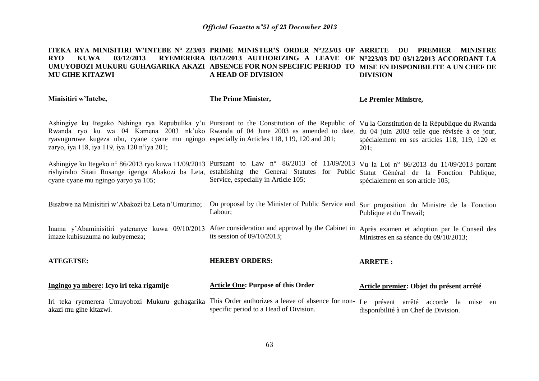#### **ITEKA RYA MINISITIRI W'INTEBE N° 223/03 PRIME MINISTER'S ORDER N°223/03 OF ARRETE DU PREMIER MINISTRE RYO KUWA 03/12/2013 RYEMERERA 03/12/2013 AUTHORIZING A LEAVE OF N223/03 DU 03/12/2013 ACCORDANT LA UMUYOBOZI MUKURU GUHAGARIKA AKAZI ABSENCE FOR NON SPECIFIC PERIOD TO MISE EN DISPONIBILITE A UN CHEF DE MU GIHE KITAZWI A HEAD OF DIVISION DIVISION**

**Minisitiri w'Intebe,**

**The Prime Minister,**

**Le Premier Ministre,**

Ashingiye ku Itegeko Nshinga rya Repubulika y'u Pursuant to the Constitution of the Republic of Vu la Constitution de la République du Rwanda Rwanda ryo ku wa 04 Kamena 2003 nk'uko Rwanda of 04 June 2003 as amended to date, du 04 juin 2003 telle que révisée à ce jour, ryavuguruwe kugeza ubu, cyane cyane mu ngingo especially in Articles 118, 119, 120 and 201; zaryo, iya 118, iya 119, iya 120 n'iya 201; spécialement en ses articles 118, 119, 120 et 201;

Ashingiye ku Itegeko n° 86/2013 ryo kuwa 11/09/2013 Pursuant to Law n° 86/2013 of 11/09/2013 Vu la Loi n° 86/2013 du 11/09/2013 portant rishyiraho Sitati Rusange igenga Abakozi ba Leta, establishing the General Statutes for Public Statut Général de la Fonction Publique, cyane cyane mu ngingo yaryo ya 105; Service, especially in Article 105; spécialement en son article 105;

Bisabwe na Minisitiri w'Abakozi ba Leta n'Umurimo; On proposal by the Minister of Public Service and Sur proposition du Ministre de la Fonction Labour; Publique et du Travail;

Inama y'Abaminisitiri yateranye kuwa 09/10/2013 After consideration and approval by the Cabinet in Après examen et adoption par le Conseil des imaze kubisuzuma no kubyemeza; its session of 09/10/2013; Ministres en sa séance du 09/10/2013;

**ATEGETSE: Ingingo ya mbere: Icyo iri teka rigamije HEREBY ORDERS: Article One: Purpose of this Order ARRETE : Article premier: Objet du présent arrêté** 

Iri teka ryemerera Umuyobozi Mukuru guhagarika This Order authorizes a leave of absence for nonakazi mu gihe kitazwi. specific period to a Head of Division. Le présent arrêté accorde la mise en disponibilité à un Chef de Division.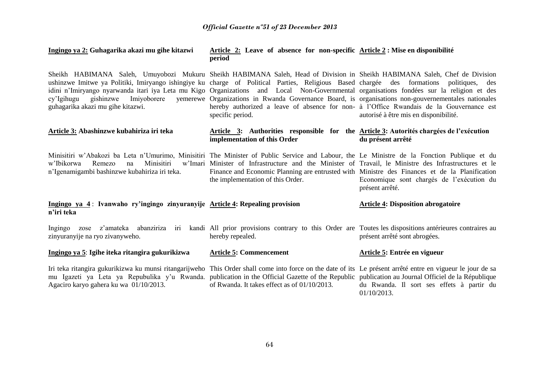| Ingingo ya 2: Guhagarika akazi mu gihe kitazwi                                                                                                                                                                                                                                                                                                                                                                                                                                | Article 2: Leave of absence for non-specific Article 2: Mise en disponibilité<br>period                                                                                                                                                     |                                                              |  |
|-------------------------------------------------------------------------------------------------------------------------------------------------------------------------------------------------------------------------------------------------------------------------------------------------------------------------------------------------------------------------------------------------------------------------------------------------------------------------------|---------------------------------------------------------------------------------------------------------------------------------------------------------------------------------------------------------------------------------------------|--------------------------------------------------------------|--|
| Sheikh HABIMANA Saleh, Umuyobozi Mukuru Sheikh HABIMANA Saleh, Head of Division in Sheikh HABIMANA Saleh, Chef de Division<br>ushinzwe Imitwe ya Politiki, Imiryango ishingiye ku charge of Political Parties, Religious Based chargée des formations<br>idini n'Imiryango nyarwanda itari iya Leta mu Kigo Organizations and Local Non-Governmental organisations fondées sur la religion et des<br>Imiyoborere<br>cy'Igihugu gishinzwe<br>guhagarika akazi mu gihe kitazwi. | yemerewe Organizations in Rwanda Governance Board, is organisations non-gouvernementales nationales<br>hereby authorized a leave of absence for non- à l'Office Rwandais de la Gouvernance est<br>specific period.                          | politiques,<br>des<br>autorisé à être mis en disponibilité.  |  |
| Article 3: Abashinzwe kubahiriza iri teka                                                                                                                                                                                                                                                                                                                                                                                                                                     | Article 3: Authorities responsible for the Article 3: Autorités chargées de l'exécution<br>implementation of this Order                                                                                                                     | du présent arrêté                                            |  |
| Minisitiri w'Abakozi ba Leta n'Umurimo, Minisitiri The Minister of Public Service and Labour, the Le Ministre de la Fonction Publique et du<br>Minisitiri<br>w'Ibikorwa<br>Remezo<br>na<br>n'Igenamigambi bashinzwe kubahiriza iri teka.                                                                                                                                                                                                                                      | w'Imari Minister of Infrastructure and the Minister of Travail, le Ministre des Infrastructures et le<br>Finance and Economic Planning are entrusted with Ministre des Finances et de la Planification<br>the implementation of this Order. | Economique sont chargés de l'exécution du<br>présent arrêté. |  |
| Ingingo ya 4: Ivanwaho ry'ingingo zinyuranyije Article 4: Repealing provision<br>n'iri teka                                                                                                                                                                                                                                                                                                                                                                                   |                                                                                                                                                                                                                                             | <b>Article 4: Disposition abrogatoire</b>                    |  |
| Ingingo zose z'amateka abanziriza iri<br>zinyuranyije na ryo zivanyweho.                                                                                                                                                                                                                                                                                                                                                                                                      | kandi All prior provisions contrary to this Order are Toutes les dispositions antérieures contraires au<br>hereby repealed.                                                                                                                 | présent arrêté sont abrogées.                                |  |
| Ingingo ya 5: Igihe iteka ritangira gukurikizwa                                                                                                                                                                                                                                                                                                                                                                                                                               | <b>Article 5: Commencement</b>                                                                                                                                                                                                              | Article 5: Entrée en vigueur                                 |  |
| Iri teka ritangira gukurikizwa ku munsi ritangarijweho This Order shall come into force on the date of its Le présent arrêté entre en vigueur le jour de sa<br>mu Igazeti ya Leta ya Repubulika y'u Rwanda. publication in the Official Gazette of the Republic publication au Journal Officiel de la République<br>Agaciro karyo gahera ku wa 01/10/2013.                                                                                                                    | of Rwanda. It takes effect as of 01/10/2013.                                                                                                                                                                                                | du Rwanda. Il sort ses effets à partir du<br>01/10/2013.     |  |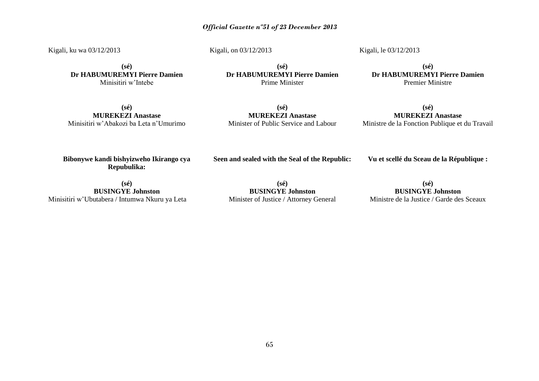Kigali, ku wa 03/12/2013

Kigali, on 03/12/2013

Kigali, le 03/12/2013

**(sé) Dr HABUMUREMYI Pierre Damien** Minisitiri w'Intebe

**(sé) Dr HABUMUREMYI Pierre Damien** Prime Minister

**(sé) Dr HABUMUREMYI Pierre Damien** Premier Ministre

**(sé) MUREKEZI Anastase** Minisitiri w'Abakozi ba Leta n'Umurimo

**(sé) MUREKEZI Anastase** Minister of Public Service and Labour

**(sé) MUREKEZI Anastase** Ministre de la Fonction Publique et du Travail

**Bibonywe kandi bishyizweho Ikirango cya Repubulika:**

**Seen and sealed with the Seal of the Republic:**

**Vu et scellé du Sceau de la République :**

**(sé) BUSINGYE Johnston** Minisitiri w'Ubutabera / Intumwa Nkuru ya Leta

**(sé) BUSINGYE Johnston** Minister of Justice / Attorney General

**(sé) BUSINGYE Johnston** Ministre de la Justice / Garde des Sceaux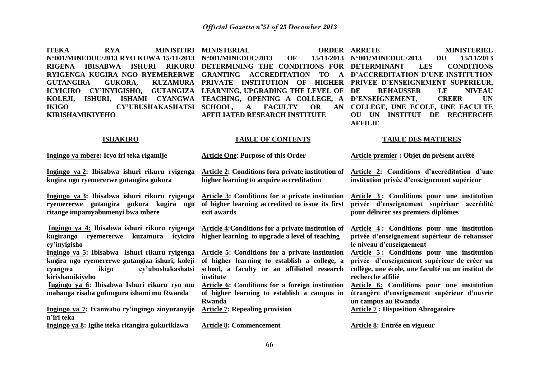**ITEKA RYA MINISITIRI MINISTERIAL ORDER N°001/MINEDUC/2013 RYO KUWA 15/11/2013 N°001/MINEDUC/2013 OF 15/11/2013** RIGENA IBISABWA ISHURI RIKURU DETERMINING THE CONDITIONS FOR DETERMINANT LES CONDITIONS **RYIGENGA KUGIRA NGO RYEMERERWE GRANTING ACCREDITATION TO A D'ACCREDITATION D'UNE INSTITUTION**  GUTANGIRA GUKORA, KUZAMURA PRIVATE INSTITUTION OF HIGHER PRIVEE D'ENSEIGNEMENT SUPERIEUR, **ICYICIRO CY'INYIGISHO, GUTANGIZA LEARNING, UPGRADING THE LEVEL OF KOLEJI, ISHURI, ISHAMI CYANGWA TEACHING, OPENING A COLLEGE, A D'ENSEIGNEMENT, CREER UN IKIGO CY'UBUSHAKASHATSI SCHOOL, A FACULTY OR AN KIRISHAMIKIYEHO** 

**AFFILIATED RESEARCH INSTITUTE**

**ORDER ARRETE MINISTERIEL N°001/MINEDUC/2013 DU 15/11/2013 DE REHAUSSER LE NIVEAU COLLEGE, UNE ECOLE, UNE FACULTE OU UN INSTITUT DE RECHERCHE AFFILIE** 

#### **ISHAKIRO**

#### **TABLE OF CONTENTS**

### **TABLE DES MATIERES**

| Ingingo ya mbere: Icyo iri teka rigamije                                                                                                                    | <b>Article One: Purpose of this Order</b>                                                                                                                   | Article premier : Objet du présent arrêté                                                                                                                           |
|-------------------------------------------------------------------------------------------------------------------------------------------------------------|-------------------------------------------------------------------------------------------------------------------------------------------------------------|---------------------------------------------------------------------------------------------------------------------------------------------------------------------|
| Ingingo ya 2: Ibisabwa ishuri rikuru ryigenga<br>kugira ngo ryemererwe gutangira gukora                                                                     | <b>Article 2: Conditions for a private institution of</b><br>higher learning to acquire accreditation                                                       | Article 2: Conditions d'accréditation d'une<br>institution privée d'enseignement supérieur                                                                          |
| Ingingo ya 3: Ibisabwa ishuri rikuru ryigenga<br>ryemererwe gutangira gukora kugira ngo<br>ritange impamyabumenyi bwa mbere                                 | Article 3: Conditions for a private institution<br>of higher learning accredited to issue its first<br>exit awards                                          | Article 3: Conditions pour une institution<br>privée d'enseignement supérieur<br>accrédité<br>pour délivrer ses premiers diplômes                                   |
| Ingingo ya 4: Ibisabwa ishuri rikuru ryigenga<br>icyiciro<br>kugirango<br>kuzamura<br>rvemererwe<br>cy'inyigisho                                            | <b>Article 4: Conditions for a private institution of</b><br>higher learning to upgrade a level of teaching                                                 | Article 4: Conditions pour une institution<br>privée d'enseignement supérieur de rehausser<br>le niveau d'enseignement                                              |
| Ingingo ya 5: Ibisabwa Ishuri rikuru ryigenga<br>kugira ngo ryemererwe gutangiza ishuri, koleji<br>ikigo<br>cy'ubushakashatsi<br>cyangwa<br>kirishamikiyeho | Article 5: Conditions for a private institution<br>of higher learning to establish a college, a<br>school, a faculty or an affiliated research<br>institute | Article 5: Conditions pour une institution<br>privée d'enseignement supérieur de créer un<br>collège, une école, une faculté ou un institut de<br>recherche affilié |
| Ingingo ya 6: Ibisabwa Ishuri rikuru ryo mu<br>mahanga risaba gufungura ishami mu Rwanda                                                                    | Article 6: Conditions for a foreign institution<br>of higher learning to establish a campus in<br>Rwanda                                                    | Article 6: Conditions pour une institution<br>étrangère d'enseignement supérieur d'ouvrir<br>un campus au Rwanda                                                    |
| Ingingo ya 7: Ivanwaho ry'ingingo zinyuranyije<br>n'iri teka                                                                                                | <b>Article 7: Repealing provision</b>                                                                                                                       | <b>Article 7 : Disposition Abrogatoire</b>                                                                                                                          |
| Ingingo ya 8: Igihe iteka ritangira gukurikizwa                                                                                                             | <b>Article 8: Commencement</b>                                                                                                                              | <b>Article 8: Entrée en vigueur</b>                                                                                                                                 |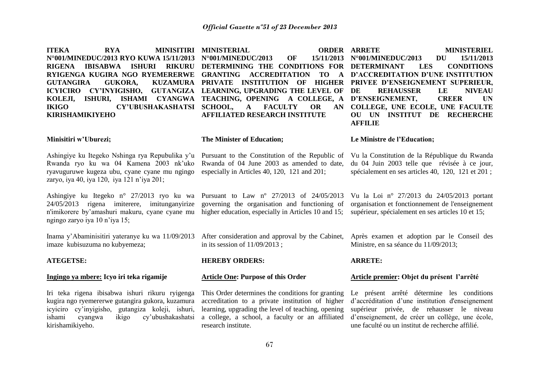**ITEKA RYA MINISITIRI MINISTERIAL ORDER N°001/MINEDUC/2013 RYO KUWA 15/11/2013 N°001/MINEDUC/2013 OF 15/11/2013** RIGENA IBISABWA ISHURI RIKURU DETERMINING THE CONDITIONS FOR DETERMINANT LES CONDITIONS **RYIGENGA KUGIRA NGO RYEMERERWE GRANTING ACCREDITATION TO A D'ACCREDITATION D'UNE INSTITUTION GUTANGIRA GUKORA. ICYICIRO CY'INYIGISHO, GUTANGIZA LEARNING, UPGRADING THE LEVEL OF KOLEJI, ISHURI, ISHAMI CYANGWA TEACHING, OPENING A COLLEGE, A D'ENSEIGNEMENT, CREER UN IKIGO CY'UBUSHAKASHATSI SCHOOL, A FACULTY OR AN KIRISHAMIKIYEHO Minisitiri w'Uburezi;** Ashingiye ku Itegeko Nshinga rya Repubulika y'u Pursuant to the Constitution of the Republic of Rwanda ryo ku wa 04 Kamena 2003 nk'uko ryavuguruwe kugeza ubu, cyane cyane mu ngingo especially in Articles 40, 120, 121 and 201; zaryo, iya 40, iya 120, iya 121 n'iya 201; Ashingiye ku Itegeko n° 27/2013 ryo ku wa Pursuant to Law nº 27/2013 of 24/05/2013 24/05/2013 rigena imiterere, imitunganyirize n'imikorere by'amashuri makuru, cyane cyane mu ngingo zaryo iya 10 n'iya 15; Inama y'Abaminisitiri yateranye ku wa 11/09/2013 imaze kubisuzuma no kubyemeza; **ATEGETSE: Ingingo ya mbere: Icyo iri teka rigamije** Iri teka rigena ibisabwa ishuri rikuru ryigenga kugira ngo ryemererwe gutangira gukora, kuzamura icyiciro cy'inyigisho, gutangiza koleji, ishuri, ishami cyangwa ikigo cy'ubushakashatsi kirishamikiyeho. PRIVATE INSTITUTION OF HIGHER PRIVEE-D'ENSEIGNEMENT-SUPERIEUR, **AFFILIATED RESEARCH INSTITUTE The Minister of Education;** Rwanda of 04 June 2003 as amended to date, governing the organisation and functioning of higher education, especially in Articles 10 and 15: After consideration and approval by the Cabinet, in its session of 11/09/2013 ; **HEREBY ORDERS: Article One: Purpose of this Order** This Order determines the conditions for granting accreditation to a private institution of higher learning, upgrading the level of teaching, opening a college, a school, a faculty or an affiliated research institute. **ORDER ARRETE MINISTERIEL N°001/MINEDUC/2013 DU 15/11/2013 DE REHAUSSER LE NIVEAU COLLEGE, UNE ECOLE, UNE FACULTE OU UN INSTITUT DE RECHERCHE AFFILIE Le Ministre de l'Education;** Vu la Constitution de la République du Rwanda du 04 Juin 2003 telle que révisée à ce jour, spécialement en ses articles 40, 120, 121 et 201 ; Vu la Loi n° 27/2013 du 24/05/2013 portant organisation et fonctionnement de l'enseignement supérieur, spécialement en ses articles 10 et 15; Après examen et adoption par le Conseil des Ministre, en sa séance du 11/09/2013; **ARRETE: Article premier: Objet du présent l'arrêté**  Le présent arrêté détermine les conditions d'accréditation d'une institution d'enseignement supérieur privée, de rehausser le niveau d'enseignement, de créer un collège, une école, une faculté ou un institut de recherche affilié.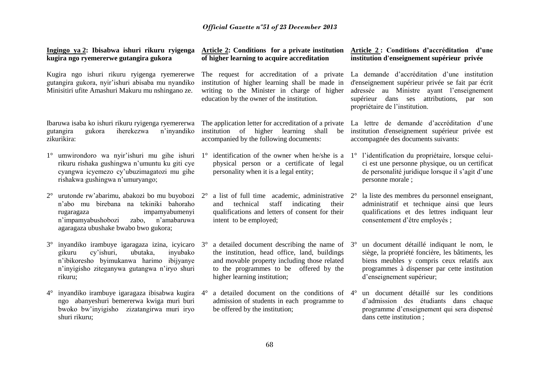| Ingingo ya 2: Ibisabwa ishuri rikuru ryigenga<br>kugira ngo ryemererwe gutangira gukora                                                                                                                                       | Article 2: Conditions for a private institution<br>of higher learning to acquire accreditation                                                                                                                                                 | Article 2: Conditions d'accréditation d'une<br>institution d'enseignement supérieur privée                                                                                                                                          |  |
|-------------------------------------------------------------------------------------------------------------------------------------------------------------------------------------------------------------------------------|------------------------------------------------------------------------------------------------------------------------------------------------------------------------------------------------------------------------------------------------|-------------------------------------------------------------------------------------------------------------------------------------------------------------------------------------------------------------------------------------|--|
| Kugira ngo ishuri rikuru ryigenga ryemererwe<br>gutangira gukora, nyir'ishuri abisaba mu nyandiko<br>Minisitiri ufite Amashuri Makuru mu nshingano ze.                                                                        | The request for accreditation of a private<br>institution of higher learning shall be made in<br>writing to the Minister in charge of higher<br>education by the owner of the institution.                                                     | La demande d'accréditation d'une institution<br>d'enseignement supérieur privée se fait par écrit<br>adressée au Ministre ayant l'enseignement<br>supérieur dans ses attributions,<br>par son<br>propriétaire de l'institution.     |  |
| Ibaruwa isaba ko ishuri rikuru ryigenga ryemererwa<br>iherekezwa<br>n'inyandiko<br>gukora<br>gutangira<br>zikurikira:                                                                                                         | The application letter for accreditation of a private<br>institution of higher<br>learning<br>shall<br>be<br>accompanied by the following documents:                                                                                           | La lettre de demande d'accréditation d'une<br>institution d'enseignement supérieur privée est<br>accompagnée des documents suivants:                                                                                                |  |
| umwirondoro wa nyir'ishuri mu gihe ishuri<br>$1^{\circ}$<br>rikuru rishaka gushingwa n'umuntu ku giti cye<br>cyangwa icyemezo cy'ubuzimagatozi mu gihe<br>rishakwa gushingwa n'umuryango;                                     | $1^{\circ}$<br>physical person or a certificate of legal<br>personality when it is a legal entity;                                                                                                                                             | identification of the owner when he/she is a $1^{\circ}$ l'identification du propriétaire, lorsque celui-<br>ci est une personne physique, ou un certificat<br>de personalité juridique lorsque il s'agit d'une<br>personne morale; |  |
| urutonde rw'abarimu, abakozi bo mu buyobozi 2°<br>$2^{\circ}$<br>n'abo mu birebana na tekiniki bahoraho<br>impamyabumenyi<br>rugaragaza<br>n'impamyabushobozi<br>zabo,<br>n'amabaruwa<br>agaragaza ubushake bwabo bwo gukora; | a list of full time academic, administrative 2°<br>staff<br>technical<br>indicating<br>their<br>and<br>qualifications and letters of consent for their<br>intent to be employed;                                                               | la liste des membres du personnel enseignant,<br>administratif et technique ainsi que leurs<br>qualifications et des lettres indiquant leur<br>consentement d'être employés ;                                                       |  |
| inyandiko irambuye igaragaza izina, icyicaro<br>$3^\circ$<br>cy'ishuri,<br>ubutaka,<br>inyubako<br>gikuru<br>n'ibikoresho byimukanwa harimo ibijyanye<br>n'inyigisho ziteganywa gutangwa n'iryo shuri<br>rikuru;              | a detailed document describing the name of $3^\circ$<br>$3^{\circ}$<br>the institution, head office, land, buildings<br>and movable property including those related<br>to the programmes to be offered by the<br>higher learning institution; | un document détaillé indiquant le nom, le<br>siège, la propriété foncière, les bâtiments, les<br>biens meubles y compris ceux relatifs aux<br>programmes à dispenser par cette institution<br>d'enseignement supérieur;             |  |
| inyandiko irambuye igaragaza ibisabwa kugira<br>$4^{\circ}$<br>ngo abanyeshuri bemererwa kwiga muri buri<br>bwoko bw'inyigisho zizatangirwa muri iryo<br>shuri rikuru;                                                        | a detailed document on the conditions of 4°<br>$4^\circ$<br>admission of students in each programme to<br>be offered by the institution;                                                                                                       | un document détaillé sur les conditions<br>d'admission des étudiants dans chaque<br>programme d'enseignement qui sera dispensé<br>dans cette institution;                                                                           |  |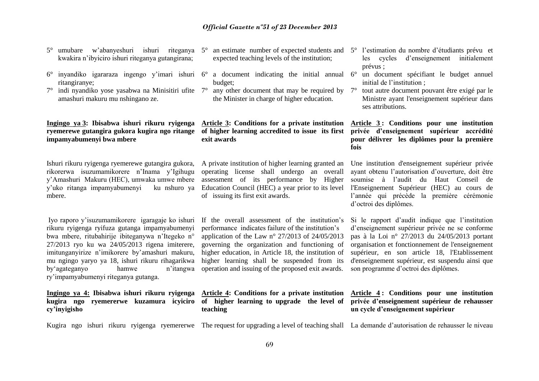- 5° umubare w'abanyeshuri ishuri riteganya 5° an estimate number of expected students and 5° l'estimation du nombre d'étudiants prévu et kwakira n'ibyiciro ishuri riteganya gutangirana;
- 6° inyandiko igararaza ingengo y'imari ishuri 6° a document indicating the initial annual ritangiranye;
- $7^{\circ}$  indi nyandiko yose yasabwa na Minisitiri ufite  $7^{\circ}$  any other document that may be required by amashuri makuru mu nshingano ze.

#### **Ingingo ya 3: Ibisabwa ishuri rikuru ryigenga ryemerewe gutangira gukora kugira ngo ritange impamyabumenyi bwa mbere**

Ishuri rikuru ryigenga ryemerewe gutangira gukora, rikorerwa isuzumamikorere n'Inama y'Igihugu y'Amashuri Makuru (HEC), umwaka umwe mbere y'uko ritanga impamyabumenyi ku nshuro ya mbere.

Iyo raporo y'isuzumamikorere igaragaje ko ishuri rikuru ryigenga ryifuza gutanga impamyabumenyi bwa mbere, ritubahirije ibiteganywa n'Itegeko n° 27/2013 ryo ku wa 24/05/2013 rigena imiterere, imitunganyirize n'imikorere by'amashuri makuru, mu ngingo yaryo ya 18, ishuri rikuru rihagarikwa by'agateganyo hamwe n'itangwa ry'impamyabumenyi riteganya gutanga.

**Ingingo ya 4: Ibisabwa ishuri rikuru ryigenga kugira ngo ryemererwe kuzamura icyiciro cy'inyigisho**

Kugira ngo ishuri rikuru ryigenga ryemererwe The request for upgrading a level of teaching shall La demande d'autorisation de rehausser le niveau

- expected teaching levels of the institution;
- budget;
- the Minister in charge of higher education.

#### **Article 3: Conditions for a private institution of higher learning accredited to issue its first exit awards**

A private institution of higher learning granted an operating license shall undergo an overall assessment of its performance by Higher Education Council (HEC) a year prior to its level of issuing its first exit awards.

If the overall assessment of the institution's performance indicates failure of the institution's application of the Law  $n^{\circ}$  27/2013 of 24/05/2013 governing the organization and functioning of higher education, in Article 18, the institution of higher learning shall be suspended from its operation and issuing of the proposed exit awards.

**Article 4: Conditions for a private institution of higher learning to upgrade the level of teaching**

- les cycles d'enseignement initialement prévus ;
- 6° un document spécifiant le budget annuel initial de l'institution ;
- 7° tout autre document pouvant être exigé par le Ministre ayant l'enseignement supérieur dans ses attributions.

#### **Article 3 : Conditions pour une institution privée d'enseignement supérieur accrédité pour délivrer les diplômes pour la première fois**

Une institution d'enseignement supérieur privée ayant obtenu l'autorisation d'ouverture, doit être soumise à l'audit du Haut Conseil de l'Enseignement Supérieur (HEC) au cours de l'année qui précède la première cérémonie d'octroi des diplômes.

Si le rapport d'audit indique que l'institution d'enseignement supérieur privée ne se conforme pas à la Loi n° 27/2013 du 24/05/2013 portant organisation et fonctionnement de l'enseignement supérieur, en son article 18, l'Etablissement d'enseignement supérieur, est suspendu ainsi que son programme d'octroi des diplômes.

### **Article 4 : Conditions pour une institution privée d'enseignement supérieur de rehausser un cycle d'enseignement supérieur**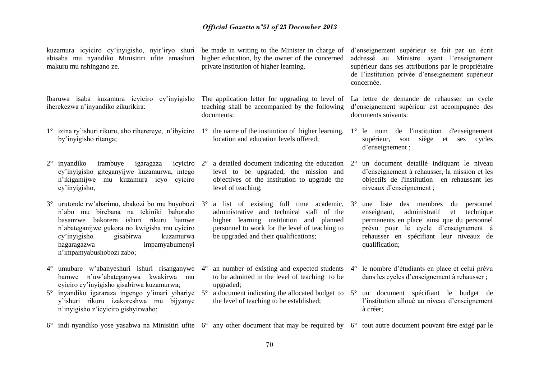| kuzamura icyiciro cy'inyigisho, nyir'iryo shuri be made in writing to the Minister in charge of<br>abisaba mu nyandiko Minisitiri ufite amashuri<br>makuru mu nshingano ze. |                                                                                                                                                                                                                                                                                             | higher education, by the owner of the concerned<br>private institution of higher learning.                       |                                                                                                                                                                                                                           | d'enseignement supérieur se fait par un écrit<br>addressé au Ministre ayant l'enseignement<br>supérieur dans ses attributions par le propriétaire<br>de l'institution privée d'enseignement supérieur<br>concernée. |                                                                                                                                                                                                                                             |  |
|-----------------------------------------------------------------------------------------------------------------------------------------------------------------------------|---------------------------------------------------------------------------------------------------------------------------------------------------------------------------------------------------------------------------------------------------------------------------------------------|------------------------------------------------------------------------------------------------------------------|---------------------------------------------------------------------------------------------------------------------------------------------------------------------------------------------------------------------------|---------------------------------------------------------------------------------------------------------------------------------------------------------------------------------------------------------------------|---------------------------------------------------------------------------------------------------------------------------------------------------------------------------------------------------------------------------------------------|--|
| Ibaruwa isaba kuzamura icyiciro cy'inyigisho<br>iherekezwa n'inyandiko zikurikira:                                                                                          |                                                                                                                                                                                                                                                                                             | The application letter for upgrading to level of<br>teaching shall be accompanied by the following<br>documents: |                                                                                                                                                                                                                           | La lettre de demande de rehausser un cycle<br>d'enseignement supérieur est accompagnée des<br>documents suivants:                                                                                                   |                                                                                                                                                                                                                                             |  |
|                                                                                                                                                                             | 1° izina ry'ishuri rikuru, aho riherereye, n'ibyiciro 1° the name of the institution of higher learning,<br>by'inyigisho ritanga;                                                                                                                                                           |                                                                                                                  | location and education levels offered;                                                                                                                                                                                    |                                                                                                                                                                                                                     | $1^\circ$ le nom de l'institution<br>d'enseignement<br>supérieur,<br>son<br>siège<br>et<br>cycles<br>ses<br>d'enseignement;                                                                                                                 |  |
|                                                                                                                                                                             | irambuye<br>$2^{\circ}$ inyandiko<br>igaragaza<br>icyiciro<br>cy'inyigisho giteganyijwe kuzamurwa, intego<br>n'ikigamijwe mu kuzamura icyo cyiciro<br>cy'inyigisho,                                                                                                                         | $2^{\circ}$                                                                                                      | a detailed document indicating the education<br>level to be upgraded, the mission and<br>objectives of the institution to upgrade the<br>level of teaching;                                                               | $2^{\circ}$                                                                                                                                                                                                         | un document detaillé indiquant le niveau<br>d'enseignement à rehausser, la mission et les<br>objectifs de l'institution en rehaussant les<br>niveaux d'enseignement ;                                                                       |  |
|                                                                                                                                                                             | 3° urutonde rw'abarimu, abakozi bo mu buyobozi 3°<br>n'abo mu birebana na tekiniki bahoraho<br>basanzwe bakorera ishuri rikuru hamwe<br>n'abateganijwe gukora no kwigisha mu cyiciro<br>cy'inyigisho<br>gisabirwa<br>kuzamurwa<br>impamyabumenyi<br>hagaragazwa<br>n'impamyabushobozi zabo; |                                                                                                                  | a list of existing full time academic,<br>administrative and technical staff of the<br>higher learning institution and planned<br>personnel to work for the level of teaching to<br>be upgraded and their qualifications; | $3^\circ$                                                                                                                                                                                                           | une liste des membres du<br>personnel<br>enseignant,<br>administratif<br>technique<br>et<br>permanents en place ainsi que du personnel<br>prévu pour le cycle d'enseignement à<br>rehausser en spécifiant leur niveaux de<br>qualification; |  |
|                                                                                                                                                                             | 4° umubare w'abanyeshuri ishuri risanganywe<br>hamwe n'uw'abateganywa<br>kwakirwa mu<br>cyiciro cy'inyigisho gisabirwa kuzamurwa;                                                                                                                                                           | $4^\circ$                                                                                                        | an number of existing and expected students<br>to be admitted in the level of teaching to be<br>upgraded;                                                                                                                 | $4^\circ$                                                                                                                                                                                                           | le nombre d'étudiants en place et celui prévu<br>dans les cycles d'enseignement à rehausser ;                                                                                                                                               |  |
|                                                                                                                                                                             | 5° inyandiko igararaza ingengo y'imari yihariye<br>y'ishuri rikuru izakoreshwa mu bijyanye<br>n'inyigisho z'icyiciro gishyirwaho;                                                                                                                                                           | $5^{\circ}$                                                                                                      | a document indicating the allocated budget to<br>the level of teaching to be established;                                                                                                                                 |                                                                                                                                                                                                                     | 5° un document spécifiant le budget de<br>l'institution alloué au niveau d'enseignement<br>à créer;                                                                                                                                         |  |
|                                                                                                                                                                             | $6^{\circ}$ indi nyandiko yose yasabwa na Minisitiri ufite $6^{\circ}$ any other document that may be required by $6^{\circ}$ tout autre document pouvant être exigé par le                                                                                                                 |                                                                                                                  |                                                                                                                                                                                                                           |                                                                                                                                                                                                                     |                                                                                                                                                                                                                                             |  |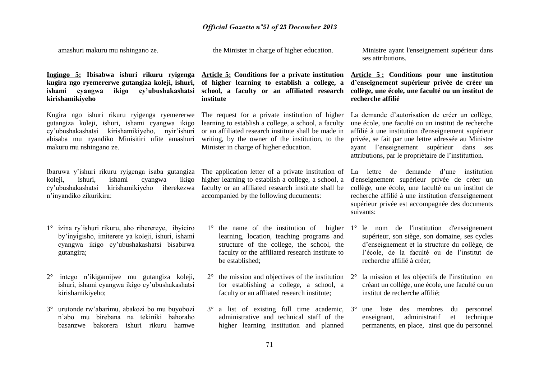amashuri makuru mu nshingano ze.

the Minister in charge of higher education.

ses attributions.

### **Ingingo 5: Ibisabwa ishuri rikuru ryigenga kugira ngo ryemererwe gutangiza koleji, ishuri, ishami cyangwa ikigo cy'ubushakashatsi school, a faculty or an affiliated research kirishamikiyeho**

Kugira ngo ishuri rikuru ryigenga ryemererwe gutangiza koleji, ishuri, ishami cyangwa ikigo cy'ubushakashatsi kirishamikiyeho, nyir'ishuri abisaba mu nyandiko Minisitiri ufite amashuri makuru mu nshingano ze.

Ibaruwa y'ishuri rikuru ryigenga isaba gutangiza koleji, ishuri, ishami cyangwa ikigo cy'ubushakashatsi kirishamikiyeho iherekezwa n'inyandiko zikurikira:

- 1° izina ry'ishuri rikuru, aho riherereye, ibyiciro by'inyigisho, imiterere ya koleji, ishuri, ishami cyangwa ikigo cy'ubushakashatsi bisabirwa gutangira;
- 2° intego n'ikigamijwe mu gutangiza koleji, ishuri, ishami cyangwa ikigo cy'ubushakashatsi kirishamikiyeho;
- 3° urutonde rw'abarimu, abakozi bo mu buyobozi n'abo mu birebana na tekiniki bahoraho basanzwe bakorera ishuri rikuru hamwe

**Article 5: Conditions for a private institution of higher learning to establish a college, a institute**

The request for a private institution of higher learning to establish a college, a school, a faculty or an affiliated research institute shall be made in writing, by the owner of the institution, to the Minister in charge of higher education.

The application letter of a private institution of higher learning to establish a college, a school, a faculty or an affliated research institute shall be accompanied by the following ducuments:

- learning, location, teaching programs and structure of the college, the school, the faculty or the affiliated research institute to be established;
- $2^{\circ}$  the mission and objectives of the institution  $2^{\circ}$ for establishing a college, a school, a faculty or an affliated research institute;
- 3° a list of existing full time academic, administrative and technical staff of the higher learning institution and planned

**Article 5 : Conditions pour une institution d'enseignement supérieur privée de créer un collège, une école, une faculté ou un institut de recherche affilié** 

Ministre ayant l'enseignement supérieur dans

La demande d'autorisation de créer un collège, une école, une faculté ou un institut de recherche affilié à une institution d'enseignement supérieur privée, se fait par une lettre adressée au Ministre ayant l'enseignement supérieur dans ses attributions, par le propriétaire de l'instituttion.

La lettre de demande d'une institution d'enseignement supérieur privée de créer un collège, une école, une faculté ou un institut de recherche affilié à une institution d'enseignement supérieur privée est accompagnée des documents suivants:

- 1° the name of the institution of higher 1° le nom de l'institution d'enseignement supérieur, son siège, son domaine, ses cycles d'enseignement et la structure du collège, de l'école, de la faculté ou de l'institut de recherche affilié à créer;
	- 2° la mission et les objectifs de l'institution en créant un collège, une école, une faculté ou un institut de recherche affilié;
	- 3° une liste des membres du personnel enseignant, administratif et technique permanents, en place, ainsi que du personnel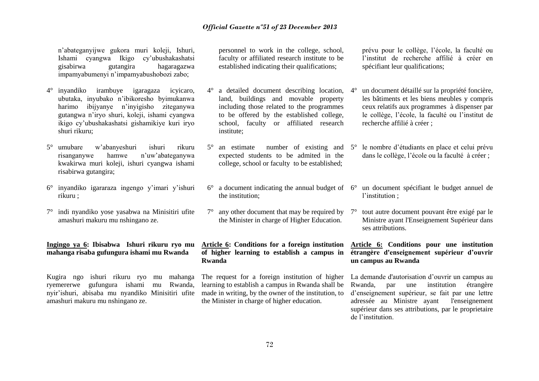n'abateganyijwe gukora muri koleji, Ishuri, Ishami cyangwa Ikigo cy'ubushakashatsi gisabirwa gutangira hagaragazwa impamyabumenyi n'impamyabushobozi zabo;

- 4° inyandiko irambuye igaragaza icyicaro, ubutaka, inyubako n'ibikoresho byimukanwa harimo ibijyanye n'inyigisho ziteganywa gutangwa n'iryo shuri, koleji, ishami cyangwa ikigo cy'ubushakashatsi gishamikiye kuri iryo shuri rikuru;
- 5° umubare w'abanyeshuri ishuri rikuru risanganywe hamwe n'uw'abateganywa kwakirwa muri koleji, ishuri cyangwa ishami risabirwa gutangira;
- 6° inyandiko igararaza ingengo y'imari y'ishuri rikuru ;
- 7° indi nyandiko yose yasabwa na Minisitiri ufite amashuri makuru mu nshingano ze.

### **Ingingo ya 6: Ibisabwa Ishuri rikuru ryo mu mahanga risaba gufungura ishami mu Rwanda**

Kugira ngo ishuri rikuru ryo mu mahanga ryemererwe gufungura ishami mu Rwanda, nyir'ishuri, abisaba mu nyandiko Minisitiri ufite amashuri makuru mu nshingano ze.

personnel to work in the college, school, faculty or affiliated research institute to be established indicating their qualifications;

- 4° a detailed document describing location, land, buildings and movable property including those related to the programmes to be offered by the established college, school, faculty or affiliated research institute;
- expected students to be admited in the college, school or faculty to be established;
- the institution;
- $7^\circ$  any other document that may be required by  $7^\circ$ the Minister in charge of Higher Education.

**Article 6: Conditions for a foreign institution of higher learning to establish a campus in Rwanda**

The request for a foreign institution of higher learning to establish a campus in Rwanda shall be made in writing, by the owner of the institution, to the Minister in charge of higher education.

prévu pour le collège, l'école, la faculté ou l'institut de recherche affilié à créer en spécifiant leur qualifications;

- 4° un document détaillé sur la propriété foncière, les bâtiments et les biens meubles y compris ceux relatifs aux programmes à dispenser par le collège, l'école, la faculté ou l'institut de recherche affilié à créer ;
- 5° an estimate number of existing and 5° le nombre d'étudiants en place et celui prévu dans le collège, l'école ou la faculté à créer ;
- 6° a document indicating the annual budget of 6° un document spécifiant le budget annuel de l'institution ;
	- 7° tout autre document pouvant être exigé par le Ministre ayant l'Enseignement Supérieur dans ses attributions.

### **Article 6: Conditions pour une institution étrangère d'enseignement supérieur d'ouvrir un campus au Rwanda**

La demande d'autorisation d'ouvrir un campus au Rwanda, par une institution étrangère d'enseignement supérieur, se fait par une lettre adressée au Ministre ayant l'enseignement supérieur dans ses attributions, par le proprietaire de l'institution.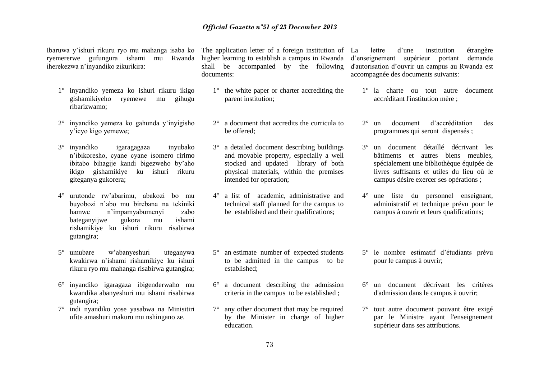#### *Official Gazette nº51 of 23 December 2013*

Ibaruwa y'ishuri rikuru ryo mu mahanga isaba ko ryemererwe gufungura ishami mu Rwanda iherekezwa n'inyandiko zikurikira:

- 1° inyandiko yemeza ko ishuri rikuru ikigo gishamikiyeho ryemewe mu gihugu ribarizwamo;
- 2° inyandiko yemeza ko gahunda y'inyigisho y'icyo kigo yemewe;
- 3° inyandiko igaragagaza inyubako n'ibikoresho, cyane cyane isomero ririmo ibitabo bihagije kandi bigezweho by'aho ikigo gishamikiye ku ishuri rikuru giteganya gukorera;
- 4° urutonde rw'abarimu, abakozi bo mu buyobozi n'abo mu birebana na tekiniki hamwe n'impamyabumenyi zabo bateganyijwe gukora mu ishami rishamikiye ku ishuri rikuru risabirwa gutangira;
- 5° umubare w'abanyeshuri uteganywa kwakirwa n'ishami rishamikiye ku ishuri rikuru ryo mu mahanga risabirwa gutangira;
- 6° inyandiko igaragaza ibigenderwaho mu kwandika abanyeshuri mu ishami risabirwa gutangira;
- 7° indi nyandiko yose yasabwa na Minisitiri ufite amashuri makuru mu nshingano ze.

The application letter of a foreign institution of La higher learning to establish a campus in Rwanda shall be accompanied by the following documents:

- 1° the white paper or charter accrediting the parent institution;
- 2° a document that accredits the curricula to be offered;
- 3° a detailed document describing buildings and movable property, especially a well stocked and updated library of both physical materials, within the premises intended for operation;
- 4° a list of academic, administrative and technical staff planned for the campus to be established and their qualifications;
- 5° an estimate number of expected students to be admitted in the campus to be established;
- 6° a document describing the admission criteria in the campus to be established ;
- 7° any other document that may be required by the Minister in charge of higher education.

La lettre d'une institution étrangère d'enseignement supérieur portant demande d'autorisation d'ouvrir un campus au Rwanda est accompagnée des documents suivants:

- 1° la charte ou tout autre document accréditant l'institution mère ;
- 2° un document d'accréditation des programmes qui seront dispensés ;
- 3° un document détaillé décrivant les bâtiments et autres biens meubles, spécialement une bibliothèque équipée de livres suffisants et utiles du lieu où le campus désire exercer ses opérations ;
- 4° une liste du personnel enseignant, administratif et technique prévu pour le campus à ouvrir et leurs qualifications;
- 5° le nombre estimatif d'étudiants prévu pour le campus à ouvrir;
- 6° un document décrivant les critères d'admission dans le campus à ouvrir;
- 7° tout autre document pouvant être exigé par le Ministre ayant l'enseignement supérieur dans ses attributions.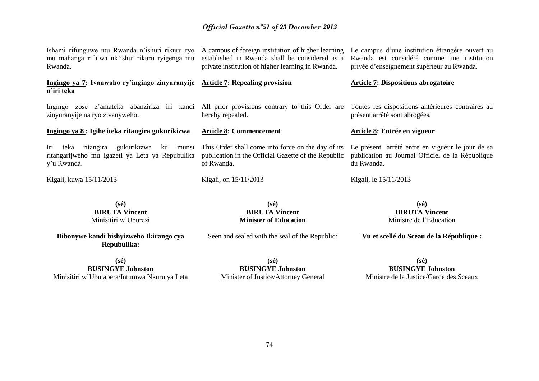#### *Official Gazette nº51 of 23 December 2013*

| Ishami rifunguwe mu Rwanda n'ishuri rikuru ryo<br>mu mahanga rifatwa nk'ishui rikuru ryigenga mu<br>Rwanda.                                                                      | A campus of foreign institution of higher learning<br>established in Rwanda shall be considered as a<br>private institution of higher learning in Rwanda. | Le campus d'une institution étrangère ouvert au<br>Rwanda est considéré comme une institution<br>privée d'enseignement supérieur au Rwanda. |
|----------------------------------------------------------------------------------------------------------------------------------------------------------------------------------|-----------------------------------------------------------------------------------------------------------------------------------------------------------|---------------------------------------------------------------------------------------------------------------------------------------------|
| Ingingo ya 7: Ivanwaho ry'ingingo zinyuranyije Article 7: Repealing provision<br>n'iri teka                                                                                      |                                                                                                                                                           | <b>Article 7: Dispositions abrogatoire</b>                                                                                                  |
| Ingingo zose z'amateka abanziriza iri kandi All prior provisions contrary to this Order are Toutes les dispositions antérieures contraires au<br>zinyuranyije na ryo zivanyweho. | hereby repealed.                                                                                                                                          | présent arrêté sont abrogées.                                                                                                               |
| Ingingo ya 8 : Igihe iteka ritangira gukurikizwa                                                                                                                                 | <b>Article 8: Commencement</b>                                                                                                                            | Article 8: Entrée en vigueur                                                                                                                |
| gukurikizwa<br>Iri<br>ritangira<br>ku<br>teka<br>munsi<br>ritangarijweho mu Igazeti ya Leta ya Repubulika<br>y'u Rwanda.                                                         | This Order shall come into force on the day of its<br>publication in the Official Gazette of the Republic<br>of Rwanda.                                   | Le présent arrêté entre en vigueur le jour de sa<br>publication au Journal Officiel de la République<br>du Rwanda.                          |
| Kigali, kuwa 15/11/2013                                                                                                                                                          | Kigali, on 15/11/2013                                                                                                                                     | Kigali, le 15/11/2013                                                                                                                       |
| $(s\acute{e})$<br><b>BIRUTA Vincent</b><br>Minisitiri w'Uburezi                                                                                                                  | $(s\acute{e})$<br><b>BIRUTA Vincent</b><br><b>Minister of Education</b>                                                                                   | $(s\acute{e})$<br><b>BIRUTA Vincent</b><br>Ministre de l'Education                                                                          |
| Bibonywe kandi bishyizweho Ikirango cya                                                                                                                                          | Seen and sealed with the seal of the Republic:                                                                                                            | Vu et scellé du Sceau de la République :                                                                                                    |

**(sé) BUSINGYE Johnston** Minisitiri w'Ubutabera/Intumwa Nkuru ya Leta

**Repubulika:**

**(sé) BUSINGYE Johnston** Minister of Justice/Attorney General

**(sé) BUSINGYE Johnston** Ministre de la Justice/Garde des Sceaux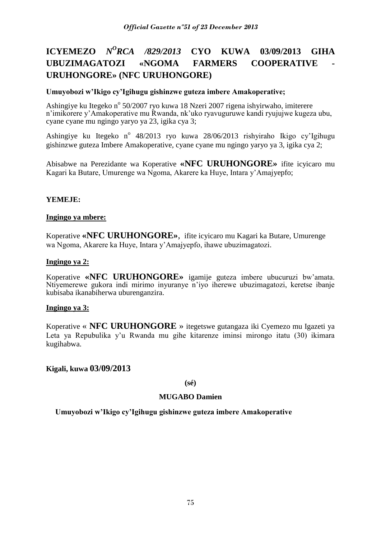# **ICYEMEZO** *N<sup>O</sup>RCA /829/2013* **CYO KUWA 03/09/2013 GIHA UBUZIMAGATOZI «NGOMA FARMERS COOPERATIVE URUHONGORE» (NFC URUHONGORE)**

#### **Umuyobozi w'Ikigo cy'Igihugu gishinzwe guteza imbere Amakoperative;**

Ashingiye ku Itegeko nº 50/2007 ryo kuwa 18 Nzeri 2007 rigena ishyirwaho, imiterere n'imikorere y'Amakoperative mu Rwanda, nk'uko ryavuguruwe kandi ryujujwe kugeza ubu, cyane cyane mu ngingo yaryo ya 23, igika cya 3;

Ashingiye ku Itegeko nº 48/2013 ryo kuwa 28/06/2013 rishyiraho Ikigo cy'Igihugu gishinzwe guteza Imbere Amakoperative, cyane cyane mu ngingo yaryo ya 3, igika cya 2;

Abisabwe na Perezidante wa Koperative **«NFC URUHONGORE»** ifite icyicaro mu Kagari ka Butare, Umurenge wa Ngoma, Akarere ka Huye, Intara y'Amajyepfo;

### **YEMEJE:**

#### **Ingingo ya mbere:**

Koperative **«NFC URUHONGORE»**, ifite icyicaro mu Kagari ka Butare, Umurenge wa Ngoma, Akarere ka Huye, Intara y'Amajyepfo, ihawe ubuzimagatozi.

#### **Ingingo ya 2:**

Koperative **«NFC URUHONGORE»** igamije guteza imbere ubucuruzi bw'amata. Ntiyemerewe gukora indi mirimo inyuranye n'iyo iherewe ubuzimagatozi, keretse ibanje kubisaba ikanabiherwa uburenganzira.

#### **Ingingo ya 3:**

Koperative « **NFC URUHONGORE** » itegetswe gutangaza iki Cyemezo mu Igazeti ya Leta ya Repubulika y'u Rwanda mu gihe kitarenze iminsi mirongo itatu (30) ikimara kugihabwa.

**Kigali, kuwa 03/09/2013**

#### **(sé)**

#### **MUGABO Damien**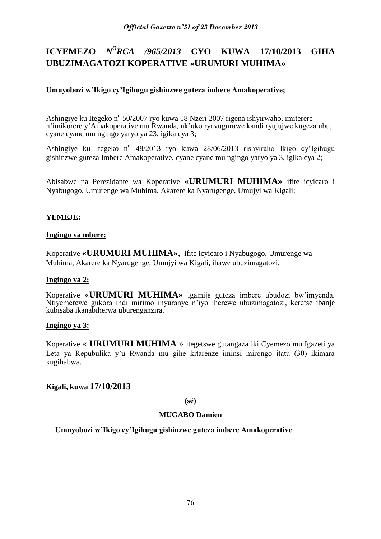# **ICYEMEZO** *N<sup>O</sup>RCA /965/2013* **CYO KUWA 17/10/2013 GIHA UBUZIMAGATOZI KOPERATIVE «URUMURI MUHIMA»**

## **Umuyobozi w'Ikigo cy'Igihugu gishinzwe guteza imbere Amakoperative;**

Ashingiye ku Itegeko nº 50/2007 ryo kuwa 18 Nzeri 2007 rigena ishyirwaho, imiterere n'imikorere y'Amakoperative mu Rwanda, nk'uko ryavuguruwe kandi ryujujwe kugeza ubu, cyane cyane mu ngingo yaryo ya 23, igika cya 3;

Ashingiye ku Itegeko nº 48/2013 ryo kuwa 28/06/2013 rishyiraho Ikigo cy'Igihugu gishinzwe guteza Imbere Amakoperative, cyane cyane mu ngingo yaryo ya 3, igika cya 2;

Abisabwe na Perezidante wa Koperative **«URUMURI MUHIMA»** ifite icyicaro i Nyabugogo, Umurenge wa Muhima, Akarere ka Nyarugenge, Umujyi wa Kigali;

#### **YEMEJE:**

#### **Ingingo ya mbere:**

Koperative **«URUMURI MUHIMA»**, ifite icyicaro i Nyabugogo, Umurenge wa Muhima, Akarere ka Nyarugenge, Umujyi wa Kigali, ihawe ubuzimagatozi.

#### **Ingingo ya 2:**

Koperative **«URUMURI MUHIMA»** igamije guteza imbere ubudozi bw'imyenda. Ntiyemerewe gukora indi mirimo inyuranye n'iyo iherewe ubuzimagatozi, keretse ibanje kubisaba ikanabiherwa uburenganzira.

#### **Ingingo ya 3:**

Koperative « **URUMURI MUHIMA** » itegetswe gutangaza iki Cyemezo mu Igazeti ya Leta ya Repubulika y'u Rwanda mu gihe kitarenze iminsi mirongo itatu (30) ikimara kugihabwa.

## **Kigali, kuwa 17/10/2013**

**(sé)**

## **MUGABO Damien**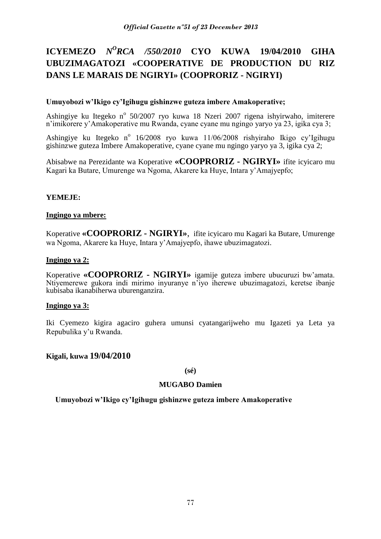# **ICYEMEZO** *N<sup>O</sup>RCA /550/2010* **CYO KUWA 19/04/2010 GIHA UBUZIMAGATOZI «COOPERATIVE DE PRODUCTION DU RIZ DANS LE MARAIS DE NGIRYI» (COOPRORIZ - NGIRYI)**

### **Umuyobozi w'Ikigo cy'Igihugu gishinzwe guteza imbere Amakoperative;**

Ashingiye ku Itegeko nº 50/2007 ryo kuwa 18 Nzeri 2007 rigena ishyirwaho, imiterere n'imikorere y'Amakoperative mu Rwanda, cyane cyane mu ngingo yaryo ya 23, igika cya 3;

Ashingiye ku Itegeko nº 16/2008 ryo kuwa 11/06/2008 rishyiraho Ikigo cy'Igihugu gishinzwe guteza Imbere Amakoperative, cyane cyane mu ngingo yaryo ya 3, igika cya 2;

Abisabwe na Perezidante wa Koperative **«COOPRORIZ - NGIRYI»** ifite icyicaro mu Kagari ka Butare, Umurenge wa Ngoma, Akarere ka Huye, Intara y'Amajyepfo;

### **YEMEJE:**

### **Ingingo ya mbere:**

Koperative **«COOPRORIZ - NGIRYI»**, ifite icyicaro mu Kagari ka Butare, Umurenge wa Ngoma, Akarere ka Huye, Intara y'Amajyepfo, ihawe ubuzimagatozi.

#### **Ingingo ya 2:**

Koperative **«COOPRORIZ - NGIRYI»** igamije guteza imbere ubucuruzi bw'amata. Ntiyemerewe gukora indi mirimo inyuranye n'iyo iherewe ubuzimagatozi, keretse ibanje kubisaba ikanabiherwa uburenganzira.

#### **Ingingo ya 3:**

Iki Cyemezo kigira agaciro guhera umunsi cyatangarijweho mu Igazeti ya Leta ya Repubulika y'u Rwanda.

#### **Kigali, kuwa 19/04/2010**

#### **(sé)**

#### **MUGABO Damien**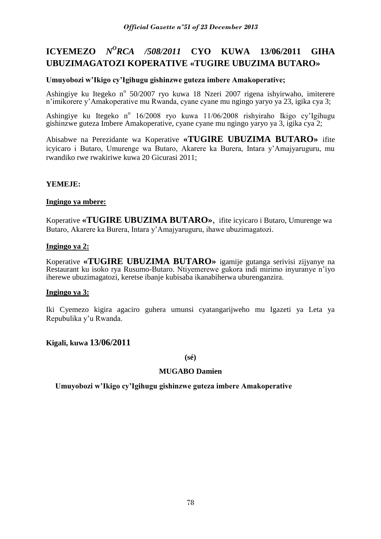## **ICYEMEZO** *N<sup>O</sup>RCA /508/2011* **CYO KUWA 13/06/2011 GIHA UBUZIMAGATOZI KOPERATIVE «TUGIRE UBUZIMA BUTARO»**

### **Umuyobozi w'Ikigo cy'Igihugu gishinzwe guteza imbere Amakoperative;**

Ashingiye ku Itegeko nº 50/2007 ryo kuwa 18 Nzeri 2007 rigena ishyirwaho, imiterere n'imikorere y'Amakoperative mu Rwanda, cyane cyane mu ngingo yaryo ya 23, igika cya 3;

Ashingiye ku Itegeko nº 16/2008 ryo kuwa 11/06/2008 rishyiraho Ikigo cy'Igihugu gishinzwe guteza Imbere Amakoperative, cyane cyane mu ngingo yaryo ya 3, igika cya 2;

Abisabwe na Perezidante wa Koperative **«TUGIRE UBUZIMA BUTARO»** ifite icyicaro i Butaro, Umurenge wa Butaro, Akarere ka Burera, Intara y'Amajyaruguru, mu rwandiko rwe rwakiriwe kuwa 20 Gicurasi 2011;

### **YEMEJE:**

#### **Ingingo ya mbere:**

Koperative **«TUGIRE UBUZIMA BUTARO»**, ifite icyicaro i Butaro, Umurenge wa Butaro, Akarere ka Burera, Intara y'Amajyaruguru, ihawe ubuzimagatozi.

### **Ingingo ya 2:**

Koperative **«TUGIRE UBUZIMA BUTARO»** igamije gutanga serivisi zijyanye na Restaurant ku isoko rya Rusumo-Butaro. Ntiyemerewe gukora indi mirimo inyuranye n'iyo iherewe ubuzimagatozi, keretse ibanje kubisaba ikanabiherwa uburenganzira.

#### **Ingingo ya 3:**

Iki Cyemezo kigira agaciro guhera umunsi cyatangarijweho mu Igazeti ya Leta ya Repubulika y'u Rwanda.

#### **Kigali, kuwa 13/06/2011**

**(sé)**

#### **MUGABO Damien**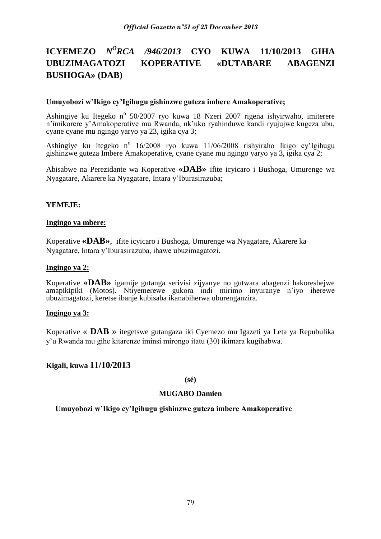# **ICYEMEZO** *N<sup>O</sup>RCA /946/2013* **CYO KUWA 11/10/2013 GIHA UBUZIMAGATOZI KOPERATIVE «DUTABARE ABAGENZI BUSHOGA» (DAB)**

#### **Umuyobozi w'Ikigo cy'Igihugu gishinzwe guteza imbere Amakoperative;**

Ashingiye ku Itegeko nº 50/2007 ryo kuwa 18 Nzeri 2007 rigena ishyirwaho, imiterere n'imikorere y'Amakoperative mu Rwanda, nk'uko ryahinduwe kandi ryujujwe kugeza ubu, cyane cyane mu ngingo yaryo ya 23, igika cya 3;

Ashingiye ku Itegeko nº 16/2008 ryo kuwa 11/06/2008 rishyiraho Ikigo cy'Igihugu gishinzwe guteza Imbere Amakoperative, cyane cyane mu ngingo yaryo ya 3, igika cya 2;

Abisabwe na Perezidante wa Koperative **«DAB»** ifite icyicaro i Bushoga, Umurenge wa Nyagatare, Akarere ka Nyagatare, Intara y'Iburasirazuba;

#### **YEMEJE:**

#### **Ingingo ya mbere:**

Koperative **«DAB»**, ifite icyicaro i Bushoga, Umurenge wa Nyagatare, Akarere ka Nyagatare, Intara y'Iburasirazuba, ihawe ubuzimagatozi.

#### **Ingingo ya 2:**

Koperative **«DAB»** igamije gutanga serivisi zijyanye no gutwara abagenzi hakoreshejwe amapikipiki (Motos). Ntiyemerewe gukora indi mirimo inyuranye n'iyo iherewe ubuzimagatozi, keretse ibanje kubisaba ikanabiherwa uburenganzira.

#### **Ingingo ya 3:**

Koperative « **DAB** » itegetswe gutangaza iki Cyemezo mu Igazeti ya Leta ya Repubulika y'u Rwanda mu gihe kitarenze iminsi mirongo itatu (30) ikimara kugihabwa.

#### **Kigali, kuwa 11/10/2013**

**(sé)**

#### **MUGABO Damien**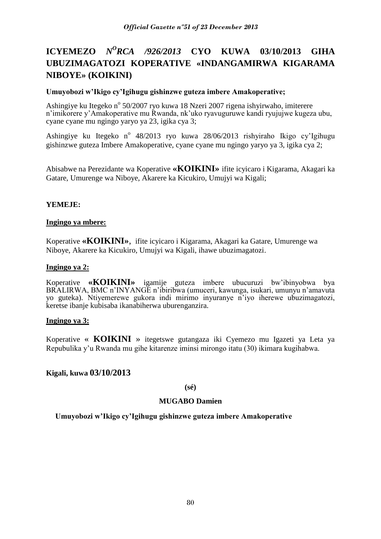# **ICYEMEZO** *N<sup>O</sup>RCA /926/2013* **CYO KUWA 03/10/2013 GIHA UBUZIMAGATOZI KOPERATIVE «INDANGAMIRWA KIGARAMA NIBOYE» (KOIKINI)**

#### **Umuyobozi w'Ikigo cy'Igihugu gishinzwe guteza imbere Amakoperative;**

Ashingiye ku Itegeko nº 50/2007 ryo kuwa 18 Nzeri 2007 rigena ishyirwaho, imiterere n'imikorere y'Amakoperative mu Rwanda, nk'uko ryavuguruwe kandi ryujujwe kugeza ubu, cyane cyane mu ngingo yaryo ya 23, igika cya 3;

Ashingiye ku Itegeko nº 48/2013 ryo kuwa 28/06/2013 rishyiraho Ikigo cy'Igihugu gishinzwe guteza Imbere Amakoperative, cyane cyane mu ngingo yaryo ya 3, igika cya 2;

Abisabwe na Perezidante wa Koperative **«KOIKINI»** ifite icyicaro i Kigarama, Akagari ka Gatare, Umurenge wa Niboye, Akarere ka Kicukiro, Umujyi wa Kigali;

### **YEMEJE:**

#### **Ingingo ya mbere:**

Koperative **«KOIKINI»**, ifite icyicaro i Kigarama, Akagari ka Gatare, Umurenge wa Niboye, Akarere ka Kicukiro, Umujyi wa Kigali, ihawe ubuzimagatozi.

#### **Ingingo ya 2:**

Koperative **«KOIKINI»** igamije guteza imbere ubucuruzi bw'ibinyobwa bya BRALIRWA, BMC n'INYANGE n'ibiribwa (umuceri, kawunga, isukari, umunyu n'amavuta yo guteka). Ntiyemerewe gukora indi mirimo inyuranye n'iyo iherewe ubuzimagatozi, keretse ibanje kubisaba ikanabiherwa uburenganzira.

#### **Ingingo ya 3:**

Koperative « **KOIKINI** » itegetswe gutangaza iki Cyemezo mu Igazeti ya Leta ya Repubulika y'u Rwanda mu gihe kitarenze iminsi mirongo itatu (30) ikimara kugihabwa.

#### **Kigali, kuwa 03/10/2013**

**(sé)**

#### **MUGABO Damien**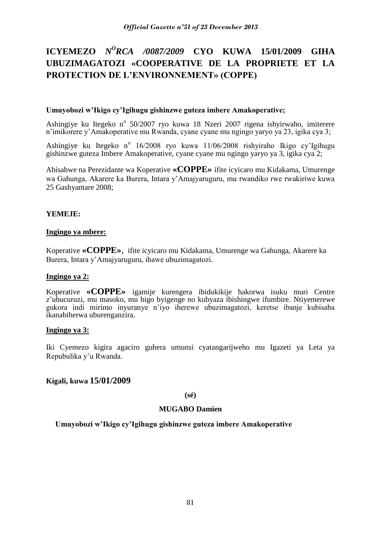# **ICYEMEZO** *N<sup>O</sup>RCA /0087/2009* **CYO KUWA 15/01/2009 GIHA UBUZIMAGATOZI «COOPERATIVE DE LA PROPRIETE ET LA PROTECTION DE L'ENVIRONNEMENT» (COPPE)**

#### **Umuyobozi w'Ikigo cy'Igihugu gishinzwe guteza imbere Amakoperative;**

Ashingiye ku Itegeko nº 50/2007 ryo kuwa 18 Nzeri 2007 rigena ishyirwaho, imiterere n'imikorere y'Amakoperative mu Rwanda, cyane cyane mu ngingo yaryo ya 23, igika cya 3;

Ashingiye ku Itegeko nº 16/2008 ryo kuwa 11/06/2008 rishyiraho Ikigo cy'Igihugu gishinzwe guteza Imbere Amakoperative, cyane cyane mu ngingo yaryo ya 3, igika cya 2;

Abisabwe na Perezidante wa Koperative **«COPPE»** ifite icyicaro mu Kidakama, Umurenge wa Gahunga, Akarere ka Burera, Intara y'Amajyaruguru, mu rwandiko rwe rwakiriwe kuwa 25 Gashyantare 2008;

### **YEMEJE:**

#### **Ingingo ya mbere:**

Koperative **«COPPE»**, ifite icyicaro mu Kidakama, Umurenge wa Gahunga, Akarere ka Burera, Intara y'Amajyaruguru, ihawe ubuzimagatozi.

#### **Ingingo ya 2:**

Koperative **«COPPE»** igamije kurengera ibidukikije hakorwa isuku muri Centre z'ubucuruzi, mu masoko, mu bigo byigenge no kubyaza ibishingwe ifumbire. Ntiyemerewe gukora indi mirimo inyuranye n'iyo iherewe ubuzimagatozi, keretse ibanje kubisaba ikanabiherwa uburenganzira.

#### **Ingingo ya 3:**

Iki Cyemezo kigira agaciro guhera umunsi cyatangarijweho mu Igazeti ya Leta ya Repubulika y'u Rwanda.

#### **Kigali, kuwa 15/01/2009**

**(sé)**

#### **MUGABO Damien**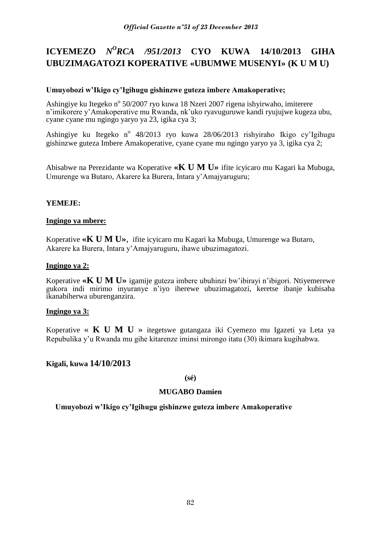# **ICYEMEZO** *N<sup>O</sup>RCA /951/2013* **CYO KUWA 14/10/2013 GIHA UBUZIMAGATOZI KOPERATIVE «UBUMWE MUSENYI» (K U M U)**

### **Umuyobozi w'Ikigo cy'Igihugu gishinzwe guteza imbere Amakoperative;**

Ashingiye ku Itegeko nº 50/2007 ryo kuwa 18 Nzeri 2007 rigena ishyirwaho, imiterere n'imikorere y'Amakoperative mu Rwanda, nk'uko ryavuguruwe kandi ryujujwe kugeza ubu, cyane cyane mu ngingo yaryo ya 23, igika cya 3;

Ashingiye ku Itegeko nº 48/2013 ryo kuwa 28/06/2013 rishyiraho Ikigo cy'Igihugu gishinzwe guteza Imbere Amakoperative, cyane cyane mu ngingo yaryo ya 3, igika cya 2;

Abisabwe na Perezidante wa Koperative **«K U M U»** ifite icyicaro mu Kagari ka Mubuga, Umurenge wa Butaro, Akarere ka Burera, Intara y'Amajyaruguru;

### **YEMEJE:**

#### **Ingingo ya mbere:**

Koperative **«K U M U»**, ifite icyicaro mu Kagari ka Mubuga, Umurenge wa Butaro, Akarere ka Burera, Intara y'Amajyaruguru, ihawe ubuzimagatozi.

#### **Ingingo ya 2:**

Koperative **«K U M U»** igamije guteza imbere ubuhinzi bw'ibirayi n'ibigori. Ntiyemerewe gukora indi mirimo inyuranye n'iyo iherewe ubuzimagatozi, keretse ibanje kubisaba ikanabiherwa uburenganzira.

#### **Ingingo ya 3:**

Koperative « **K U M U** » itegetswe gutangaza iki Cyemezo mu Igazeti ya Leta ya Repubulika y'u Rwanda mu gihe kitarenze iminsi mirongo itatu (30) ikimara kugihabwa.

## **Kigali, kuwa 14/10/2013**

#### **(sé)**

## **MUGABO Damien**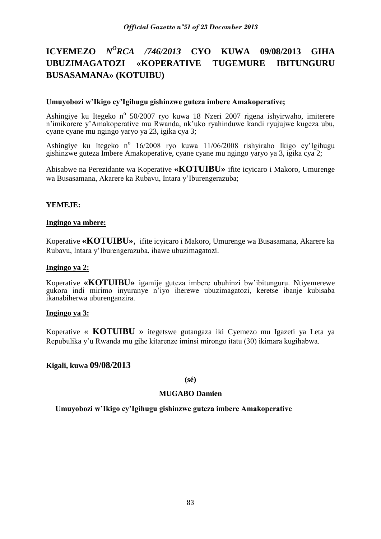# **ICYEMEZO** *N<sup>O</sup>RCA /746/2013* **CYO KUWA 09/08/2013 GIHA UBUZIMAGATOZI «KOPERATIVE TUGEMURE IBITUNGURU BUSASAMANA» (KOTUIBU)**

#### **Umuyobozi w'Ikigo cy'Igihugu gishinzwe guteza imbere Amakoperative;**

Ashingiye ku Itegeko nº 50/2007 ryo kuwa 18 Nzeri 2007 rigena ishyirwaho, imiterere n'imikorere y'Amakoperative mu Rwanda, nk'uko ryahinduwe kandi ryujujwe kugeza ubu, cyane cyane mu ngingo yaryo ya 23, igika cya 3;

Ashingiye ku Itegeko nº 16/2008 ryo kuwa 11/06/2008 rishyiraho Ikigo cy'Igihugu gishinzwe guteza Imbere Amakoperative, cyane cyane mu ngingo yaryo ya 3, igika cya 2;

Abisabwe na Perezidante wa Koperative **«KOTUIBU»** ifite icyicaro i Makoro, Umurenge wa Busasamana, Akarere ka Rubavu, Intara y'Iburengerazuba;

### **YEMEJE:**

#### **Ingingo ya mbere:**

Koperative **«KOTUIBU»**, ifite icyicaro i Makoro, Umurenge wa Busasamana, Akarere ka Rubavu, Intara y'Iburengerazuba, ihawe ubuzimagatozi.

#### **Ingingo ya 2:**

Koperative **«KOTUIBU»** igamije guteza imbere ubuhinzi bw'ibitunguru. Ntiyemerewe gukora indi mirimo inyuranye n'iyo iherewe ubuzimagatozi, keretse ibanje kubisaba ikanabiherwa uburenganzira.

#### **Ingingo ya 3:**

Koperative « **KOTUIBU** » itegetswe gutangaza iki Cyemezo mu Igazeti ya Leta ya Repubulika y'u Rwanda mu gihe kitarenze iminsi mirongo itatu (30) ikimara kugihabwa.

## **Kigali, kuwa 09/08/2013**

**(sé)**

## **MUGABO Damien**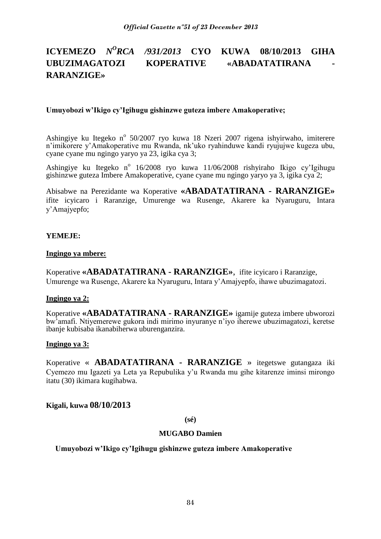#### **ICYEMEZO** *N <sup>O</sup>RCA /931/2013* **CYO KUWA 08/10/2013 GIHA**  UBUZIMAGATOZI KOPERATIVE «ABADATATIRANA **RARANZIGE»**

#### **Umuyobozi w'Ikigo cy'Igihugu gishinzwe guteza imbere Amakoperative;**

Ashingiye ku Itegeko nº 50/2007 ryo kuwa 18 Nzeri 2007 rigena ishyirwaho, imiterere n'imikorere y'Amakoperative mu Rwanda, nk'uko ryahinduwe kandi ryujujwe kugeza ubu, cyane cyane mu ngingo yaryo ya 23, igika cya 3;

Ashingiye ku Itegeko nº 16/2008 ryo kuwa 11/06/2008 rishyiraho Ikigo cy'Igihugu gishinzwe guteza Imbere Amakoperative, cyane cyane mu ngingo yaryo ya 3, igika cya 2;

Abisabwe na Perezidante wa Koperative **«ABADATATIRANA - RARANZIGE»**  ifite icyicaro i Raranzige, Umurenge wa Rusenge, Akarere ka Nyaruguru, Intara y'Amajyepfo;

### **YEMEJE:**

#### **Ingingo ya mbere:**

Koperative **«ABADATATIRANA - RARANZIGE»**, ifite icyicaro i Raranzige, Umurenge wa Rusenge, Akarere ka Nyaruguru, Intara y'Amajyepfo, ihawe ubuzimagatozi.

#### **Ingingo ya 2:**

Koperative **«ABADATATIRANA - RARANZIGE»** igamije guteza imbere ubworozi bw'amafi. Ntiyemerewe gukora indi mirimo inyuranye n'iyo iherewe ubuzimagatozi, keretse ibanje kubisaba ikanabiherwa uburenganzira.

#### **Ingingo ya 3:**

Koperative « **ABADATATIRANA - RARANZIGE** » itegetswe gutangaza iki Cyemezo mu Igazeti ya Leta ya Repubulika y'u Rwanda mu gihe kitarenze iminsi mirongo itatu (30) ikimara kugihabwa.

#### **Kigali, kuwa 08/10/2013**

**(sé)**

#### **MUGABO Damien**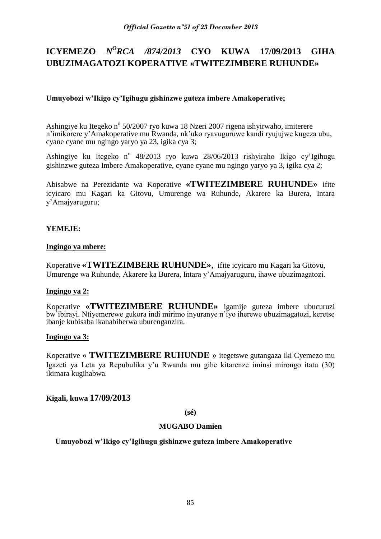# **ICYEMEZO** *N<sup>O</sup>RCA /874/2013* **CYO KUWA 17/09/2013 GIHA UBUZIMAGATOZI KOPERATIVE «TWITEZIMBERE RUHUNDE»**

## **Umuyobozi w'Ikigo cy'Igihugu gishinzwe guteza imbere Amakoperative;**

Ashingiye ku Itegeko n<sup>o</sup> 50/2007 ryo kuwa 18 Nzeri 2007 rigena ishyirwaho, imiterere n'imikorere y'Amakoperative mu Rwanda, nk'uko ryavuguruwe kandi ryujujwe kugeza ubu, cyane cyane mu ngingo yaryo ya 23, igika cya 3;

Ashingiye ku Itegeko nº 48/2013 ryo kuwa 28/06/2013 rishyiraho Ikigo cy'Igihugu gishinzwe guteza Imbere Amakoperative, cyane cyane mu ngingo yaryo ya 3, igika cya 2;

Abisabwe na Perezidante wa Koperative **«TWITEZIMBERE RUHUNDE»** ifite icyicaro mu Kagari ka Gitovu, Umurenge wa Ruhunde, Akarere ka Burera, Intara y'Amajyaruguru;

## **YEMEJE:**

#### **Ingingo ya mbere:**

Koperative **«TWITEZIMBERE RUHUNDE»**, ifite icyicaro mu Kagari ka Gitovu, Umurenge wa Ruhunde, Akarere ka Burera, Intara y'Amajyaruguru, ihawe ubuzimagatozi.

#### **Ingingo ya 2:**

Koperative **«TWITEZIMBERE RUHUNDE»** igamije guteza imbere ubucuruzi bw'ibirayi. Ntiyemerewe gukora indi mirimo inyuranye n'iyo iherewe ubuzimagatozi, keretse ibanje kubisaba ikanabiherwa uburenganzira.

#### **Ingingo ya 3:**

Koperative « **TWITEZIMBERE RUHUNDE** » itegetswe gutangaza iki Cyemezo mu Igazeti ya Leta ya Repubulika y'u Rwanda mu gihe kitarenze iminsi mirongo itatu (30) ikimara kugihabwa.

**Kigali, kuwa 17/09/2013**

#### **(sé)**

#### **MUGABO Damien**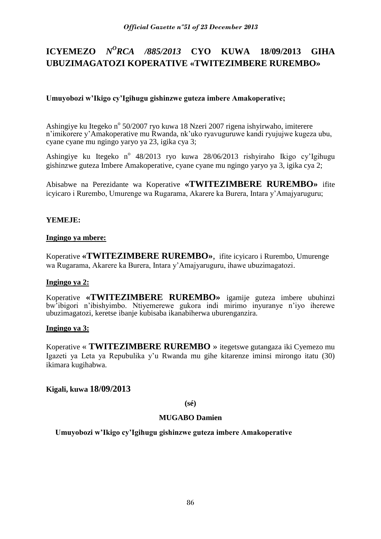# **ICYEMEZO** *N<sup>O</sup>RCA /885/2013* **CYO KUWA 18/09/2013 GIHA UBUZIMAGATOZI KOPERATIVE «TWITEZIMBERE RUREMBO»**

## **Umuyobozi w'Ikigo cy'Igihugu gishinzwe guteza imbere Amakoperative;**

Ashingiye ku Itegeko n<sup>o</sup> 50/2007 ryo kuwa 18 Nzeri 2007 rigena ishyirwaho, imiterere n'imikorere y'Amakoperative mu Rwanda, nk'uko ryavuguruwe kandi ryujujwe kugeza ubu, cyane cyane mu ngingo yaryo ya 23, igika cya 3;

Ashingiye ku Itegeko nº 48/2013 ryo kuwa 28/06/2013 rishyiraho Ikigo cy'Igihugu gishinzwe guteza Imbere Amakoperative, cyane cyane mu ngingo yaryo ya 3, igika cya 2;

Abisabwe na Perezidante wa Koperative **«TWITEZIMBERE RUREMBO»** ifite icyicaro i Rurembo, Umurenge wa Rugarama, Akarere ka Burera, Intara y'Amajyaruguru;

### **YEMEJE:**

### **Ingingo ya mbere:**

Koperative **«TWITEZIMBERE RUREMBO»**, ifite icyicaro i Rurembo, Umurenge wa Rugarama, Akarere ka Burera, Intara y'Amajyaruguru, ihawe ubuzimagatozi.

#### **Ingingo ya 2:**

Koperative **«TWITEZIMBERE RUREMBO»** igamije guteza imbere ubuhinzi bw'ibigori n'ibishyimbo. Ntiyemerewe gukora indi mirimo inyuranye n'iyo iherewe ubuzimagatozi, keretse ibanje kubisaba ikanabiherwa uburenganzira.

#### **Ingingo ya 3:**

Koperative « **TWITEZIMBERE RUREMBO** » itegetswe gutangaza iki Cyemezo mu Igazeti ya Leta ya Repubulika y'u Rwanda mu gihe kitarenze iminsi mirongo itatu (30) ikimara kugihabwa.

## **Kigali, kuwa 18/09/2013**

**(sé)**

#### **MUGABO Damien**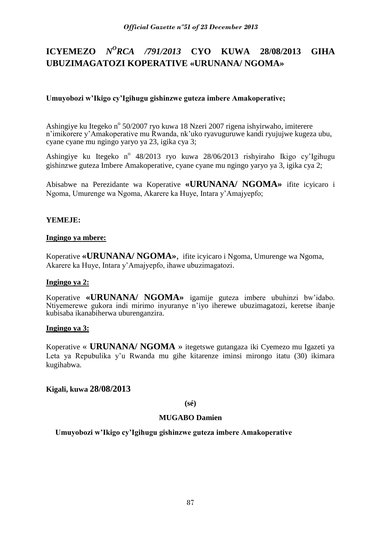# **ICYEMEZO** *N<sup>O</sup>RCA /791/2013* **CYO KUWA 28/08/2013 GIHA UBUZIMAGATOZI KOPERATIVE «URUNANA/ NGOMA»**

## **Umuyobozi w'Ikigo cy'Igihugu gishinzwe guteza imbere Amakoperative;**

Ashingiye ku Itegeko n<sup>o</sup> 50/2007 ryo kuwa 18 Nzeri 2007 rigena ishyirwaho, imiterere n'imikorere y'Amakoperative mu Rwanda, nk'uko ryavuguruwe kandi ryujujwe kugeza ubu, cyane cyane mu ngingo yaryo ya 23, igika cya 3;

Ashingiye ku Itegeko nº 48/2013 ryo kuwa 28/06/2013 rishyiraho Ikigo cy'Igihugu gishinzwe guteza Imbere Amakoperative, cyane cyane mu ngingo yaryo ya 3, igika cya 2;

Abisabwe na Perezidante wa Koperative **«URUNANA/ NGOMA»** ifite icyicaro i Ngoma, Umurenge wa Ngoma, Akarere ka Huye, Intara y'Amajyepfo;

#### **YEMEJE:**

#### **Ingingo ya mbere:**

Koperative **«URUNANA/ NGOMA»**, ifite icyicaro i Ngoma, Umurenge wa Ngoma, Akarere ka Huye, Intara y'Amajyepfo, ihawe ubuzimagatozi.

#### **Ingingo ya 2:**

Koperative **«URUNANA/ NGOMA»** igamije guteza imbere ubuhinzi bw'idabo. Ntiyemerewe gukora indi mirimo inyuranye n'iyo iherewe ubuzimagatozi, keretse ibanje kubisaba ikanabiherwa uburenganzira.

#### **Ingingo ya 3:**

Koperative « **URUNANA/ NGOMA** » itegetswe gutangaza iki Cyemezo mu Igazeti ya Leta ya Repubulika y'u Rwanda mu gihe kitarenze iminsi mirongo itatu (30) ikimara kugihabwa.

#### **Kigali, kuwa 28/08/2013**

**(sé)**

#### **MUGABO Damien**